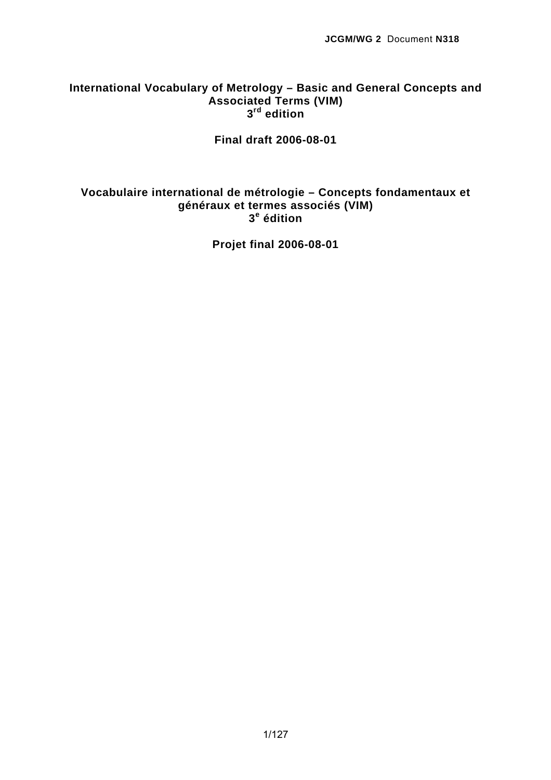# **International Vocabulary of Metrology – Basic and General Concepts and Associated Terms (VIM) 3rd edition**

**Final draft 2006-08-01** 

# **Vocabulaire international de métrologie – Concepts fondamentaux et généraux et termes associés (VIM) 3e édition**

**Projet final 2006-08-01**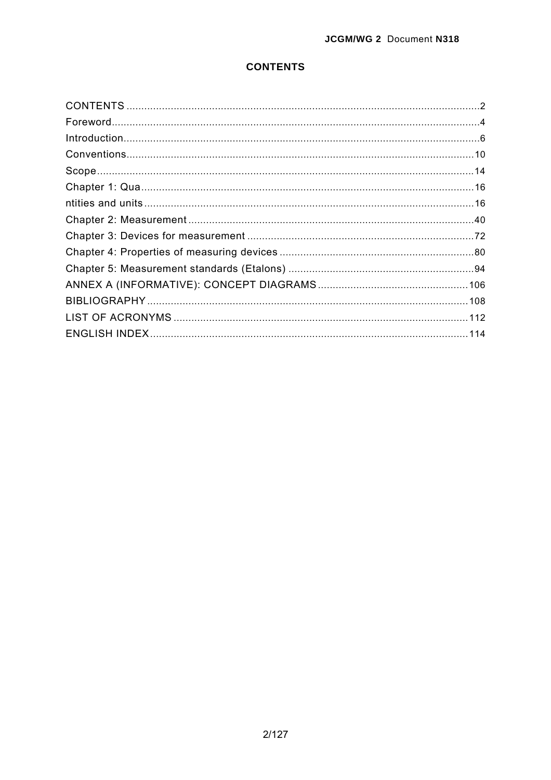# **CONTENTS**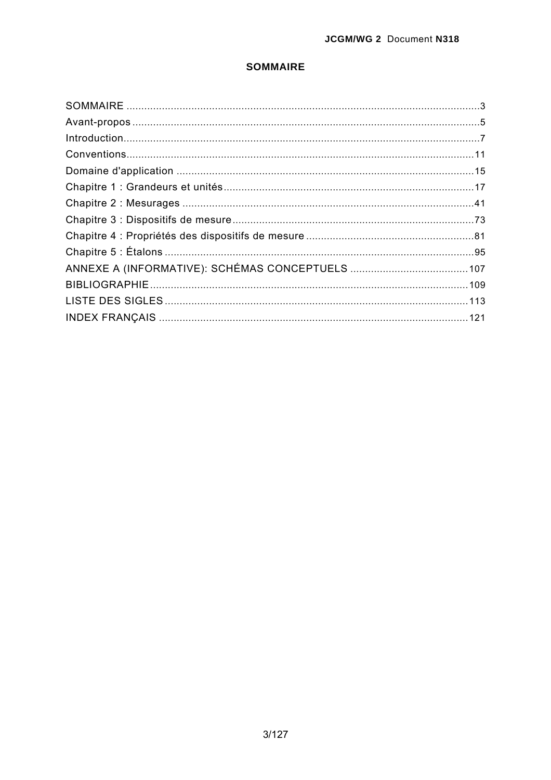## **SOMMAIRE**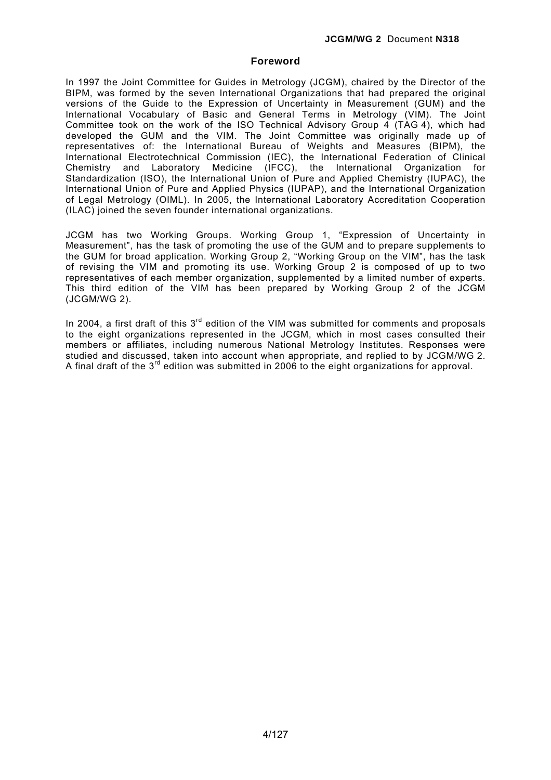## **Foreword**

In 1997 the Joint Committee for Guides in Metrology (JCGM), chaired by the Director of the BIPM, was formed by the seven International Organizations that had prepared the original versions of the Guide to the Expression of Uncertainty in Measurement (GUM) and the International Vocabulary of Basic and General Terms in Metrology (VIM). The Joint Committee took on the work of the ISO Technical Advisory Group 4 (TAG 4), which had developed the GUM and the VIM. The Joint Committee was originally made up of representatives of: the International Bureau of Weights and Measures (BIPM), the International Electrotechnical Commission (IEC), the International Federation of Clinical Chemistry and Laboratory Medicine (IFCC), the International Organization for Standardization (ISO), the International Union of Pure and Applied Chemistry (IUPAC), the International Union of Pure and Applied Physics (IUPAP), and the International Organization of Legal Metrology (OIML). In 2005, the International Laboratory Accreditation Cooperation (ILAC) joined the seven founder international organizations.

JCGM has two Working Groups. Working Group 1, "Expression of Uncertainty in Measurement", has the task of promoting the use of the GUM and to prepare supplements to the GUM for broad application. Working Group 2, "Working Group on the VIM", has the task of revising the VIM and promoting its use. Working Group 2 is composed of up to two representatives of each member organization, supplemented by a limited number of experts. This third edition of the VIM has been prepared by Working Group 2 of the JCGM (JCGM/WG 2).

In 2004, a first draft of this  $3<sup>rd</sup>$  edition of the VIM was submitted for comments and proposals to the eight organizations represented in the JCGM, which in most cases consulted their members or affiliates, including numerous National Metrology Institutes. Responses were studied and discussed, taken into account when appropriate, and replied to by JCGM/WG 2. A final draft of the  $3<sup>rd</sup>$  edition was submitted in 2006 to the eight organizations for approval.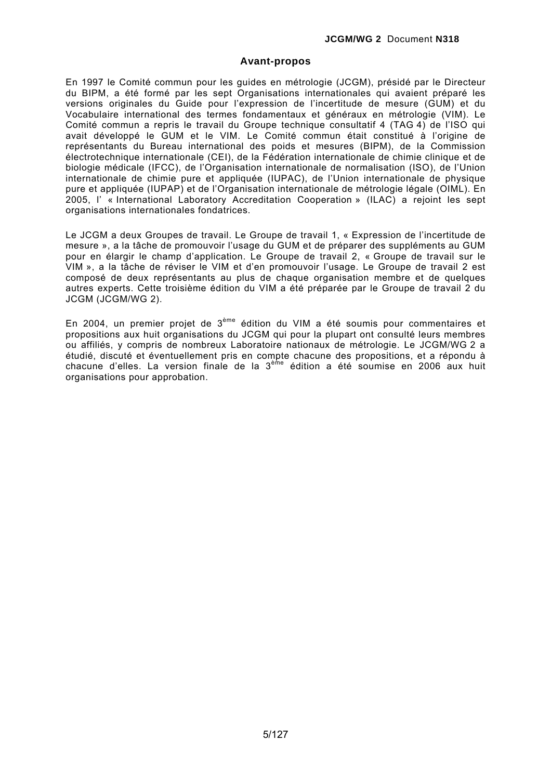## **Avant-propos**

En 1997 le Comité commun pour les guides en métrologie (JCGM), présidé par le Directeur du BIPM, a été formé par les sept Organisations internationales qui avaient préparé les versions originales du Guide pour l'expression de l'incertitude de mesure (GUM) et du Vocabulaire international des termes fondamentaux et généraux en métrologie (VIM). Le Comité commun a repris le travail du Groupe technique consultatif 4 (TAG 4) de l'ISO qui avait développé le GUM et le VIM. Le Comité commun était constitué à l'origine de représentants du Bureau international des poids et mesures (BIPM), de la Commission électrotechnique internationale (CEI), de la Fédération internationale de chimie clinique et de biologie médicale (IFCC), de l'Organisation internationale de normalisation (ISO), de l'Union internationale de chimie pure et appliquée (IUPAC), de l'Union internationale de physique pure et appliquée (IUPAP) et de l'Organisation internationale de métrologie légale (OIML). En 2005, l' « International Laboratory Accreditation Cooperation » (ILAC) a rejoint les sept organisations internationales fondatrices.

Le JCGM a deux Groupes de travail. Le Groupe de travail 1, « Expression de l'incertitude de mesure », a la tâche de promouvoir l'usage du GUM et de préparer des suppléments au GUM pour en élargir le champ d'application. Le Groupe de travail 2, « Groupe de travail sur le VIM », a la tâche de réviser le VIM et d'en promouvoir l'usage. Le Groupe de travail 2 est composé de deux représentants au plus de chaque organisation membre et de quelques autres experts. Cette troisième édition du VIM a été préparée par le Groupe de travail 2 du JCGM (JCGM/WG 2).

En 2004, un premier projet de 3ème édition du VIM a été soumis pour commentaires et propositions aux huit organisations du JCGM qui pour la plupart ont consulté leurs membres ou affiliés, y compris de nombreux Laboratoire nationaux de métrologie. Le JCGM/WG 2 a étudié, discuté et éventuellement pris en compte chacune des propositions, et a répondu à chacune d'elles. La version finale de la 3<sup>ème</sup> édition a été soumise en 2006 aux huit organisations pour approbation.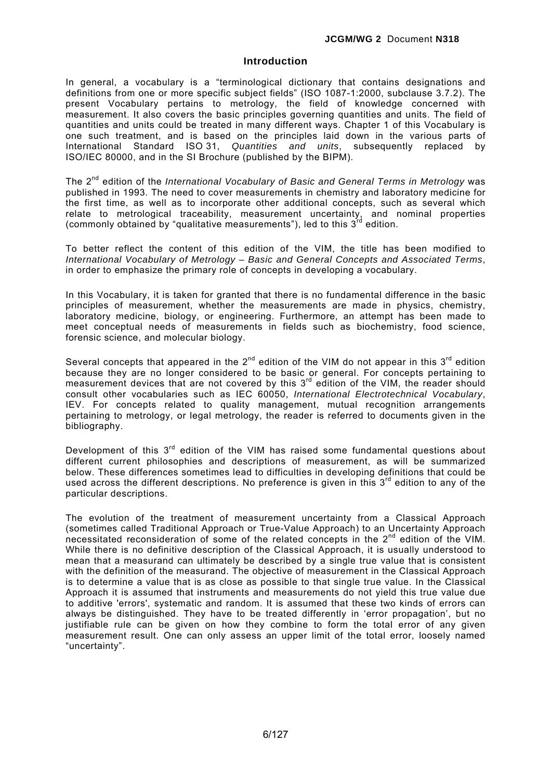## **Introduction**

In general, a vocabulary is a "terminological dictionary that contains designations and definitions from one or more specific subject fields" (ISO 1087-1:2000, subclause 3.7.2). The present Vocabulary pertains to metrology, the field of knowledge concerned with measurement. It also covers the basic principles governing quantities and units. The field of quantities and units could be treated in many different ways. Chapter 1 of this Vocabulary is one such treatment, and is based on the principles laid down in the various parts of International Standard ISO 31, *Quantities and units*, subsequently replaced by ISO/IEC 80000, and in the SI Brochure (published by the BIPM).

The 2nd edition of the *International Vocabulary of Basic and General Terms in Metrology* was published in 1993. The need to cover measurements in chemistry and laboratory medicine for the first time, as well as to incorporate other additional concepts, such as several which relate to metrological traceability, measurement uncertainty, and nominal properties (commonly obtained by "qualitative measurements"), led to this  $3^{rd}$  edition.

To better reflect the content of this edition of the VIM, the title has been modified to *International Vocabulary of Metrology – Basic and General Concepts and Associated Terms*, in order to emphasize the primary role of concepts in developing a vocabulary.

In this Vocabulary, it is taken for granted that there is no fundamental difference in the basic principles of measurement, whether the measurements are made in physics, chemistry, laboratory medicine, biology, or engineering. Furthermore, an attempt has been made to meet conceptual needs of measurements in fields such as biochemistry, food science, forensic science, and molecular biology.

Several concepts that appeared in the  $2^{nd}$  edition of the VIM do not appear in this  $3^{rd}$  edition because they are no longer considered to be basic or general. For concepts pertaining to measurement devices that are not covered by this 3<sup>rd</sup> edition of the VIM, the reader should consult other vocabularies such as IEC 60050, *International Electrotechnical Vocabulary*, IEV. For concepts related to quality management, mutual recognition arrangements pertaining to metrology, or legal metrology, the reader is referred to documents given in the bibliography.

Development of this  $3<sup>rd</sup>$  edition of the VIM has raised some fundamental questions about different current philosophies and descriptions of measurement, as will be summarized below. These differences sometimes lead to difficulties in developing definitions that could be used across the different descriptions. No preference is given in this  $3<sup>rd</sup>$  edition to any of the particular descriptions.

The evolution of the treatment of measurement uncertainty from a Classical Approach (sometimes called Traditional Approach or True-Value Approach) to an Uncertainty Approach necessitated reconsideration of some of the related concepts in the 2<sup>nd</sup> edition of the VIM. While there is no definitive description of the Classical Approach, it is usually understood to mean that a measurand can ultimately be described by a single true value that is consistent with the definition of the measurand. The objective of measurement in the Classical Approach is to determine a value that is as close as possible to that single true value. In the Classical Approach it is assumed that instruments and measurements do not yield this true value due to additive 'errors', systematic and random. It is assumed that these two kinds of errors can always be distinguished. They have to be treated differently in 'error propagation', but no justifiable rule can be given on how they combine to form the total error of any given measurement result. One can only assess an upper limit of the total error, loosely named "uncertainty".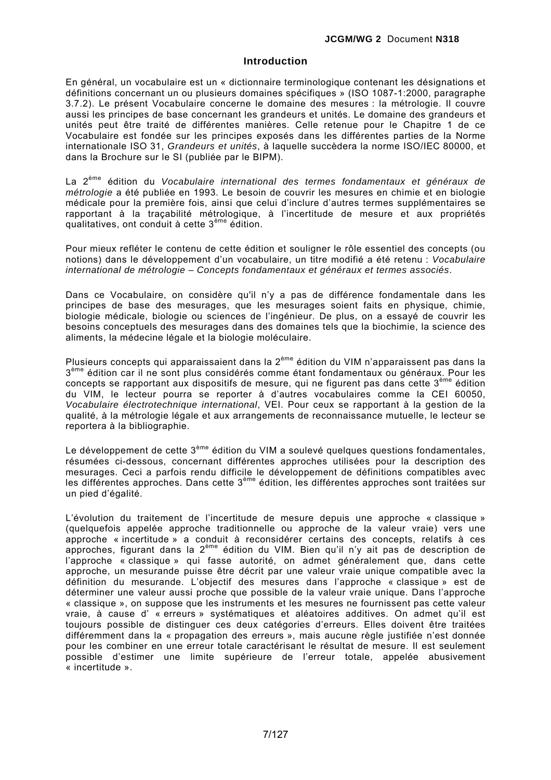## **Introduction**

En général, un vocabulaire est un « dictionnaire terminologique contenant les désignations et définitions concernant un ou plusieurs domaines spécifiques » (ISO 1087-1:2000, paragraphe 3.7.2). Le présent Vocabulaire concerne le domaine des mesures : la métrologie. Il couvre aussi les principes de base concernant les grandeurs et unités. Le domaine des grandeurs et unités peut être traité de différentes manières. Celle retenue pour le Chapitre 1 de ce Vocabulaire est fondée sur les principes exposés dans les différentes parties de la Norme internationale ISO 31, *Grandeurs et unités*, à laquelle succèdera la norme ISO/IEC 80000, et dans la Brochure sur le SI (publiée par le BIPM).

La 2ème édition du *Vocabulaire international des termes fondamentaux et généraux de métrologie* a été publiée en 1993. Le besoin de couvrir les mesures en chimie et en biologie médicale pour la première fois, ainsi que celui d'inclure d'autres termes supplémentaires se rapportant à la traçabilité métrologique, à l'incertitude de mesure et aux propriétés qualitatives, ont conduit à cette 3ème édition.

Pour mieux refléter le contenu de cette édition et souligner le rôle essentiel des concepts (ou notions) dans le développement d'un vocabulaire, un titre modifié a été retenu : *Vocabulaire international de métrologie – Concepts fondamentaux et généraux et termes associés*.

Dans ce Vocabulaire, on considère qu'il n'y a pas de différence fondamentale dans les principes de base des mesurages, que les mesurages soient faits en physique, chimie, biologie médicale, biologie ou sciences de l'ingénieur. De plus, on a essayé de couvrir les besoins conceptuels des mesurages dans des domaines tels que la biochimie, la science des aliments, la médecine légale et la biologie moléculaire.

Plusieurs concepts qui apparaissaient dans la 2ème édition du VIM n'apparaissent pas dans la 3<sup>ème</sup> édition car il ne sont plus considérés comme étant fondamentaux ou généraux. Pour les concepts se rapportant aux dispositifs de mesure, qui ne figurent pas dans cette 3<sup>ème</sup> édition du VIM, le lecteur pourra se reporter à d'autres vocabulaires comme la CEI 60050, *Vocabulaire électrotechnique international*, VEI. Pour ceux se rapportant à la gestion de la qualité, à la métrologie légale et aux arrangements de reconnaissance mutuelle, le lecteur se reportera à la bibliographie.

Le développement de cette  $3^{\text{eme}}$  édition du VIM a soulevé quelques questions fondamentales, résumées ci-dessous, concernant différentes approches utilisées pour la description des mesurages. Ceci a parfois rendu difficile le développement de définitions compatibles avec les différentes approches. Dans cette 3ème édition, les différentes approches sont traitées sur un pied d'égalité.

L'évolution du traitement de l'incertitude de mesure depuis une approche « classique » (quelquefois appelée approche traditionnelle ou approche de la valeur vraie) vers une approche « incertitude » a conduit à reconsidérer certains des concepts, relatifs à ces approches, figurant dans la 2ème édition du VIM. Bien qu'il n'y ait pas de description de l'approche « classique » qui fasse autorité, on admet généralement que, dans cette approche, un mesurande puisse être décrit par une valeur vraie unique compatible avec la définition du mesurande. L'objectif des mesures dans l'approche « classique » est de déterminer une valeur aussi proche que possible de la valeur vraie unique. Dans l'approche « classique », on suppose que les instruments et les mesures ne fournissent pas cette valeur vraie, à cause d' « erreurs » systématiques et aléatoires additives. On admet qu'il est toujours possible de distinguer ces deux catégories d'erreurs. Elles doivent être traitées différemment dans la « propagation des erreurs », mais aucune règle justifiée n'est donnée pour les combiner en une erreur totale caractérisant le résultat de mesure. Il est seulement possible d'estimer une limite supérieure de l'erreur totale, appelée abusivement « incertitude ».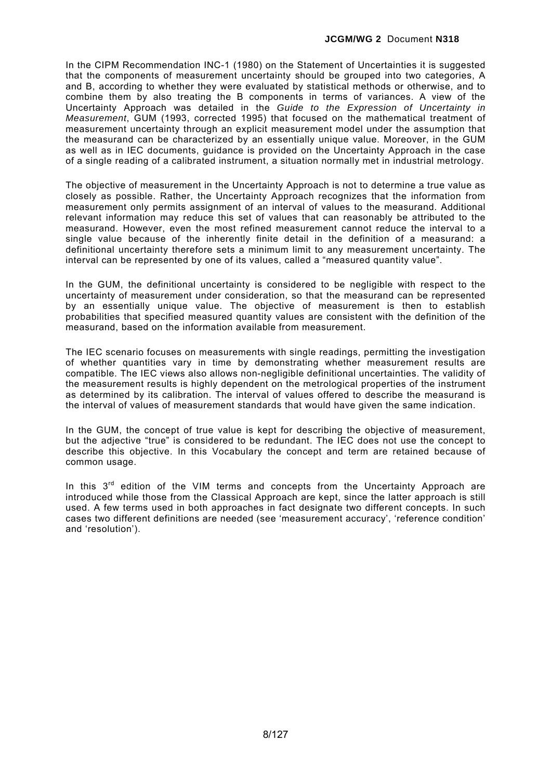In the CIPM Recommendation INC-1 (1980) on the Statement of Uncertainties it is suggested that the components of measurement uncertainty should be grouped into two categories, A and B, according to whether they were evaluated by statistical methods or otherwise, and to combine them by also treating the B components in terms of variances. A view of the Uncertainty Approach was detailed in the *Guide to the Expression of Uncertainty in Measurement*, GUM (1993, corrected 1995) that focused on the mathematical treatment of measurement uncertainty through an explicit measurement model under the assumption that the measurand can be characterized by an essentially unique value. Moreover, in the GUM as well as in IEC documents, guidance is provided on the Uncertainty Approach in the case of a single reading of a calibrated instrument, a situation normally met in industrial metrology.

The objective of measurement in the Uncertainty Approach is not to determine a true value as closely as possible. Rather, the Uncertainty Approach recognizes that the information from measurement only permits assignment of an interval of values to the measurand. Additional relevant information may reduce this set of values that can reasonably be attributed to the measurand. However, even the most refined measurement cannot reduce the interval to a single value because of the inherently finite detail in the definition of a measurand: a definitional uncertainty therefore sets a minimum limit to any measurement uncertainty. The interval can be represented by one of its values, called a "measured quantity value".

In the GUM, the definitional uncertainty is considered to be negligible with respect to the uncertainty of measurement under consideration, so that the measurand can be represented by an essentially unique value. The objective of measurement is then to establish probabilities that specified measured quantity values are consistent with the definition of the measurand, based on the information available from measurement.

The IEC scenario focuses on measurements with single readings, permitting the investigation of whether quantities vary in time by demonstrating whether measurement results are compatible. The IEC views also allows non-negligible definitional uncertainties. The validity of the measurement results is highly dependent on the metrological properties of the instrument as determined by its calibration. The interval of values offered to describe the measurand is the interval of values of measurement standards that would have given the same indication.

In the GUM, the concept of true value is kept for describing the objective of measurement, but the adjective "true" is considered to be redundant. The IEC does not use the concept to describe this objective. In this Vocabulary the concept and term are retained because of common usage.

In this  $3<sup>rd</sup>$  edition of the VIM terms and concepts from the Uncertainty Approach are introduced while those from the Classical Approach are kept, since the latter approach is still used. A few terms used in both approaches in fact designate two different concepts. In such cases two different definitions are needed (see 'measurement accuracy', 'reference condition' and 'resolution').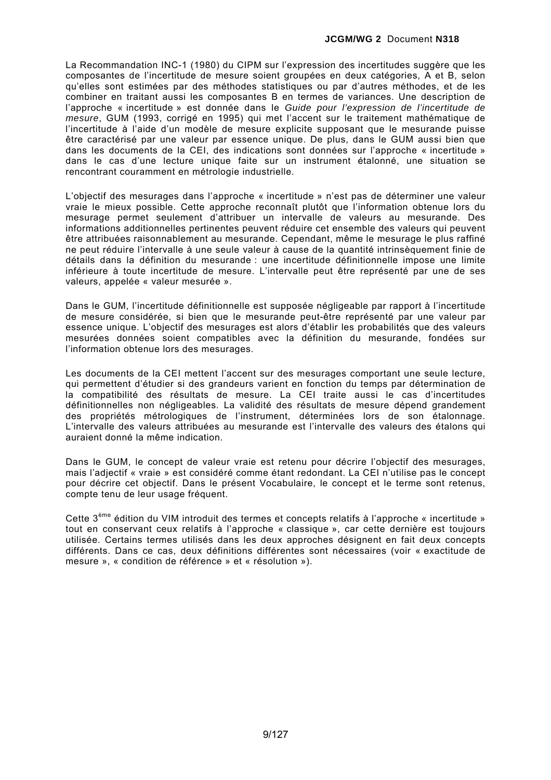La Recommandation INC-1 (1980) du CIPM sur l'expression des incertitudes suggère que les composantes de l'incertitude de mesure soient groupées en deux catégories, A et B, selon qu'elles sont estimées par des méthodes statistiques ou par d'autres méthodes, et de les combiner en traitant aussi les composantes B en termes de variances. Une description de l'approche « incertitude » est donnée dans le *Guide pour l'expression de l'incertitude de mesure*, GUM (1993, corrigé en 1995) qui met l'accent sur le traitement mathématique de l'incertitude à l'aide d'un modèle de mesure explicite supposant que le mesurande puisse être caractérisé par une valeur par essence unique. De plus, dans le GUM aussi bien que dans les documents de la CEI, des indications sont données sur l'approche « incertitude » dans le cas d'une lecture unique faite sur un instrument étalonné, une situation se rencontrant couramment en métrologie industrielle.

L'objectif des mesurages dans l'approche « incertitude » n'est pas de déterminer une valeur vraie le mieux possible. Cette approche reconnaît plutôt que l'information obtenue lors du mesurage permet seulement d'attribuer un intervalle de valeurs au mesurande. Des informations additionnelles pertinentes peuvent réduire cet ensemble des valeurs qui peuvent être attribuées raisonnablement au mesurande. Cependant, même le mesurage le plus raffiné ne peut réduire l'intervalle à une seule valeur à cause de la quantité intrinsèquement finie de détails dans la définition du mesurande : une incertitude définitionnelle impose une limite inférieure à toute incertitude de mesure. L'intervalle peut être représenté par une de ses valeurs, appelée « valeur mesurée ».

Dans le GUM, l'incertitude définitionnelle est supposée négligeable par rapport à l'incertitude de mesure considérée, si bien que le mesurande peut-être représenté par une valeur par essence unique. L'objectif des mesurages est alors d'établir les probabilités que des valeurs mesurées données soient compatibles avec la définition du mesurande, fondées sur l'information obtenue lors des mesurages.

Les documents de la CEI mettent l'accent sur des mesurages comportant une seule lecture, qui permettent d'étudier si des grandeurs varient en fonction du temps par détermination de la compatibilité des résultats de mesure. La CEI traite aussi le cas d'incertitudes définitionnelles non négligeables. La validité des résultats de mesure dépend grandement des propriétés métrologiques de l'instrument, déterminées lors de son étalonnage. L'intervalle des valeurs attribuées au mesurande est l'intervalle des valeurs des étalons qui auraient donné la même indication.

Dans le GUM, le concept de valeur vraie est retenu pour décrire l'objectif des mesurages, mais l'adjectif « vraie » est considéré comme étant redondant. La CEI n'utilise pas le concept pour décrire cet objectif. Dans le présent Vocabulaire, le concept et le terme sont retenus, compte tenu de leur usage fréquent.

Cette 3ème édition du VIM introduit des termes et concepts relatifs à l'approche « incertitude » tout en conservant ceux relatifs à l'approche « classique », car cette dernière est toujours utilisée. Certains termes utilisés dans les deux approches désignent en fait deux concepts différents. Dans ce cas, deux définitions différentes sont nécessaires (voir « exactitude de mesure », « condition de référence » et « résolution »).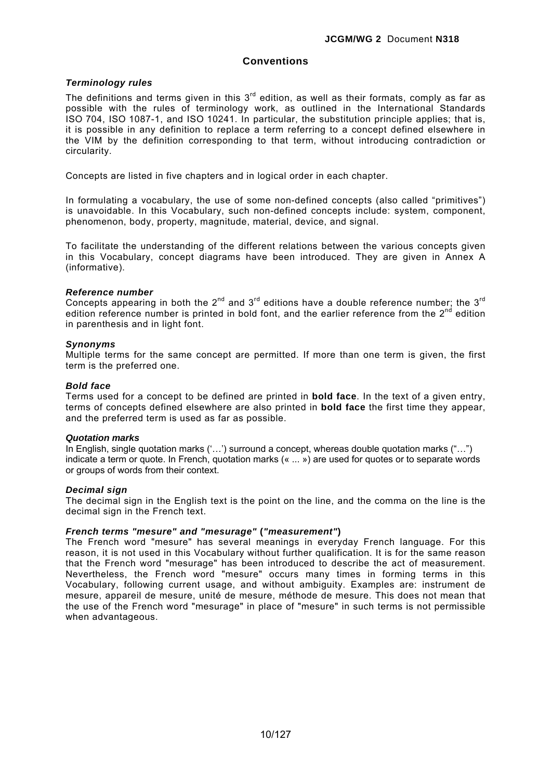## **Conventions**

## *Terminology rules*

The definitions and terms given in this  $3<sup>rd</sup>$  edition, as well as their formats, comply as far as possible with the rules of terminology work, as outlined in the International Standards ISO 704, ISO 1087-1, and ISO 10241. In particular, the substitution principle applies; that is, it is possible in any definition to replace a term referring to a concept defined elsewhere in the VIM by the definition corresponding to that term, without introducing contradiction or circularity.

Concepts are listed in five chapters and in logical order in each chapter.

In formulating a vocabulary, the use of some non-defined concepts (also called "primitives") is unavoidable. In this Vocabulary, such non-defined concepts include: system, component, phenomenon, body, property, magnitude, material, device, and signal.

To facilitate the understanding of the different relations between the various concepts given in this Vocabulary, concept diagrams have been introduced. They are given in Annex A (informative).

### *Reference number*

Concepts appearing in both the 2<sup>nd</sup> and 3<sup>rd</sup> editions have a double reference number; the 3<sup>rd</sup> edition reference number is printed in bold font, and the earlier reference from the  $2^{nd}$  edition in parenthesis and in light font.

## *Synonyms*

Multiple terms for the same concept are permitted. If more than one term is given, the first term is the preferred one.

### *Bold face*

Terms used for a concept to be defined are printed in **bold face**. In the text of a given entry, terms of concepts defined elsewhere are also printed in **bold face** the first time they appear, and the preferred term is used as far as possible.

### *Quotation marks*

In English, single quotation marks ('…') surround a concept, whereas double quotation marks ("…") indicate a term or quote. In French, quotation marks (« ... ») are used for quotes or to separate words or groups of words from their context.

### *Decimal sign*

The decimal sign in the English text is the point on the line, and the comma on the line is the decimal sign in the French text.

## *French terms "mesure" and "mesurage"* **(***"measurement"***)**

The French word "mesure" has several meanings in everyday French language. For this reason, it is not used in this Vocabulary without further qualification. It is for the same reason that the French word "mesurage" has been introduced to describe the act of measurement. Nevertheless, the French word "mesure" occurs many times in forming terms in this Vocabulary, following current usage, and without ambiguity. Examples are: instrument de mesure, appareil de mesure, unité de mesure, méthode de mesure. This does not mean that the use of the French word "mesurage" in place of "mesure" in such terms is not permissible when advantageous.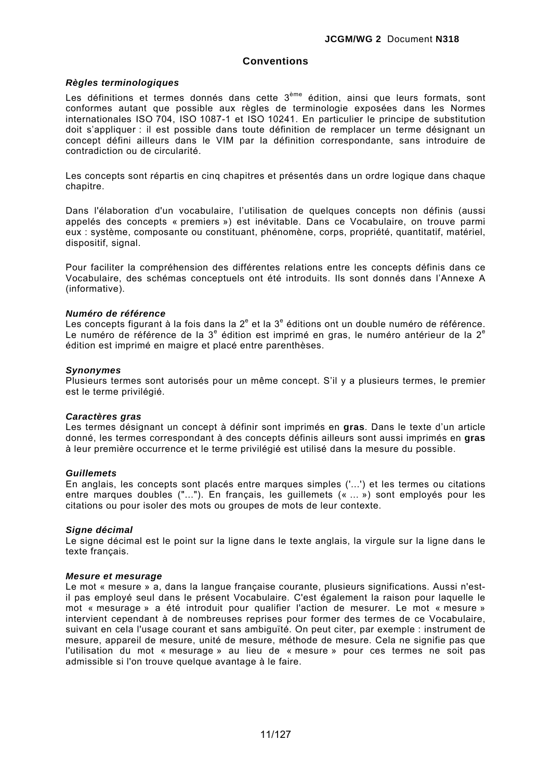## **Conventions**

### *Règles terminologiques*

Les définitions et termes donnés dans cette 3<sup>ème</sup> édition, ainsi que leurs formats, sont conformes autant que possible aux règles de terminologie exposées dans les Normes internationales ISO 704, ISO 1087-1 et ISO 10241. En particulier le principe de substitution doit s'appliquer : il est possible dans toute définition de remplacer un terme désignant un concept défini ailleurs dans le VIM par la définition correspondante, sans introduire de contradiction ou de circularité.

Les concepts sont répartis en cinq chapitres et présentés dans un ordre logique dans chaque chapitre.

Dans l'élaboration d'un vocabulaire, l'utilisation de quelques concepts non définis (aussi appelés des concepts « premiers ») est inévitable. Dans ce Vocabulaire, on trouve parmi eux : système, composante ou constituant, phénomène, corps, propriété, quantitatif, matériel, dispositif, signal.

Pour faciliter la compréhension des différentes relations entre les concepts définis dans ce Vocabulaire, des schémas conceptuels ont été introduits. Ils sont donnés dans l'Annexe A (informative).

### *Numéro de référence*

Les concepts figurant à la fois dans la 2<sup>e</sup> et la 3<sup>e</sup> éditions ont un double numéro de référence. Le numéro de référence de la 3<sup>e</sup> édition est imprimé en gras, le numéro antérieur de la 2<sup>e</sup> édition est imprimé en maigre et placé entre parenthèses.

### *Synonymes*

Plusieurs termes sont autorisés pour un même concept. S'il y a plusieurs termes, le premier est le terme privilégié.

### *Caractères gras*

Les termes désignant un concept à définir sont imprimés en **gras**. Dans le texte d'un article donné, les termes correspondant à des concepts définis ailleurs sont aussi imprimés en **gras** à leur première occurrence et le terme privilégié est utilisé dans la mesure du possible.

### *Guillemets*

En anglais, les concepts sont placés entre marques simples ('...') et les termes ou citations entre marques doubles ("..."). En français, les guillemets (« ... ») sont employés pour les citations ou pour isoler des mots ou groupes de mots de leur contexte.

### *Signe décimal*

Le signe décimal est le point sur la ligne dans le texte anglais, la virgule sur la ligne dans le texte français.

### *Mesure et mesurage*

Le mot « mesure » a, dans la langue française courante, plusieurs significations. Aussi n'estil pas employé seul dans le présent Vocabulaire. C'est également la raison pour laquelle le mot « mesurage » a été introduit pour qualifier l'action de mesurer. Le mot « mesure » intervient cependant à de nombreuses reprises pour former des termes de ce Vocabulaire, suivant en cela l'usage courant et sans ambiguïté. On peut citer, par exemple : instrument de mesure, appareil de mesure, unité de mesure, méthode de mesure. Cela ne signifie pas que l'utilisation du mot « mesurage » au lieu de « mesure » pour ces termes ne soit pas admissible si l'on trouve quelque avantage à le faire.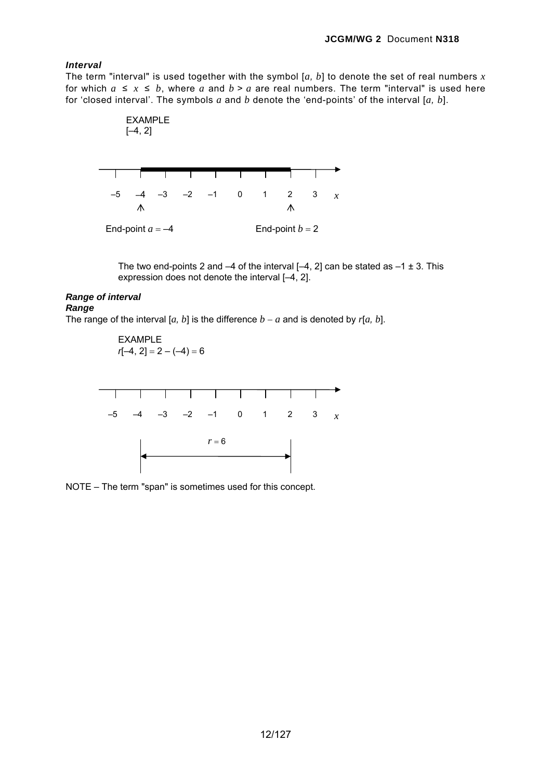## *Interval*

The term "interval" is used together with the symbol  $[a, b]$  to denote the set of real numbers  $x$ for which  $a \leq x \leq b$ , where a and  $b > a$  are real numbers. The term "interval" is used here for 'closed interval'. The symbols *a* and *b* denote the 'end-points' of the interval [*a, b*].



The two end-points 2 and  $-4$  of the interval  $[-4, 2]$  can be stated as  $-1 \pm 3$ . This expression does not denote the interval [–4, 2].

## *Range of interval*

*Range* 

The range of the interval [ $a$ ,  $b$ ] is the difference  $b - a$  and is denoted by  $r[a, b]$ .

EXAMPLE  

$$
r[-4, 2] = 2 - (-4) = 6
$$



NOTE – The term "span" is sometimes used for this concept.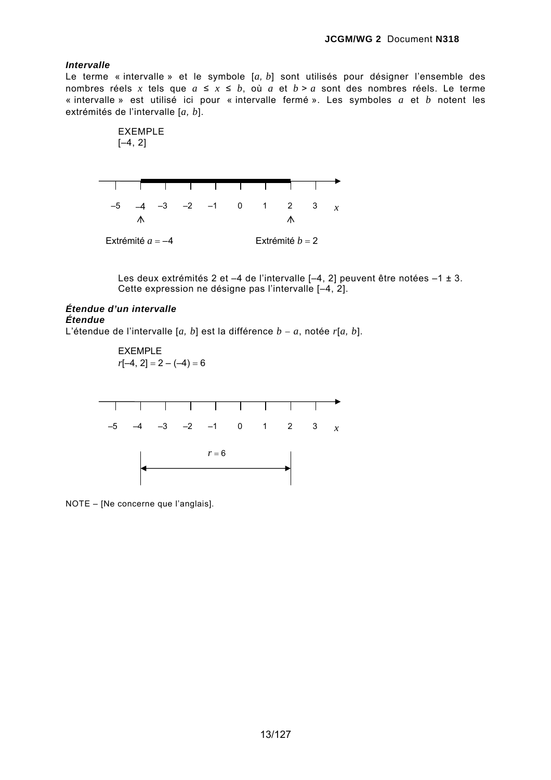## *Intervalle*

Le terme « intervalle » et le symbole [*a, b*] sont utilisés pour désigner l'ensemble des nombres réels x tels que  $a \le x \le b$ , où  $a$  et  $b > a$  sont des nombres réels. Le terme « intervalle » est utilisé ici pour « intervalle fermé ». Les symboles *a* et *b* notent les extrémités de l'intervalle [*a, b*].





Les deux extrémités 2 et –4 de l'intervalle [–4, 2] peuvent être notées –1 ± 3. Cette expression ne désigne pas l'intervalle [–4, 2].

# *Étendue d'un intervalle Étendue*

L'étendue de l'intervalle [*a, b*] est la différence *b* − *a*, notée *r*[*a, b*].

EXEMPLE  $r[-4, 2] = 2 - (-4) = 6$ 



NOTE – [Ne concerne que l'anglais].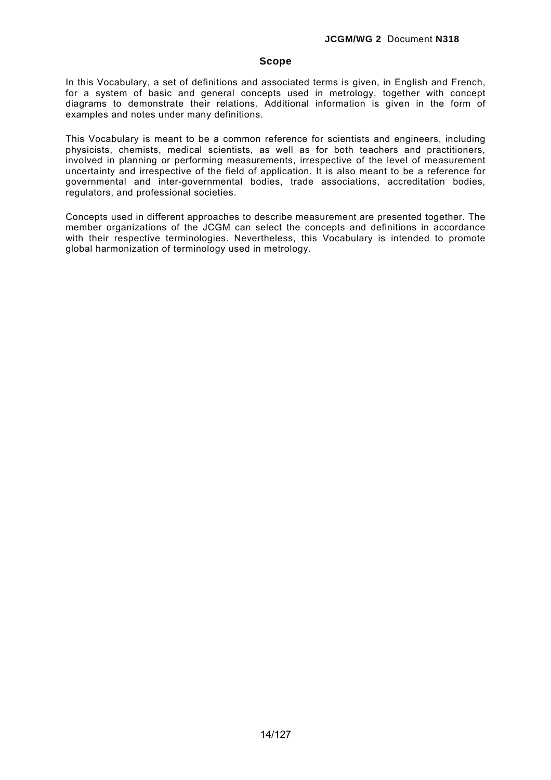## **Scope**

In this Vocabulary, a set of definitions and associated terms is given, in English and French, for a system of basic and general concepts used in metrology, together with concept diagrams to demonstrate their relations. Additional information is given in the form of examples and notes under many definitions.

This Vocabulary is meant to be a common reference for scientists and engineers, including physicists, chemists, medical scientists, as well as for both teachers and practitioners, involved in planning or performing measurements, irrespective of the level of measurement uncertainty and irrespective of the field of application. It is also meant to be a reference for governmental and inter-governmental bodies, trade associations, accreditation bodies, regulators, and professional societies.

Concepts used in different approaches to describe measurement are presented together. The member organizations of the JCGM can select the concepts and definitions in accordance with their respective terminologies. Nevertheless, this Vocabulary is intended to promote global harmonization of terminology used in metrology.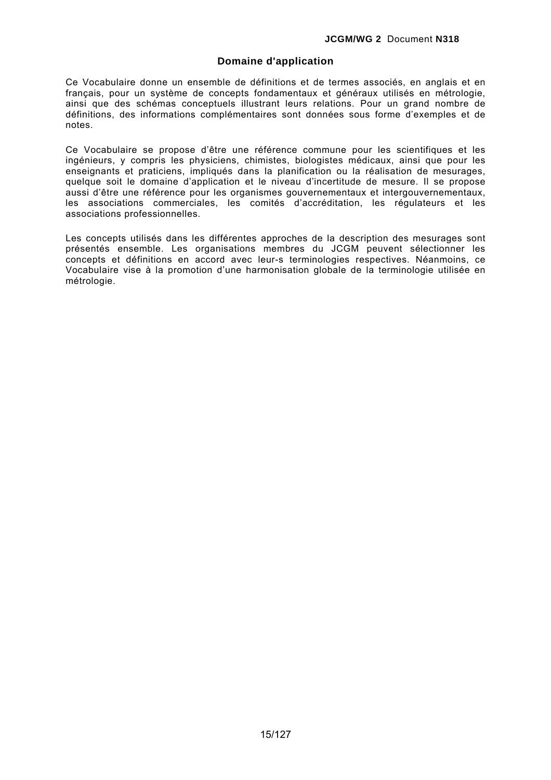## **Domaine d'application**

Ce Vocabulaire donne un ensemble de définitions et de termes associés, en anglais et en français, pour un système de concepts fondamentaux et généraux utilisés en métrologie, ainsi que des schémas conceptuels illustrant leurs relations. Pour un grand nombre de définitions, des informations complémentaires sont données sous forme d'exemples et de notes.

Ce Vocabulaire se propose d'être une référence commune pour les scientifiques et les ingénieurs, y compris les physiciens, chimistes, biologistes médicaux, ainsi que pour les enseignants et praticiens, impliqués dans la planification ou la réalisation de mesurages, quelque soit le domaine d'application et le niveau d'incertitude de mesure. Il se propose aussi d'être une référence pour les organismes gouvernementaux et intergouvernementaux, les associations commerciales, les comités d'accréditation, les régulateurs et les associations professionnelles.

Les concepts utilisés dans les différentes approches de la description des mesurages sont présentés ensemble. Les organisations membres du JCGM peuvent sélectionner les concepts et définitions en accord avec leur-s terminologies respectives. Néanmoins, ce Vocabulaire vise à la promotion d'une harmonisation globale de la terminologie utilisée en métrologie.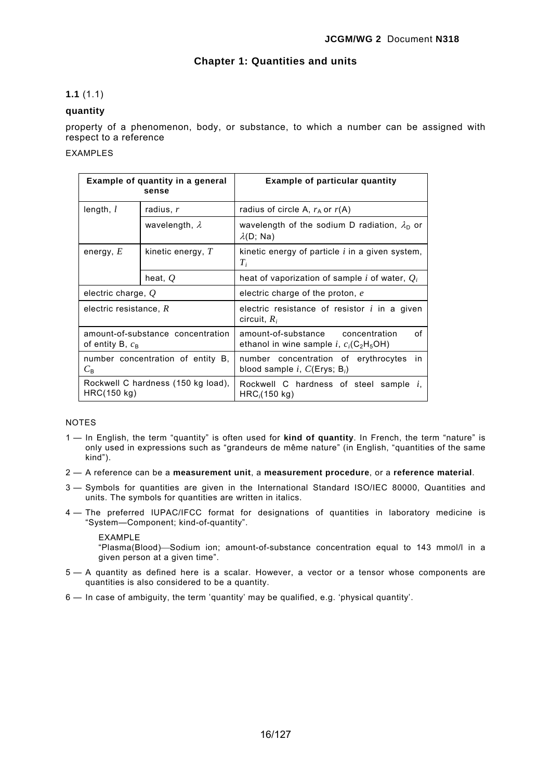## **Chapter 1: Quantities and units**

## **1.1** (1.1)

## **quantity**

property of a phenomenon, body, or substance, to which a number can be assigned with respect to a reference

## EXAMPLES

| Example of quantity in a general<br>sense                         |                       | <b>Example of particular quantity</b>                                                         |  |
|-------------------------------------------------------------------|-----------------------|-----------------------------------------------------------------------------------------------|--|
| length, $l$                                                       | radius, r             | radius of circle A, $r_A$ or $r(A)$                                                           |  |
|                                                                   | wavelength, $\lambda$ | wavelength of the sodium D radiation, $\lambda_{D}$ or<br>$\lambda(D;$ Na)                    |  |
| energy, $E$                                                       | kinetic energy, $T$   | kinetic energy of particle $i$ in a given system,<br>$T_i$                                    |  |
|                                                                   | heat, $Q$             | heat of vaporization of sample i of water, $Q_i$                                              |  |
| electric charge, $Q$                                              |                       | electric charge of the proton, e                                                              |  |
| electric resistance, $R$                                          |                       | electric resistance of resistor $i$ in a given<br>circuit, $R_i$                              |  |
| amount-of-substance concentration<br>of entity B, $c_{\rm B}$     |                       | amount-of-substance concentration<br>Ωf<br>ethanol in wine sample i, $c_i(C_2H_5OH)$          |  |
| number concentration of entity B,<br>$C_{\rm R}$                  |                       | number concentration of erythrocytes<br>in.<br>blood sample i, $C(\text{Erys};\, \text{B}_i)$ |  |
| Rockwell C hardness (150 kg load),<br>HRC(150 kg)<br>HRC (150 kg) |                       | Rockwell C hardness of steel sample i,                                                        |  |

## **NOTES**

- 1 In English, the term "quantity" is often used for **kind of quantity**. In French, the term "nature" is only used in expressions such as "grandeurs de même nature" (in English, "quantities of the same kind").
- 2 A reference can be a **measurement unit**, a **measurement procedure**, or a **reference material**.
- 3 Symbols for quantities are given in the International Standard ISO/IEC 80000, Quantities and units. The symbols for quantities are written in italics.
- 4 The preferred IUPAC/IFCC format for designations of quantities in laboratory medicine is "System—Component; kind-of-quantity".

### EXAMPLE

"Plasma(Blood)⎯Sodium ion; amount-of-substance concentration equal to 143 mmol/l in a given person at a given time".

- 5 A quantity as defined here is a scalar. However, a vector or a tensor whose components are quantities is also considered to be a quantity.
- 6 In case of ambiguity, the term 'quantity' may be qualified, e.g. 'physical quantity'.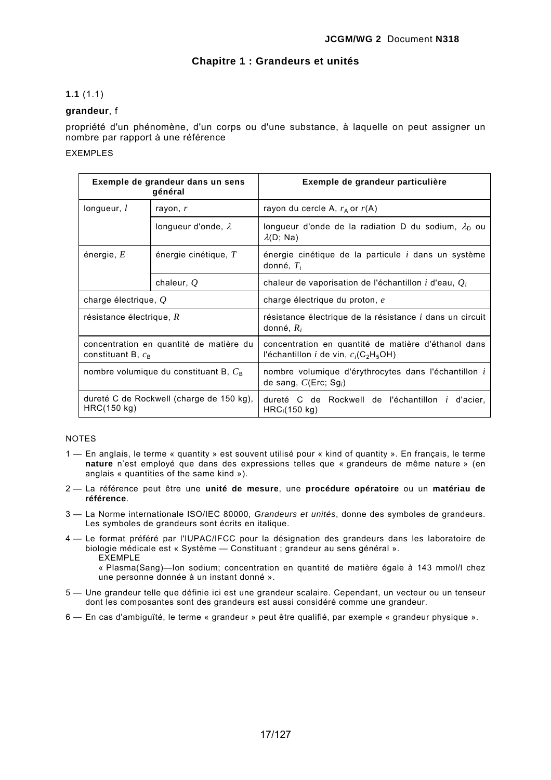## **Chapitre 1 : Grandeurs et unités**

## **1.1** (1.1)

## **grandeur**, f

propriété d'un phénomène, d'un corps ou d'une substance, à laquelle on peut assigner un nombre par rapport à une référence

## EXEMPLES

| Exemple de grandeur dans un sens<br>général                                                                                                     |                                                                                                      | Exemple de grandeur particulière                                                                                               |  |
|-------------------------------------------------------------------------------------------------------------------------------------------------|------------------------------------------------------------------------------------------------------|--------------------------------------------------------------------------------------------------------------------------------|--|
| longueur, $l$<br>rayon, r                                                                                                                       |                                                                                                      | rayon du cercle A, $r_A$ or $r(A)$                                                                                             |  |
|                                                                                                                                                 | longueur d'onde, $\lambda$                                                                           | longueur d'onde de la radiation D du sodium, $\lambda_{\rm D}$ ou<br>$\lambda(D;$ Na)                                          |  |
| énergie, $E$                                                                                                                                    | énergie cinétique, $T$<br>énergie cinétique de la particule <i>i</i> dans un système<br>donné, $T_i$ |                                                                                                                                |  |
|                                                                                                                                                 | chaleur, $Q$                                                                                         | chaleur de vaporisation de l'échantillon i d'eau, $Q_i$                                                                        |  |
| charge électrique, $Q$                                                                                                                          |                                                                                                      | charge électrique du proton, e                                                                                                 |  |
| résistance électrique, $R$                                                                                                                      |                                                                                                      | résistance électrique de la résistance <i>i</i> dans un circuit<br>donné, $R_i$                                                |  |
| concentration en quantité de matière du<br>constituant B, $c_{\rm B}$                                                                           |                                                                                                      | concentration en quantité de matière d'éthanol dans<br>l'échantillon <i>i</i> de vin, $c_i$ (C <sub>2</sub> H <sub>5</sub> OH) |  |
| nombre volumique du constituant B, $C_{\rm B}$                                                                                                  |                                                                                                      | nombre volumique d'érythrocytes dans l'échantillon i<br>de sang, $C(\text{Enc}; Sg_i)$                                         |  |
| dureté C de Rockwell (charge de 150 kg),<br>dureté C de Rockwell de l'échantillon <i>i</i> d'acier,<br>HRC(150 kg)<br>HRC <sub>i</sub> (150 kg) |                                                                                                      |                                                                                                                                |  |

### NOTES

- 1 En anglais, le terme « quantity » est souvent utilisé pour « kind of quantity ». En français, le terme **nature** n'est employé que dans des expressions telles que « grandeurs de même nature » (en anglais « quantities of the same kind »).
- 2 La référence peut être une **unité de mesure**, une **procédure opératoire** ou un **matériau de référence**.
- 3 La Norme internationale ISO/IEC 80000, *Grandeurs et unités*, donne des symboles de grandeurs. Les symboles de grandeurs sont écrits en italique.
- 4 Le format préféré par l'IUPAC/IFCC pour la désignation des grandeurs dans les laboratoire de biologie médicale est « Système — Constituant ; grandeur au sens général ». EXEMPLE

« Plasma(Sang)—Ion sodium; concentration en quantité de matière égale à 143 mmol/l chez une personne donnée à un instant donné ».

- 5 Une grandeur telle que définie ici est une grandeur scalaire. Cependant, un vecteur ou un tenseur dont les composantes sont des grandeurs est aussi considéré comme une grandeur.
- 6 En cas d'ambiguïté, le terme « grandeur » peut être qualifié, par exemple « grandeur physique ».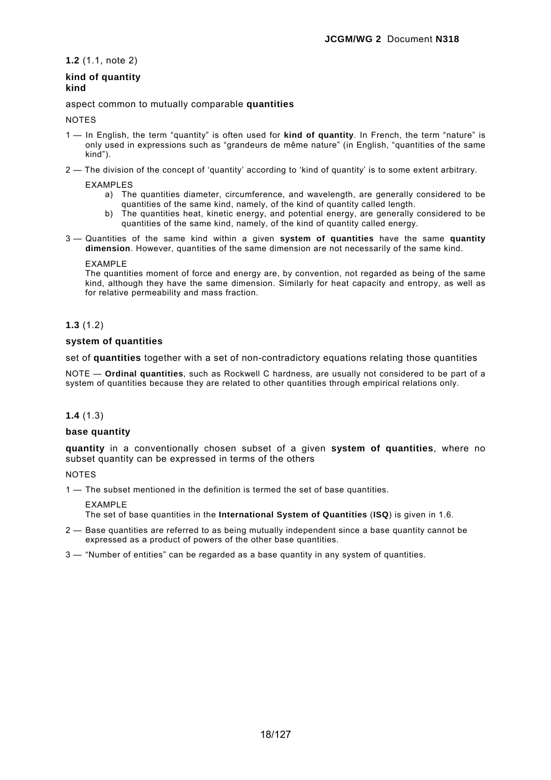**1.2** (1.1, note 2)

## **kind of quantity kind**

aspect common to mutually comparable **quantities** 

## **NOTES**

- 1 In English, the term "quantity" is often used for **kind of quantity**. In French, the term "nature" is only used in expressions such as "grandeurs de même nature" (in English, "quantities of the same kind").
- 2 The division of the concept of 'quantity' according to 'kind of quantity' is to some extent arbitrary.

EXAMPLES

- a) The quantities diameter, circumference, and wavelength, are generally considered to be quantities of the same kind, namely, of the kind of quantity called length.
- b) The quantities heat, kinetic energy, and potential energy, are generally considered to be quantities of the same kind, namely, of the kind of quantity called energy.
- 3 Quantities of the same kind within a given **system of quantities** have the same **quantity dimension**. However, quantities of the same dimension are not necessarily of the same kind.

**EXAMPLE** 

The quantities moment of force and energy are, by convention, not regarded as being of the same kind, although they have the same dimension. Similarly for heat capacity and entropy, as well as for relative permeability and mass fraction.

## **1.3** (1.2)

## **system of quantities**

set of **quantities** together with a set of non-contradictory equations relating those quantities

NOTE — **Ordinal quantities**, such as Rockwell C hardness, are usually not considered to be part of a system of quantities because they are related to other quantities through empirical relations only.

## **1.4** (1.3)

## **base quantity**

**quantity** in a conventionally chosen subset of a given **system of quantities**, where no subset quantity can be expressed in terms of the others

**NOTES** 

1 — The subset mentioned in the definition is termed the set of base quantities.

EXAMPLE

The set of base quantities in the **International System of Quantities** (**ISQ**) is given in 1.6.

- 2 Base quantities are referred to as being mutually independent since a base quantity cannot be expressed as a product of powers of the other base quantities.
- 3 "Number of entities" can be regarded as a base quantity in any system of quantities.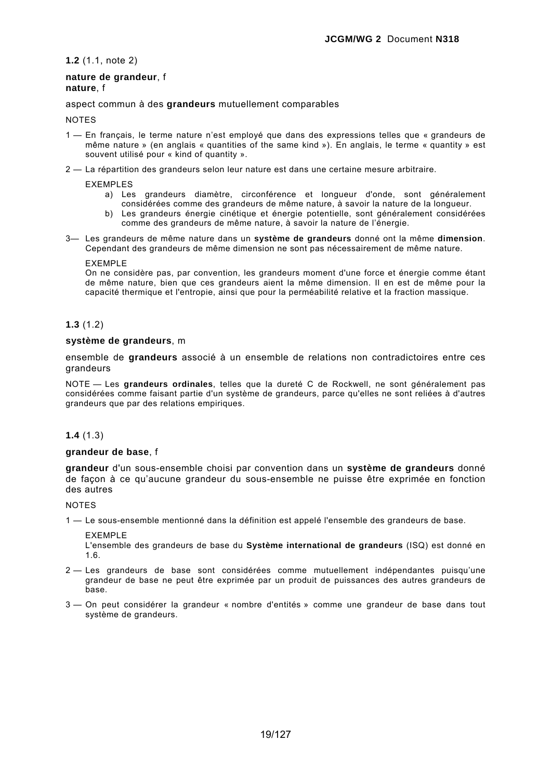**1.2** (1.1, note 2)

## **nature de grandeur**, f **nature**, f

## aspect commun à des **grandeurs** mutuellement comparables

### **NOTES**

- 1 En français, le terme nature n'est employé que dans des expressions telles que « grandeurs de même nature » (en anglais « quantities of the same kind »). En anglais, le terme « quantity » est souvent utilisé pour « kind of quantity ».
- 2 La répartition des grandeurs selon leur nature est dans une certaine mesure arbitraire.

EXEMPLES

- a) Les grandeurs diamètre, circonférence et longueur d'onde, sont généralement considérées comme des grandeurs de même nature, à savoir la nature de la longueur.
- b) Les grandeurs énergie cinétique et énergie potentielle, sont généralement considérées comme des grandeurs de même nature, à savoir la nature de l'énergie.
- 3— Les grandeurs de même nature dans un **système de grandeurs** donné ont la même **dimension**. Cependant des grandeurs de même dimension ne sont pas nécessairement de même nature.

EXEMPLE

On ne considère pas, par convention, les grandeurs moment d'une force et énergie comme étant de même nature, bien que ces grandeurs aient la même dimension. Il en est de même pour la capacité thermique et l'entropie, ainsi que pour la perméabilité relative et la fraction massique.

## **1.3** (1.2)

### **système de grandeurs**, m

ensemble de **grandeurs** associé à un ensemble de relations non contradictoires entre ces grandeurs

NOTE — Les **grandeurs ordinales**, telles que la dureté C de Rockwell, ne sont généralement pas considérées comme faisant partie d'un système de grandeurs, parce qu'elles ne sont reliées à d'autres grandeurs que par des relations empiriques.

## **1.4** (1.3)

## **grandeur de base**, f

**grandeur** d'un sous-ensemble choisi par convention dans un **système de grandeurs** donné de façon à ce qu'aucune grandeur du sous-ensemble ne puisse être exprimée en fonction des autres

**NOTES** 

1 — Le sous-ensemble mentionné dans la définition est appelé l'ensemble des grandeurs de base.

EXEMPLE

L'ensemble des grandeurs de base du **Système international de grandeurs** (ISQ) est donné en 1.6.

- 2 Les grandeurs de base sont considérées comme mutuellement indépendantes puisqu'une grandeur de base ne peut être exprimée par un produit de puissances des autres grandeurs de base.
- 3 On peut considérer la grandeur « nombre d'entités » comme une grandeur de base dans tout système de grandeurs.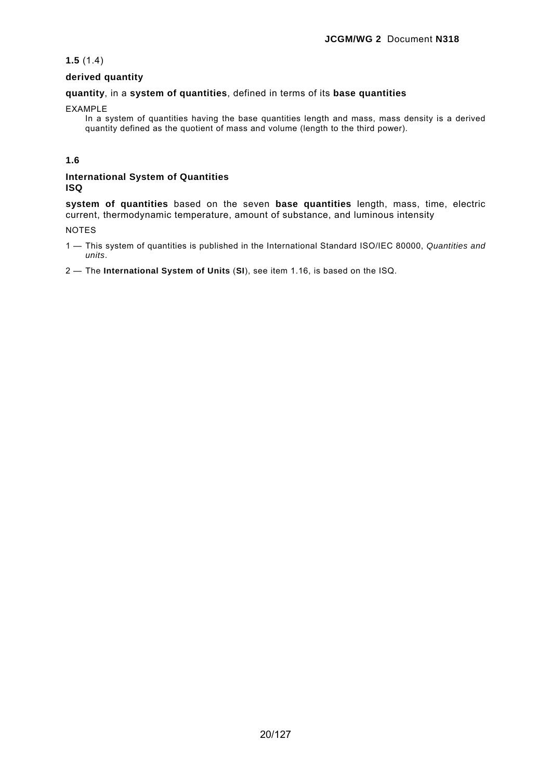## **1.5** (1.4)

## **derived quantity**

## **quantity**, in a **system of quantities**, defined in terms of its **base quantities**

### EXAMPLE

In a system of quantities having the base quantities length and mass, mass density is a derived quantity defined as the quotient of mass and volume (length to the third power).

## **1.6**

## **International System of Quantities ISQ**

**system of quantities** based on the seven **base quantities** length, mass, time, electric current, thermodynamic temperature, amount of substance, and luminous intensity

## NOTES

1 — This system of quantities is published in the International Standard ISO/IEC 80000, *Quantities and units*.

2 — The **International System of Units** (**SI**), see item 1.16, is based on the ISQ.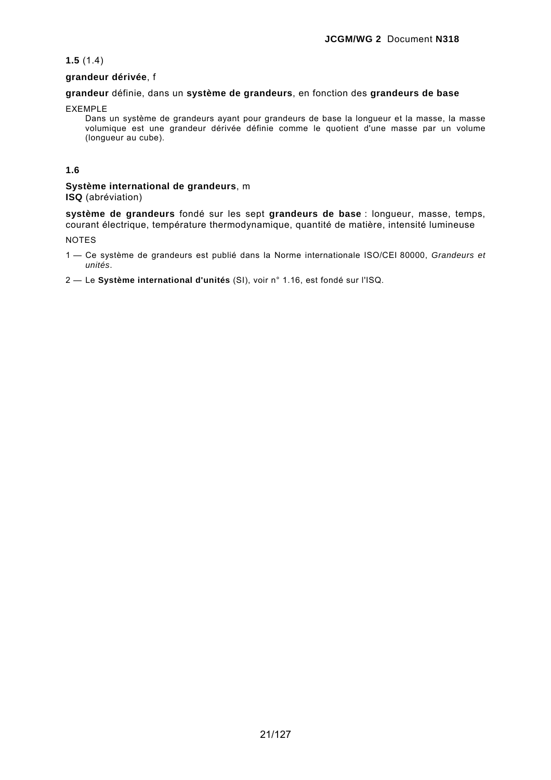## **1.5** (1.4)

## **grandeur dérivée**, f

## **grandeur** définie, dans un **système de grandeurs**, en fonction des **grandeurs de base**

## EXEMPLE

Dans un système de grandeurs ayant pour grandeurs de base la longueur et la masse, la masse volumique est une grandeur dérivée définie comme le quotient d'une masse par un volume (longueur au cube).

## **1.6**

## **Système international de grandeurs**, m **ISQ** (abréviation)

**système de grandeurs** fondé sur les sept **grandeurs de base** : longueur, masse, temps, courant électrique, température thermodynamique, quantité de matière, intensité lumineuse

NOTES

- 1 Ce système de grandeurs est publié dans la Norme internationale ISO/CEI 80000, *Grandeurs et unités*.
- 2 Le **Système international d'unités** (SI), voir n° 1.16, est fondé sur l'ISQ.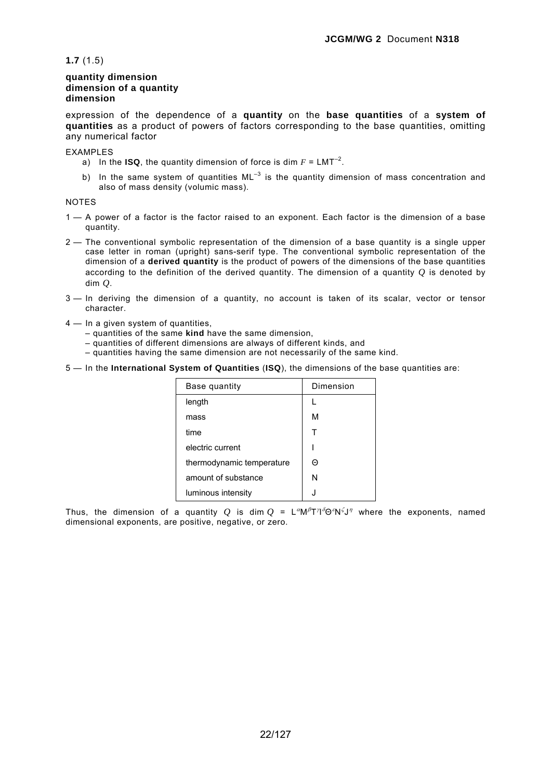**1.7** (1.5)

## **quantity dimension dimension of a quantity dimension**

expression of the dependence of a **quantity** on the **base quantities** of a **system of quantities** as a product of powers of factors corresponding to the base quantities, omitting any numerical factor

#### EXAMPLES

- a) In the **ISQ**, the quantity dimension of force is dim  $F = LMT^{-2}$ .
- b) In the same system of quantities  $ML^{-3}$  is the quantity dimension of mass concentration and also of mass density (volumic mass).

## **NOTES**

- 1 A power of a factor is the factor raised to an exponent. Each factor is the dimension of a base quantity.
- 2 The conventional symbolic representation of the dimension of a base quantity is a single upper case letter in roman (upright) sans-serif type. The conventional symbolic representation of the dimension of a **derived quantity** is the product of powers of the dimensions of the base quantities according to the definition of the derived quantity. The dimension of a quantity *Q* is denoted by dim *Q*.
- 3 In deriving the dimension of a quantity, no account is taken of its scalar, vector or tensor character.
- 4 In a given system of quantities.
	- quantities of the same **kind** have the same dimension,
	- quantities of different dimensions are always of different kinds, and
	- quantities having the same dimension are not necessarily of the same kind.
- 5 In the **International System of Quantities** (**ISQ**), the dimensions of the base quantities are:

| Base quantity             | Dimension |
|---------------------------|-----------|
| length                    |           |
| mass                      | М         |
| time                      |           |
| electric current          |           |
| thermodynamic temperature | Θ         |
| amount of substance       | N         |
| luminous intensity        | . I       |

Thus, the dimension of a quantity  $Q$  is dim  $Q = L^{\alpha}M^{\beta}T^{\gamma}\delta^{\alpha}N^{\zeta}J^{\gamma}$  where the exponents, named dimensional exponents, are positive, negative, or zero.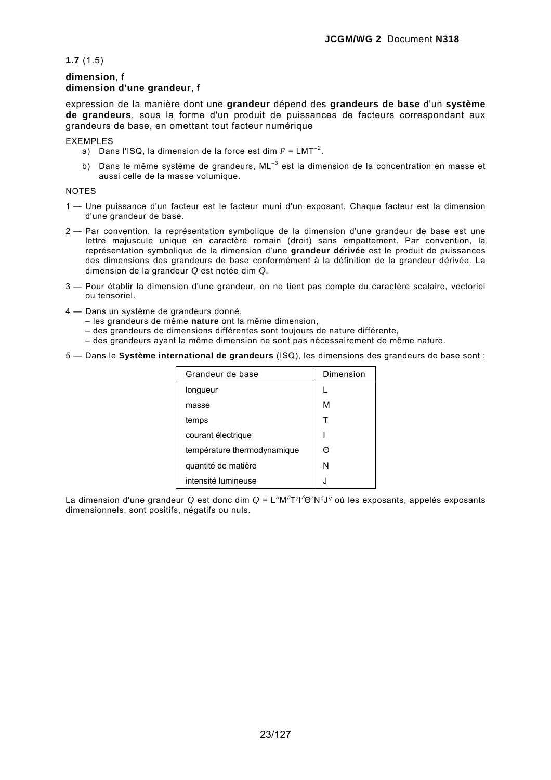**1.7** (1.5)

## **dimension**, f **dimension d'une grandeur**, f

expression de la manière dont une **grandeur** dépend des **grandeurs de base** d'un **système de grandeurs**, sous la forme d'un produit de puissances de facteurs correspondant aux grandeurs de base, en omettant tout facteur numérique

EXEMPLES

- a) Dans l'ISQ, la dimension de la force est dim  $F = LMT^{-2}$ .
- b) Dans le même système de grandeurs,  $ML^{-3}$  est la dimension de la concentration en masse et aussi celle de la masse volumique.

#### **NOTES**

- 1 Une puissance d'un facteur est le facteur muni d'un exposant. Chaque facteur est la dimension d'une grandeur de base.
- 2 Par convention, la représentation symbolique de la dimension d'une grandeur de base est une lettre majuscule unique en caractère romain (droit) sans empattement. Par convention, la représentation symbolique de la dimension d'une **grandeur dérivée** est le produit de puissances des dimensions des grandeurs de base conformément à la définition de la grandeur dérivée. La dimension de la grandeur *Q* est notée dim *Q*.
- 3 Pour établir la dimension d'une grandeur, on ne tient pas compte du caractère scalaire, vectoriel ou tensoriel.
- 4 Dans un système de grandeurs donné,
	- les grandeurs de même **nature** ont la même dimension,
		- des grandeurs de dimensions différentes sont toujours de nature différente,
	- des grandeurs ayant la même dimension ne sont pas nécessairement de même nature.
- 5 Dans le **Système international de grandeurs** (ISQ), les dimensions des grandeurs de base sont :

| Grandeur de base            | Dimension |
|-----------------------------|-----------|
| longueur                    |           |
| masse                       | м         |
| temps                       | т         |
| courant électrique          |           |
| température thermodynamique | $\Theta$  |
| quantité de matière         | N         |
| intensité lumineuse         | J.        |

La dimension d'une grandeur *Q* est donc dim *Q* = L"M<sup>β</sup>T'l'Θ°N<sup>ζ</sup>J" où les exposants, appelés exposants dimensionnels, sont positifs, négatifs ou nuls.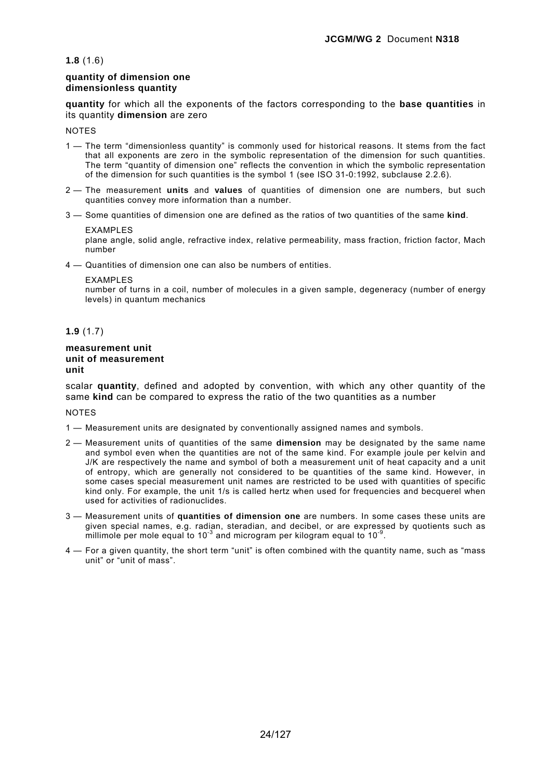#### **1.8** (1.6)

### **quantity of dimension one dimensionless quantity**

**quantity** for which all the exponents of the factors corresponding to the **base quantities** in its quantity **dimension** are zero

**NOTES** 

- 1 The term "dimensionless quantity" is commonly used for historical reasons. It stems from the fact that all exponents are zero in the symbolic representation of the dimension for such quantities. The term "quantity of dimension one" reflects the convention in which the symbolic representation of the dimension for such quantities is the symbol 1 (see ISO 31-0:1992, subclause 2.2.6).
- 2 The measurement **units** and **values** of quantities of dimension one are numbers, but such quantities convey more information than a number.
- 3 Some quantities of dimension one are defined as the ratios of two quantities of the same **kind**.

#### EXAMPLES

plane angle, solid angle, refractive index, relative permeability, mass fraction, friction factor, Mach number

4 — Quantities of dimension one can also be numbers of entities.

#### EXAMPLES

number of turns in a coil, number of molecules in a given sample, degeneracy (number of energy levels) in quantum mechanics

## **1.9** (1.7)

#### **measurement unit unit of measurement unit**

scalar **quantity**, defined and adopted by convention, with which any other quantity of the same **kind** can be compared to express the ratio of the two quantities as a number

## **NOTES**

- 1 Measurement units are designated by conventionally assigned names and symbols.
- 2 Measurement units of quantities of the same **dimension** may be designated by the same name and symbol even when the quantities are not of the same kind. For example joule per kelvin and J/K are respectively the name and symbol of both a measurement unit of heat capacity and a unit of entropy, which are generally not considered to be quantities of the same kind. However, in some cases special measurement unit names are restricted to be used with quantities of specific kind only. For example, the unit 1/s is called hertz when used for frequencies and becquerel when used for activities of radionuclides.
- 3 Measurement units of **quantities of dimension one** are numbers. In some cases these units are given special names, e.g. radian, steradian, and decibel, or are expressed by quotients such as millimole per mole equal to 10<sup>-3</sup> and microgram per kilogram equal to 10<sup>-9</sup>.
- 4 For a given quantity, the short term "unit" is often combined with the quantity name, such as "mass unit" or "unit of mass".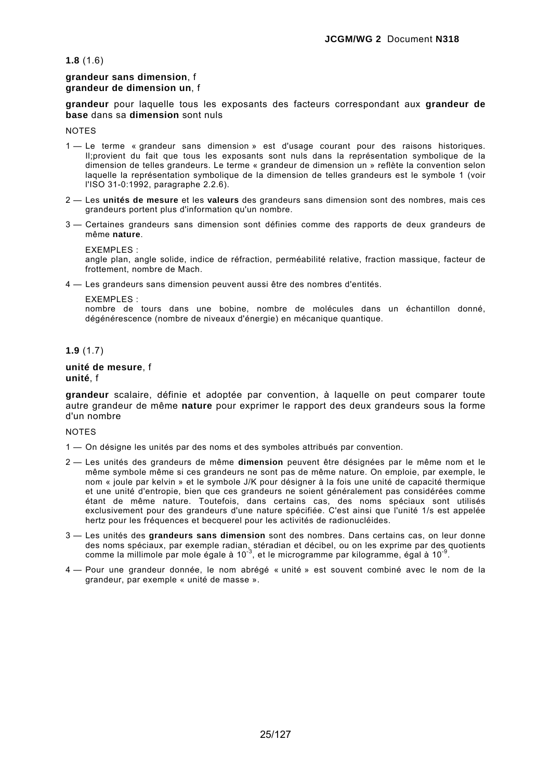**1.8** (1.6)

### **grandeur sans dimension**, f **grandeur de dimension un**, f

**grandeur** pour laquelle tous les exposants des facteurs correspondant aux **grandeur de base** dans sa **dimension** sont nuls

**NOTES** 

- 1 Le terme « grandeur sans dimension » est d'usage courant pour des raisons historiques. Il;provient du fait que tous les exposants sont nuls dans la représentation symbolique de la dimension de telles grandeurs. Le terme « grandeur de dimension un » reflète la convention selon laquelle la représentation symbolique de la dimension de telles grandeurs est le symbole 1 (voir l'ISO 31-0:1992, paragraphe 2.2.6).
- 2 Les **unités de mesure** et les **valeurs** des grandeurs sans dimension sont des nombres, mais ces grandeurs portent plus d'information qu'un nombre.
- 3 Certaines grandeurs sans dimension sont définies comme des rapports de deux grandeurs de même **nature**.

**EXEMPLES** angle plan, angle solide, indice de réfraction, perméabilité relative, fraction massique, facteur de frottement, nombre de Mach.

4 — Les grandeurs sans dimension peuvent aussi être des nombres d'entités.

EXEMPLES :

nombre de tours dans une bobine, nombre de molécules dans un échantillon donné, dégénérescence (nombre de niveaux d'énergie) en mécanique quantique.

#### **1.9** (1.7)

#### **unité de mesure**, f **unité**, f

**grandeur** scalaire, définie et adoptée par convention, à laquelle on peut comparer toute autre grandeur de même **nature** pour exprimer le rapport des deux grandeurs sous la forme d'un nombre

NOTES

- 1 On désigne les unités par des noms et des symboles attribués par convention.
- 2 Les unités des grandeurs de même **dimension** peuvent être désignées par le même nom et le même symbole même si ces grandeurs ne sont pas de même nature. On emploie, par exemple, le nom « joule par kelvin » et le symbole J/K pour désigner à la fois une unité de capacité thermique et une unité d'entropie, bien que ces grandeurs ne soient généralement pas considérées comme étant de même nature. Toutefois, dans certains cas, des noms spéciaux sont utilisés exclusivement pour des grandeurs d'une nature spécifiée. C'est ainsi que l'unité 1/s est appelée hertz pour les fréquences et becquerel pour les activités de radionucléides.
- 3 Les unités des **grandeurs sans dimension** sont des nombres. Dans certains cas, on leur donne des noms spéciaux, par exemple radian, stéradian et décibel, ou on les exprime par des quotients comme la millimole par mole égale à 10<sup>-3</sup>, et le microgramme par kilogramme, égal à 10<sup>-9</sup>.
- 4 Pour une grandeur donnée, le nom abrégé « unité » est souvent combiné avec le nom de la grandeur, par exemple « unité de masse ».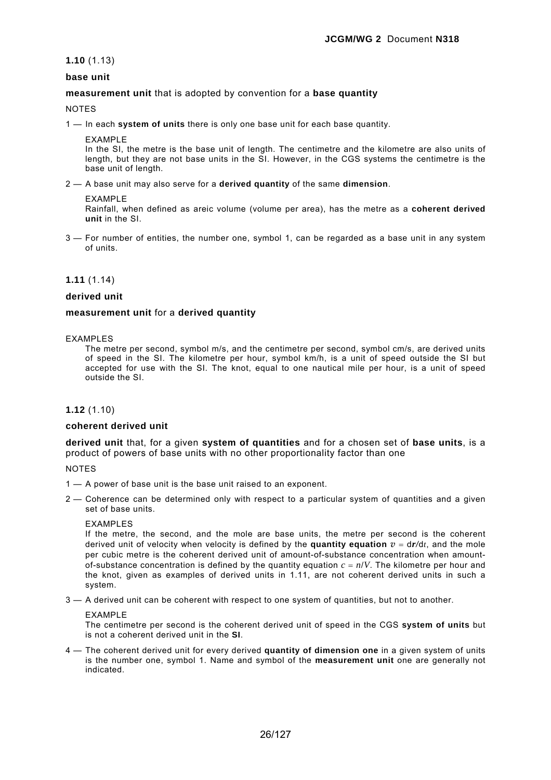**1.10** (1.13)

## **base unit**

### **measurement unit** that is adopted by convention for a **base quantity**

NOTES

1 — In each **system of units** there is only one base unit for each base quantity.

EXAMPLE

In the SI, the metre is the base unit of length. The centimetre and the kilometre are also units of length, but they are not base units in the SI. However, in the CGS systems the centimetre is the base unit of length.

2 — A base unit may also serve for a **derived quantity** of the same **dimension**.

#### **FXAMPLE**

Rainfall, when defined as areic volume (volume per area), has the metre as a **coherent derived unit** in the SI.

3 — For number of entities, the number one, symbol 1, can be regarded as a base unit in any system of units.

#### **1.11** (1.14)

#### **derived unit**

#### **measurement unit** for a **derived quantity**

#### EXAMPLES

The metre per second, symbol m/s, and the centimetre per second, symbol cm/s, are derived units of speed in the SI. The kilometre per hour, symbol km/h, is a unit of speed outside the SI but accepted for use with the SI. The knot, equal to one nautical mile per hour, is a unit of speed outside the SI.

### **1.12** (1.10)

#### **coherent derived unit**

**derived unit** that, for a given **system of quantities** and for a chosen set of **base units**, is a product of powers of base units with no other proportionality factor than one

**NOTES** 

- 1 A power of base unit is the base unit raised to an exponent.
- 2 Coherence can be determined only with respect to a particular system of quantities and a given set of base units.

### EXAMPLES

If the metre, the second, and the mole are base units, the metre per second is the coherent derived unit of velocity when velocity is defined by the **quantity equation**  $v = dr/dt$ , and the mole per cubic metre is the coherent derived unit of amount-of-substance concentration when amountof-substance concentration is defined by the quantity equation  $c = n/V$ . The kilometre per hour and the knot, given as examples of derived units in 1.11, are not coherent derived units in such a system.

3 — A derived unit can be coherent with respect to one system of quantities, but not to another.

#### EXAMPLE

The centimetre per second is the coherent derived unit of speed in the CGS **system of units** but is not a coherent derived unit in the **SI**.

4 — The coherent derived unit for every derived **quantity of dimension one** in a given system of units is the number one, symbol 1. Name and symbol of the **measurement unit** one are generally not indicated.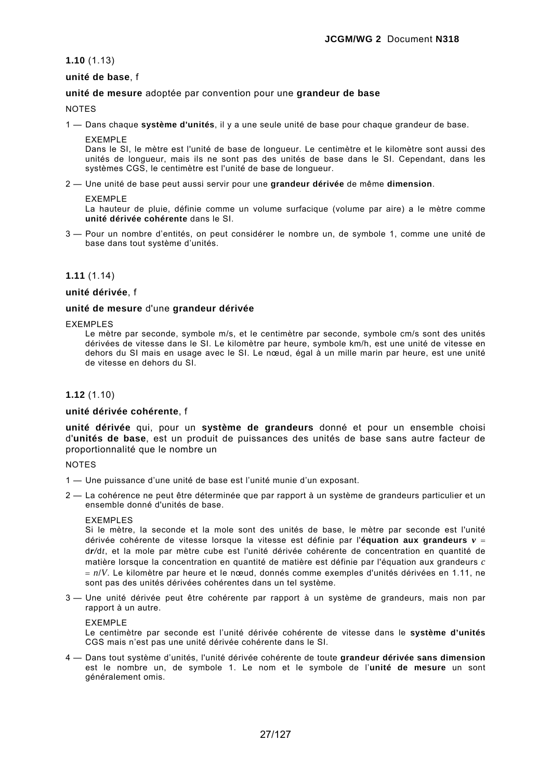## **1.10** (1.13)

## **unité de base**, f

## **unité de mesure** adoptée par convention pour une **grandeur de base**

**NOTES** 

1 — Dans chaque **système d'unités**, il y a une seule unité de base pour chaque grandeur de base.

#### EXEMPLE

Dans le SI, le mètre est l'unité de base de longueur. Le centimètre et le kilomètre sont aussi des unités de longueur, mais ils ne sont pas des unités de base dans le SI. Cependant, dans les systèmes CGS, le centimètre est l'unité de base de longueur.

2 — Une unité de base peut aussi servir pour une **grandeur dérivée** de même **dimension**.

#### EXEMPLE

La hauteur de pluie, définie comme un volume surfacique (volume par aire) a le mètre comme **unité dérivée cohérente** dans le SI.

3 — Pour un nombre d'entités, on peut considérer le nombre un, de symbole 1, comme une unité de base dans tout système d'unités.

### **1.11** (1.14)

**unité dérivée**, f

## **unité de mesure** d'une **grandeur dérivée**

#### EXEMPLES

Le mètre par seconde, symbole m/s, et le centimètre par seconde, symbole cm/s sont des unités dérivées de vitesse dans le SI. Le kilomètre par heure, symbole km/h, est une unité de vitesse en dehors du SI mais en usage avec le SI. Le nœud, égal à un mille marin par heure, est une unité de vitesse en dehors du SI.

## **1.12** (1.10)

### **unité dérivée cohérente**, f

**unité dérivée** qui, pour un **système de grandeurs** donné et pour un ensemble choisi d'**unités de base**, est un produit de puissances des unités de base sans autre facteur de proportionnalité que le nombre un

#### NOTES

- 1 Une puissance d'une unité de base est l'unité munie d'un exposant.
- 2 La cohérence ne peut être déterminée que par rapport à un système de grandeurs particulier et un ensemble donné d'unités de base.

### EXEMPLES

Si le mètre, la seconde et la mole sont des unités de base, le mètre par seconde est l'unité dérivée cohérente de vitesse lorsque la vitesse est définie par l'**équation aux grandeurs** *v* = d*r/*d*t*, et la mole par mètre cube est l'unité dérivée cohérente de concentration en quantité de matière lorsque la concentration en quantité de matière est définie par l'équation aux grandeurs *c* = *n*/*V*. Le kilomètre par heure et le nœud, donnés comme exemples d'unités dérivées en 1.11, ne sont pas des unités dérivées cohérentes dans un tel système.

3 — Une unité dérivée peut être cohérente par rapport à un système de grandeurs, mais non par rapport à un autre.

#### EXEMPLE

Le centimètre par seconde est l'unité dérivée cohérente de vitesse dans le **système d'unités** CGS mais n'est pas une unité dérivée cohérente dans le SI.

4 — Dans tout système d'unités, l'unité dérivée cohérente de toute **grandeur dérivée sans dimension** est le nombre un, de symbole 1. Le nom et le symbole de l'**unité de mesure** un sont généralement omis.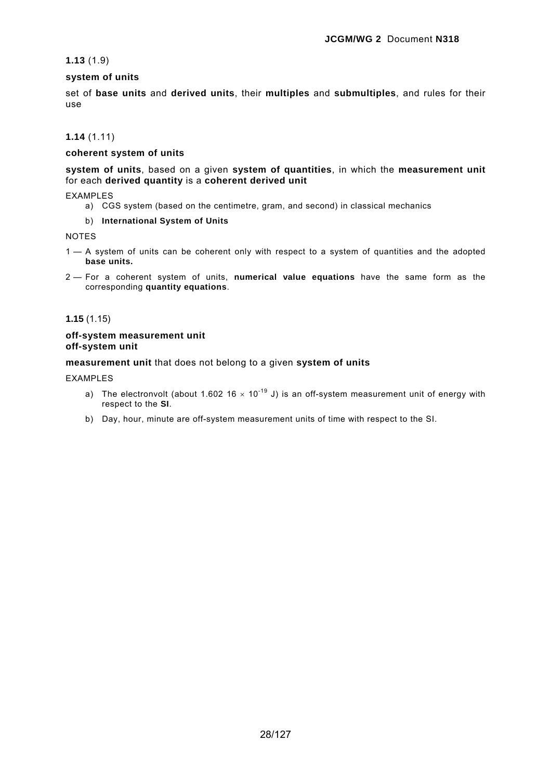## **1.13** (1.9)

## **system of units**

set of **base units** and **derived units**, their **multiples** and **submultiples**, and rules for their use

## **1.14** (1.11)

## **coherent system of units**

**system of units**, based on a given **system of quantities**, in which the **measurement unit** for each **derived quantity** is a **coherent derived unit**

EXAMPLES

a) CGS system (based on the centimetre, gram, and second) in classical mechanics

### b) **International System of Units**

NOTES

- 1 A system of units can be coherent only with respect to a system of quantities and the adopted **base units.**
- 2 For a coherent system of units, **numerical value equations** have the same form as the corresponding **quantity equations**.

## **1.15** (1.15)

#### **off-system measurement unit off-system unit**

## **measurement unit** that does not belong to a given **system of units**

EXAMPLES

- a) The electronvolt (about 1.602 16  $\times$  10<sup>-19</sup> J) is an off-system measurement unit of energy with respect to the **SI**.
- b) Day, hour, minute are off-system measurement units of time with respect to the SI.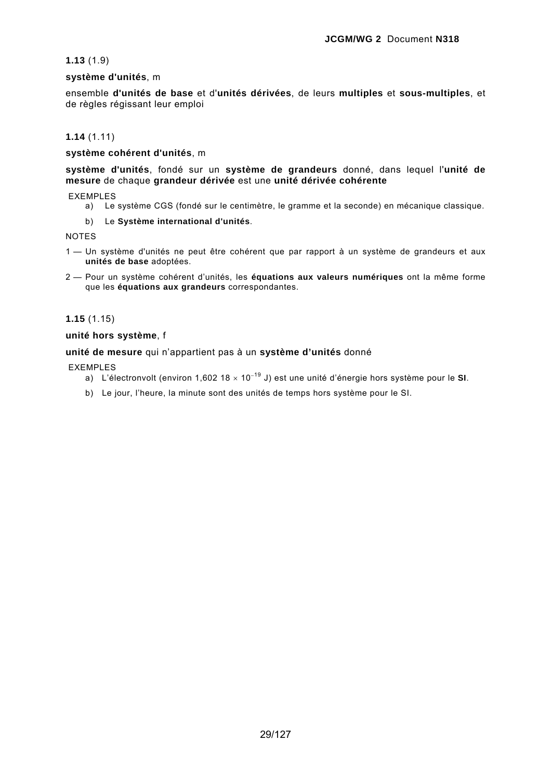## **1.13** (1.9)

## **système d'unités**, m

ensemble **d'unités de base** et d'**unités dérivées**, de leurs **multiples** et **sous-multiples**, et de règles régissant leur emploi

## **1.14** (1.11)

## **système cohérent d'unités**, m

**système d'unités**, fondé sur un **système de grandeurs** donné, dans lequel l'**unité de mesure** de chaque **grandeur dérivée** est une **unité dérivée cohérente**

EXEMPLES

a) Le système CGS (fondé sur le centimètre, le gramme et la seconde) en mécanique classique.

## b) Le **Système international d'unités**.

NOTES

- 1 Un système d'unités ne peut être cohérent que par rapport à un système de grandeurs et aux **unités de base** adoptées.
- 2 Pour un système cohérent d'unités, les **équations aux valeurs numériques** ont la même forme que les **équations aux grandeurs** correspondantes.

## **1.15** (1.15)

### **unité hors système**, f

## **unité de mesure** qui n'appartient pas à un **système d'unités** donné

### EXEMPLES

- a) L'électronvolt (environ 1,602 18 × 10<sup>−</sup>19 J) est une unité d'énergie hors système pour le **SI**.
- b) Le jour, l'heure, la minute sont des unités de temps hors système pour le SI.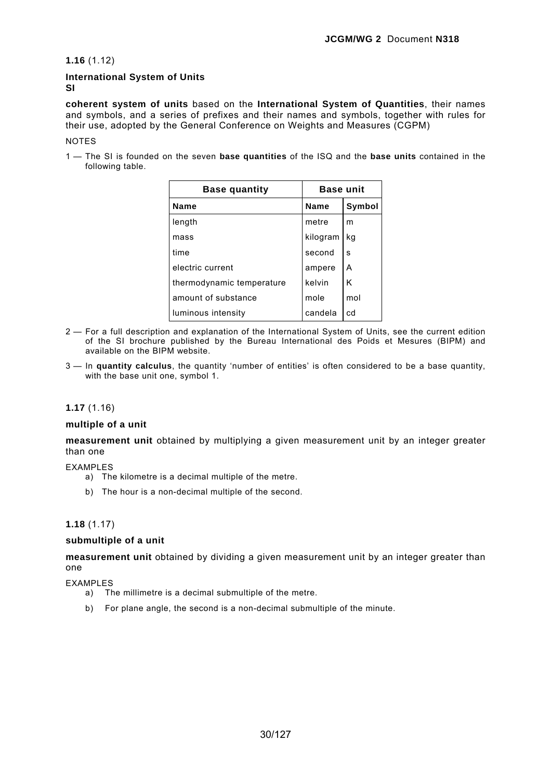**1.16** (1.12)

## **International System of Units SI**

**coherent system of units** based on the **International System of Quantities**, their names and symbols, and a series of prefixes and their names and symbols, together with rules for their use, adopted by the General Conference on Weights and Measures (CGPM)

### **NOTES**

1 — The SI is founded on the seven **base quantities** of the ISQ and the **base units** contained in the following table.

| <b>Base quantity</b>      | <b>Base unit</b> |        |
|---------------------------|------------------|--------|
| <b>Name</b>               | <b>Name</b>      | Symbol |
| length                    | metre            | m      |
| mass                      | kilogram         | kq     |
| time                      | second           | s      |
| electric current          | ampere           | A      |
| thermodynamic temperature | kelvin           | K      |
| amount of substance       | mole             | mol    |
| luminous intensity        | candela          | cd     |

- 2 For a full description and explanation of the International System of Units, see the current edition of the SI brochure published by the Bureau International des Poids et Mesures (BIPM) and available on the BIPM website.
- 3 In **quantity calculus**, the quantity 'number of entities' is often considered to be a base quantity, with the base unit one, symbol 1.

### **1.17** (1.16)

## **multiple of a unit**

**measurement unit** obtained by multiplying a given measurement unit by an integer greater than one

### EXAMPLES

- a) The kilometre is a decimal multiple of the metre.
- b) The hour is a non-decimal multiple of the second.

## **1.18** (1.17)

### **submultiple of a unit**

**measurement unit** obtained by dividing a given measurement unit by an integer greater than one

EXAMPLES

- a) The millimetre is a decimal submultiple of the metre.
- b) For plane angle, the second is a non-decimal submultiple of the minute.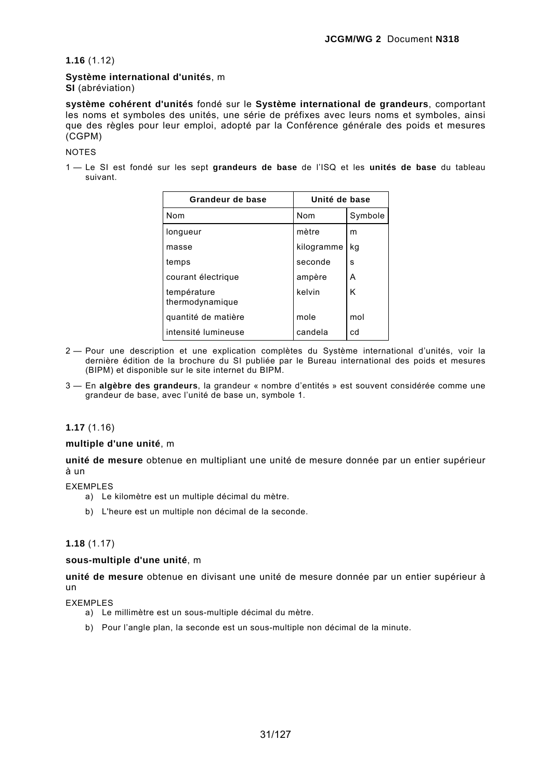## **1.16** (1.12)

# **Système international d'unités**, m

**SI** (abréviation)

**système cohérent d'unités** fondé sur le **Système international de grandeurs**, comportant les noms et symboles des unités, une série de préfixes avec leurs noms et symboles, ainsi que des règles pour leur emploi, adopté par la Conférence générale des poids et mesures (CGPM)

## NOTES

1 — Le SI est fondé sur les sept **grandeurs de base** de l'ISQ et les **unités de base** du tableau suivant.

| Grandeur de base               | Unité de base |         |
|--------------------------------|---------------|---------|
| Nom                            | Nom           | Symbole |
| longueur                       | mètre         | m       |
| masse                          | kilogramme    | kq      |
| temps                          | seconde       | s       |
| courant électrique             | ampère        | A       |
| température<br>thermodynamique | kelvin        | K       |
| quantité de matière            | mole          | mol     |
| intensité lumineuse            | candela       | cd      |

- 2 Pour une description et une explication complètes du Système international d'unités, voir la dernière édition de la brochure du SI publiée par le Bureau international des poids et mesures (BIPM) et disponible sur le site internet du BIPM.
- 3 En **algèbre des grandeurs**, la grandeur « nombre d'entités » est souvent considérée comme une grandeur de base, avec l'unité de base un, symbole 1.

## **1.17** (1.16)

### **multiple d'une unité**, m

**unité de mesure** obtenue en multipliant une unité de mesure donnée par un entier supérieur à un

EXEMPLES

- a) Le kilomètre est un multiple décimal du mètre.
- b) L'heure est un multiple non décimal de la seconde.

## **1.18** (1.17)

### **sous-multiple d'une unité**, m

**unité de mesure** obtenue en divisant une unité de mesure donnée par un entier supérieur à un

EXEMPLES

- a) Le millimètre est un sous-multiple décimal du mètre.
- b) Pour l'angle plan, la seconde est un sous-multiple non décimal de la minute.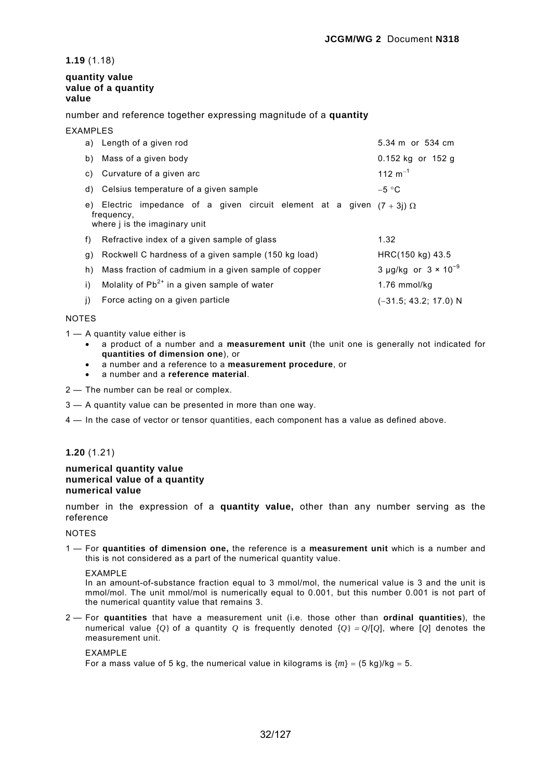**1.19** (1.18)

## **quantity value value of a quantity value**

number and reference together expressing magnitude of a **quantity** 

EXAMPLES

|    | a) Length of a given rod                                                                                                              | 5.34 m or 534 cm              |
|----|---------------------------------------------------------------------------------------------------------------------------------------|-------------------------------|
|    | b) Mass of a given body                                                                                                               | 0.152 kg or 152 g             |
|    | c) Curvature of a given arc                                                                                                           | 112 $m^{-1}$                  |
|    | d) Celsius temperature of a given sample                                                                                              | $-5 °C$                       |
|    | e) Electric impedance of a given circuit element at a given $(7 + 3i)$ $\Omega$<br>frequency,<br>where <i>i</i> is the imaginary unit |                               |
|    | f) Refractive index of a given sample of glass                                                                                        | 1.32                          |
| g) | Rockwell C hardness of a given sample (150 kg load)                                                                                   | HRC(150 kg) 43.5              |
|    | h) Mass fraction of cadmium in a given sample of copper                                                                               | 3 µg/kg or $3 \times 10^{-9}$ |
| i) | Molality of $Pb^{2+}$ in a given sample of water                                                                                      | 1.76 mmol/kg                  |
| j) | Force acting on a given particle                                                                                                      | $(-31.5; 43.2; 17.0)$ N       |

## NOTES

1 — A quantity value either is

- a product of a number and a **measurement unit** (the unit one is generally not indicated for **quantities of dimension one**), or
- a number and a reference to a **measurement procedure**, or
- a number and a **reference material**.

2 — The number can be real or complex.

- 3 A quantity value can be presented in more than one way.
- 4 In the case of vector or tensor quantities, each component has a value as defined above.

## **1.20** (1.21)

#### **numerical quantity value numerical value of a quantity numerical value**

number in the expression of a **quantity value,** other than any number serving as the reference

### NOTES

1 — For **quantities of dimension one,** the reference is a **measurement unit** which is a number and this is not considered as a part of the numerical quantity value.

### EXAMPLE

In an amount-of-substance fraction equal to 3 mmol/mol, the numerical value is 3 and the unit is mmol/mol. The unit mmol/mol is numerically equal to 0.001, but this number 0.001 is not part of the numerical quantity value that remains 3.

2 — For **quantities** that have a measurement unit (i.e. those other than **ordinal quantities**), the numerical value  $\{0\}$  of a quantity *Q* is frequently denoted  $\{0\} = O/[O]$ , where  $[O]$  denotes the measurement unit.

## EXAMPLE

For a mass value of 5 kg, the numerical value in kilograms is  $\{m\} = (5 \text{ kg})/kg = 5$ .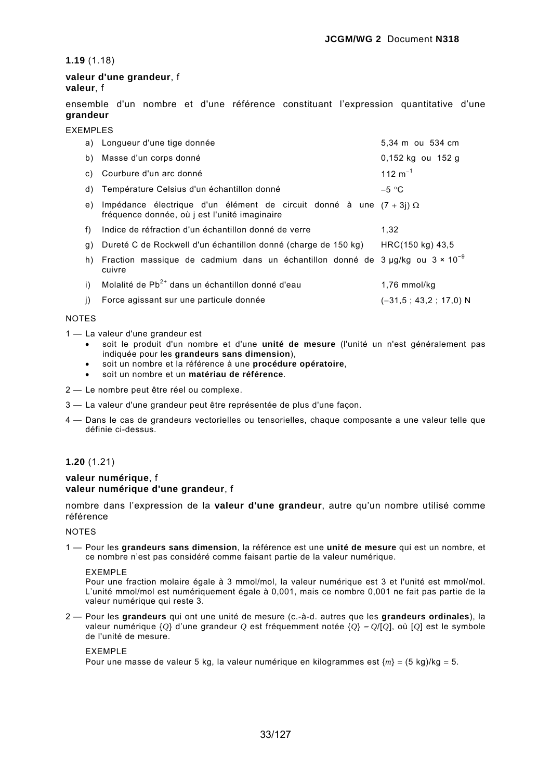## **1.19** (1.18)

## **valeur d'une grandeur**, f **valeur**, f

ensemble d'un nombre et d'une référence constituant l'expression quantitative d'une **grandeur**

EXEMPLES

|    | a) Longueur d'une tige donnée                                                                                                 | 5,34 m ou 534 cm        |
|----|-------------------------------------------------------------------------------------------------------------------------------|-------------------------|
| b) | Masse d'un corps donné                                                                                                        | 0,152 kg ou 152 g       |
| C) | Courbure d'un arc donné                                                                                                       | 112 $m^{-1}$            |
| d) | Température Celsius d'un échantillon donné                                                                                    | $-5 °C$                 |
| e) | Impédance électrique d'un élément de circuit donné à une $(7 + 3i)$ $\Omega$<br>fréquence donnée, où j est l'unité imaginaire |                         |
| f) | Indice de réfraction d'un échantillon donné de verre                                                                          | 1.32                    |
| g) | Dureté C de Rockwell d'un échantillon donné (charge de 150 kg)                                                                | HRC(150 kg) 43.5        |
| h) | Fraction massique de cadmium dans un échantillon donné de $3 \mu g/kg$ ou $3 \times 10^{-9}$<br>cuivre                        |                         |
| i) | Molalité de Pb <sup>2+</sup> dans un échantillon donné d'eau                                                                  | $1.76$ mmol/kg          |
| i) | Force agissant sur une particule donnée                                                                                       | $(-31.5: 43.2: 17.0) N$ |

### NOTES

- 1 La valeur d'une grandeur est
	- soit le produit d'un nombre et d'une **unité de mesure** (l'unité un n'est généralement pas indiquée pour les **grandeurs sans dimension**),
	- soit un nombre et la référence à une **procédure opératoire**,
	- soit un nombre et un **matériau de référence**.
- 2 Le nombre peut être réel ou complexe.
- 3 La valeur d'une grandeur peut être représentée de plus d'une façon.
- 4 Dans le cas de grandeurs vectorielles ou tensorielles, chaque composante a une valeur telle que définie ci-dessus.

## **1.20** (1.21)

## **valeur numérique**, f **valeur numérique d'une grandeur**, f

nombre dans l'expression de la **valeur d'une grandeur**, autre qu'un nombre utilisé comme référence

NOTES

1 — Pour les **grandeurs sans dimension**, la référence est une **unité de mesure** qui est un nombre, et ce nombre n'est pas considéré comme faisant partie de la valeur numérique.

#### EXEMPLE

Pour une fraction molaire égale à 3 mmol/mol, la valeur numérique est 3 et l'unité est mmol/mol. L'unité mmol/mol est numériquement égale à 0,001, mais ce nombre 0,001 ne fait pas partie de la valeur numérique qui reste 3.

2 — Pour les **grandeurs** qui ont une unité de mesure (c.-à-d. autres que les **grandeurs ordinales**), la valeur numérique {*Q*} d'une grandeur *Q* est fréquemment notée {*Q*} <sup>=</sup> *Q*/[*Q*], où [*Q*] est le symbole de l'unité de mesure.

#### EXEMPLE

Pour une masse de valeur 5 kg, la valeur numérique en kilogrammes est {*m*} = (5 kg)/kg = 5.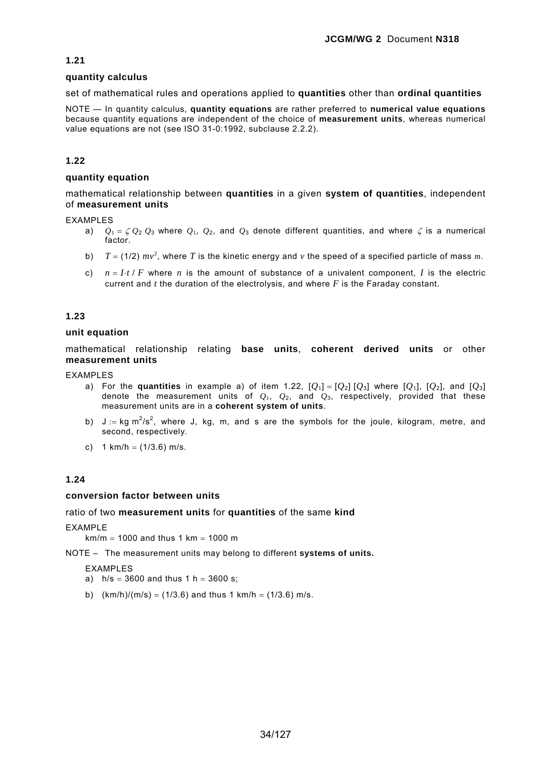## **1.21**

## **quantity calculus**

set of mathematical rules and operations applied to **quantities** other than **ordinal quantities** 

NOTE — In quantity calculus, **quantity equations** are rather preferred to **numerical value equations** because quantity equations are independent of the choice of **measurement units**, whereas numerical value equations are not (see ISO 31-0:1992, subclause 2.2.2).

## **1.22**

## **quantity equation**

mathematical relationship between **quantities** in a given **system of quantities**, independent of **measurement units** 

### EXAMPLES

- a)  $Q_1 = \zeta Q_2 Q_3$  where  $Q_1$ ,  $Q_2$ , and  $Q_3$  denote different quantities, and where  $\zeta$  is a numerical factor.
- b)  $T = (1/2) mv^2$ , where T is the kinetic energy and v the speed of a specified particle of mass m.
- c)  $n = I \cdot t / F$  where *n* is the amount of substance of a univalent component, *I* is the electric current and *t* the duration of the electrolysis, and where *F* is the Faraday constant.

## **1.23**

### **unit equation**

mathematical relationship relating **base units**, **coherent derived units** or other **measurement units**

EXAMPLES

- a) For the **quantities** in example a) of item 1.22,  $[Q_1] = [Q_2] [Q_3]$  where  $[Q_1]$ ,  $[Q_2]$ , and  $[Q_3]$ denote the measurement units of  $Q_1$ ,  $Q_2$ , and  $Q_3$ , respectively, provided that these measurement units are in a **coherent system of units**.
- b)  $J := kg m^2/s^2$ , where J, kg, m, and s are the symbols for the joule, kilogram, metre, and second, respectively.
- c)  $1 \text{ km/h} = (1/3.6) \text{ m/s}.$

## **1.24**

### **conversion factor between units**

### ratio of two **measurement units** for **quantities** of the same **kind**

EXAMPLE

 $km/m = 1000$  and thus 1 km = 1000 m

## NOTE – The measurement units may belong to different **systems of units.**

### EXAMPLES

- a)  $h/s = 3600$  and thus 1 h = 3600 s;
- b)  $(km/h)/(m/s) = (1/3.6)$  and thus 1 km/h = (1/3.6) m/s.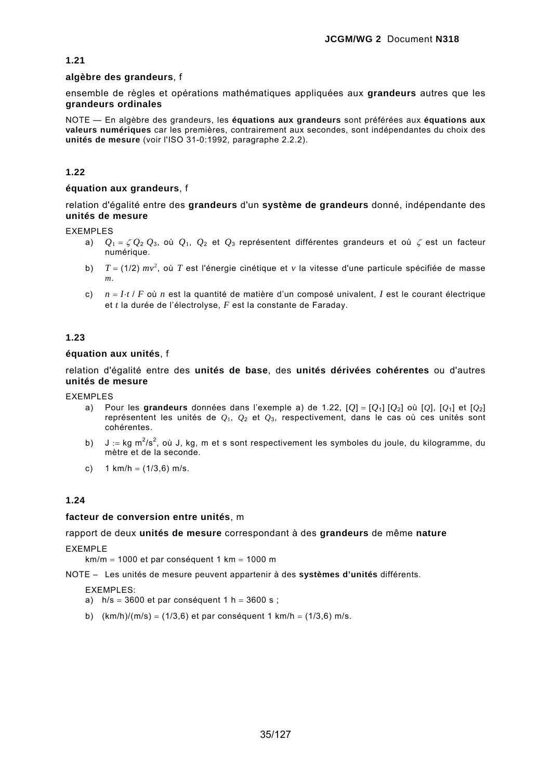## **1.21**

## **algèbre des grandeurs**, f

ensemble de règles et opérations mathématiques appliquées aux **grandeurs** autres que les **grandeurs ordinales**

NOTE — En algèbre des grandeurs, les **équations aux grandeurs** sont préférées aux **équations aux valeurs numériques** car les premières, contrairement aux secondes, sont indépendantes du choix des **unités de mesure** (voir l'ISO 31-0:1992, paragraphe 2.2.2).

## **1.22**

## **équation aux grandeurs**, f

relation d'égalité entre des **grandeurs** d'un **système de grandeurs** donné, indépendante des **unités de mesure**

EXEMPLES

- a) *Q*<sup>1</sup> = ζ *Q*<sup>2</sup> *Q*3, où *Q*1, *Q*2 et *Q*3 représentent différentes grandeurs et où ζ est un facteur numérique.
- b) *T* = (1/2) *mv*<sup>2</sup> , où *T* est l'énergie cinétique et *v* la vitesse d'une particule spécifiée de masse *m*.
- c) *n* = *I·t* / *F* où *n* est la quantité de matière d'un composé univalent, *I* est le courant électrique et *t* la durée de l'électrolyse, *F* est la constante de Faraday.

## **1.23**

## **équation aux unités**, f

relation d'égalité entre des **unités de base**, des **unités dérivées cohérentes** ou d'autres **unités de mesure**

EXEMPLES

- a) Pour les **grandeurs** données dans l'exemple a) de 1.22, [*Q*] = [*Q*1] [*Q*2] où [*Q*], [*Q*1] et [*Q*2] représentent les unités de *Q*1, *Q*2 et *Q*3, respectivement, dans le cas où ces unités sont cohérentes.
- b) J := kg m<sup>2</sup>/s<sup>2</sup>, où J, kg, m et s sont respectivement les symboles du joule, du kilogramme, du mètre et de la seconde.
- c)  $1 \text{ km/h} = (1/3, 6) \text{ m/s}.$

## **1.24**

### **facteur de conversion entre unités**, m

## rapport de deux **unités de mesure** correspondant à des **grandeurs** de même **nature** EXEMPLE

 $km/m = 1000$  et par conséquent 1 km = 1000 m

NOTE – Les unités de mesure peuvent appartenir à des **systèmes d'unités** différents.

EXEMPLES:

- a)  $h/s = 3600$  et par conséquent 1 h = 3600 s :
- b)  $(km/h)/(m/s) = (1/3,6)$  et par conséquent 1 km/h =  $(1/3,6)$  m/s.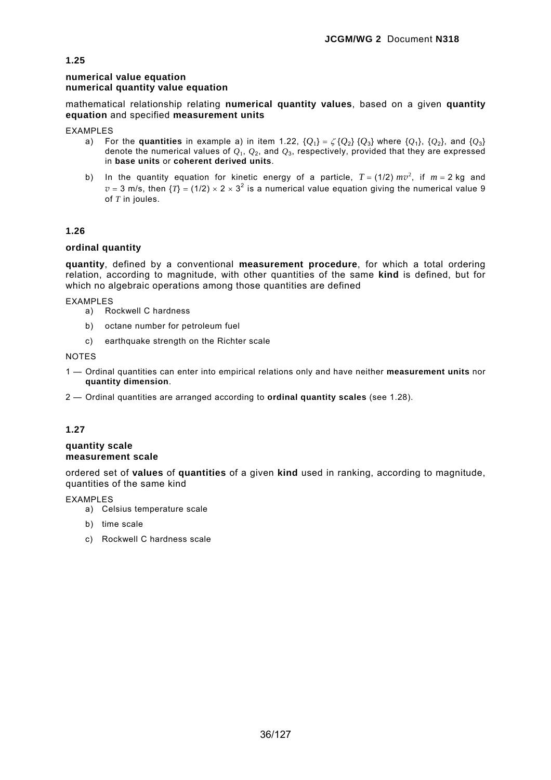## **numerical value equation numerical quantity value equation**

mathematical relationship relating **numerical quantity values**, based on a given **quantity equation** and specified **measurement units**

EXAMPLES

- a) For the **quantities** in example a) in item 1.22,  $\{Q_1\} = \zeta \{Q_2\} \{Q_3\}$  where  $\{Q_1\}$ ,  $\{Q_2\}$ , and  $\{Q_3\}$ denote the numerical values of *Q*1, *Q*2, and *Q*3, respectively, provided that they are expressed in **base units** or **coherent derived units**.
- b) In the quantity equation for kinetic energy of a particle,  $T = (1/2) mv^2$ , if  $m = 2$  kg and  $v = 3$  m/s, then  $\{T\} = (1/2) \times 2 \times 3^2$  is a numerical value equation giving the numerical value 9 of *T* in joules.

## **1.26**

## **ordinal quantity**

**quantity**, defined by a conventional **measurement procedure**, for which a total ordering relation, according to magnitude, with other quantities of the same **kind** is defined, but for which no algebraic operations among those quantities are defined

EXAMPLES

- a) Rockwell C hardness
- b) octane number for petroleum fuel
- c) earthquake strength on the Richter scale

NOTES

- 1 Ordinal quantities can enter into empirical relations only and have neither **measurement units** nor **quantity dimension**.
- 2 Ordinal quantities are arranged according to **ordinal quantity scales** (see 1.28).

## **1.27**

#### **quantity scale measurement scale**

ordered set of **values** of **quantities** of a given **kind** used in ranking, according to magnitude, quantities of the same kind

EXAMPLES

- a) Celsius temperature scale
- b) time scale
- c) Rockwell C hardness scale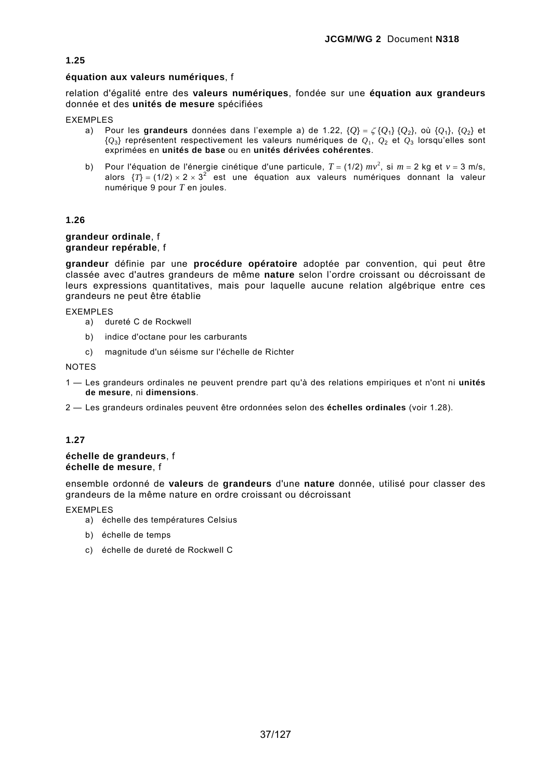### **équation aux valeurs numériques**, f

relation d'égalité entre des **valeurs numériques**, fondée sur une **équation aux grandeurs** donnée et des **unités de mesure** spécifiées

EXEMPLES

- a) Pour les **grandeurs** données dans l'exemple a) de 1.22, {*Q*} = ζ {*Q*1} {*Q*2}, où {*Q*1}, {*Q*2} et {*Q*3} représentent respectivement les valeurs numériques de *Q*1, *Q*2 et *Q*3 lorsqu'elles sont exprimées en **unités de base** ou en **unités dérivées cohérentes**.
- b) Pour l'équation de l'énergie cinétique d'une particule,  $T = (1/2) mv^2$ , si  $m = 2$  kg et  $v = 3$  m/s, alors  $\{T\} = (1/2) \times 2 \times 3^2$  est une équation aux valeurs numériques donnant la valeur numérique 9 pour *T* en joules.

# **1.26**

#### **grandeur ordinale**, f **grandeur repérable**, f

**grandeur** définie par une **procédure opératoire** adoptée par convention, qui peut être classée avec d'autres grandeurs de même **nature** selon l'ordre croissant ou décroissant de leurs expressions quantitatives, mais pour laquelle aucune relation algébrique entre ces grandeurs ne peut être établie

EXEMPLES

- a) dureté C de Rockwell
- b) indice d'octane pour les carburants
- c) magnitude d'un séisme sur l'échelle de Richter

NOTES

- 1 Les grandeurs ordinales ne peuvent prendre part qu'à des relations empiriques et n'ont ni **unités de mesure**, ni **dimensions**.
- 2 Les grandeurs ordinales peuvent être ordonnées selon des **échelles ordinales** (voir 1.28).

## **1.27**

#### **échelle de grandeurs**, f **échelle de mesure**, f

ensemble ordonné de **valeurs** de **grandeurs** d'une **nature** donnée, utilisé pour classer des grandeurs de la même nature en ordre croissant ou décroissant

EXEMPLES

- a) échelle des températures Celsius
- b) échelle de temps
- c) échelle de dureté de Rockwell C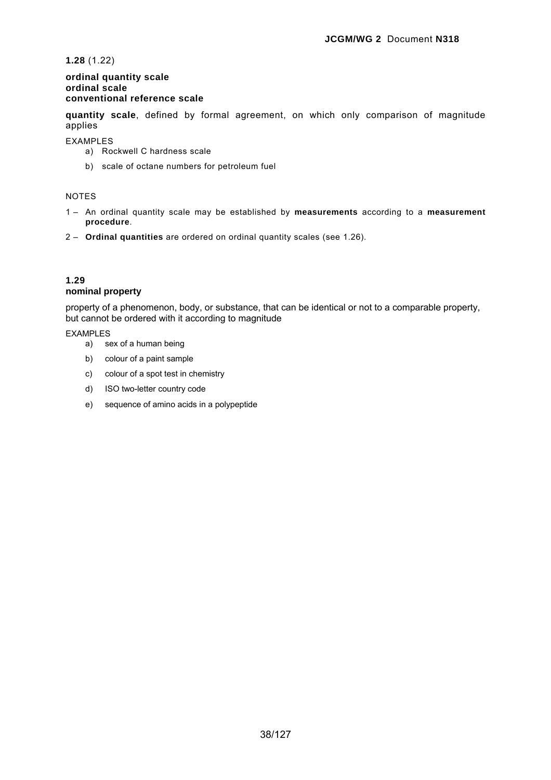**1.28** (1.22)

### **ordinal quantity scale ordinal scale conventional reference scale**

**quantity scale**, defined by formal agreement, on which only comparison of magnitude applies

EXAMPLES

- a) Rockwell C hardness scale
- b) scale of octane numbers for petroleum fuel

### NOTES

- 1 An ordinal quantity scale may be established by **measurements** according to a **measurement procedure**.
- 2 **Ordinal quantities** are ordered on ordinal quantity scales (see 1.26).

#### **1.29 nominal property**

property of a phenomenon, body, or substance, that can be identical or not to a comparable property, but cannot be ordered with it according to magnitude

EXAMPLES

- a) sex of a human being
- b) colour of a paint sample
- c) colour of a spot test in chemistry
- d) ISO two-letter country code
- e) sequence of amino acids in a polypeptide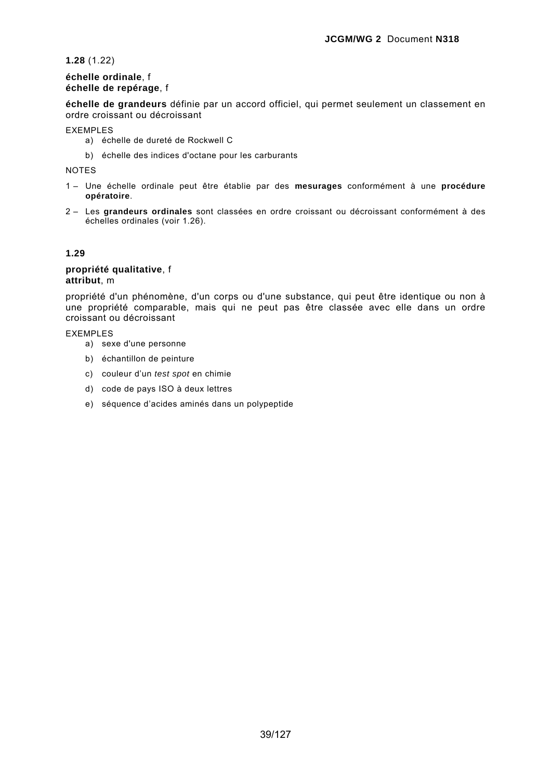**1.28** (1.22)

## **échelle ordinale**, f **échelle de repérage**, f

**échelle de grandeurs** définie par un accord officiel, qui permet seulement un classement en ordre croissant ou décroissant

EXEMPLES

- a) échelle de dureté de Rockwell C
- b) échelle des indices d'octane pour les carburants

NOTES

- 1 Une échelle ordinale peut être établie par des **mesurages** conformément à une **procédure opératoire**.
- 2 Les **grandeurs ordinales** sont classées en ordre croissant ou décroissant conformément à des échelles ordinales (voir 1.26).

### **1.29**

#### **propriété qualitative**, f **attribut**, m

propriété d'un phénomène, d'un corps ou d'une substance, qui peut être identique ou non à une propriété comparable, mais qui ne peut pas être classée avec elle dans un ordre croissant ou décroissant

EXEMPLES

- a) sexe d'une personne
- b) échantillon de peinture
- c) couleur d'un *test spot* en chimie
- d) code de pays ISO à deux lettres
- e) séquence d'acides aminés dans un polypeptide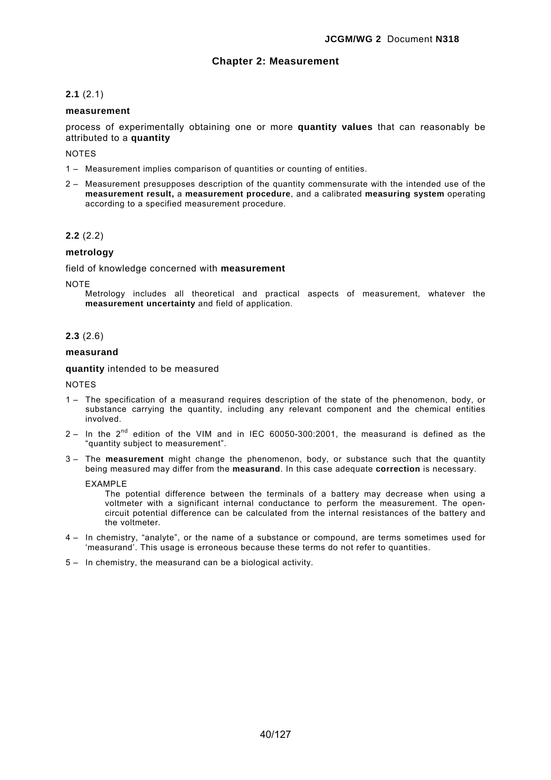## **Chapter 2: Measurement**

## **2.1** (2.1)

#### **measurement**

process of experimentally obtaining one or more **quantity values** that can reasonably be attributed to a **quantity**

NOTES

- 1 Measurement implies comparison of quantities or counting of entities.
- 2 Measurement presupposes description of the quantity commensurate with the intended use of the **measurement result,** a **measurement procedure**, and a calibrated **measuring system** operating according to a specified measurement procedure.

#### **2.2** (2.2)

#### **metrology**

field of knowledge concerned with **measurement** 

**NOTE** 

Metrology includes all theoretical and practical aspects of measurement, whatever the **measurement uncertainty** and field of application.

#### **2.3** (2.6)

#### **measurand**

**quantity** intended to be measured

NOTES

- 1 The specification of a measurand requires description of the state of the phenomenon, body, or substance carrying the quantity, including any relevant component and the chemical entities involved.
- $2 -$  In the  $2<sup>nd</sup>$  edition of the VIM and in IEC 60050-300:2001, the measurand is defined as the "quantity subject to measurement".
- 3 The **measurement** might change the phenomenon, body, or substance such that the quantity being measured may differ from the **measurand**. In this case adequate **correction** is necessary.

EXAMPLE

The potential difference between the terminals of a battery may decrease when using a voltmeter with a significant internal conductance to perform the measurement. The opencircuit potential difference can be calculated from the internal resistances of the battery and the voltmeter.

- 4 In chemistry, "analyte", or the name of a substance or compound, are terms sometimes used for 'measurand'. This usage is erroneous because these terms do not refer to quantities.
- 5 In chemistry, the measurand can be a biological activity.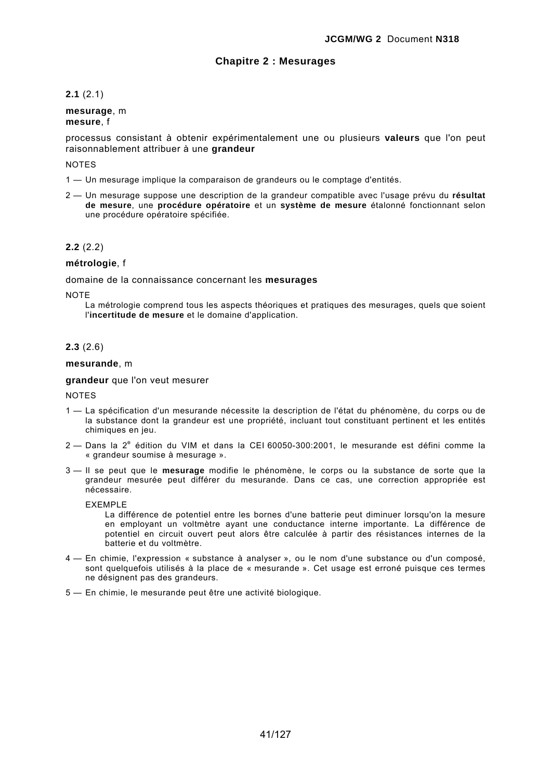## **Chapitre 2 : Mesurages**

## **2.1** (2.1)

#### **mesurage**, m **mesure**, f

processus consistant à obtenir expérimentalement une ou plusieurs **valeurs** que l'on peut raisonnablement attribuer à une **grandeur**

#### **NOTES**

- 1 Un mesurage implique la comparaison de grandeurs ou le comptage d'entités.
- 2 Un mesurage suppose une description de la grandeur compatible avec l'usage prévu du **résultat de mesure**, une **procédure opératoire** et un **système de mesure** étalonné fonctionnant selon une procédure opératoire spécifiée.

#### **2.2** (2.2)

#### **métrologie**, f

domaine de la connaissance concernant les **mesurages**

**NOTE** 

La métrologie comprend tous les aspects théoriques et pratiques des mesurages, quels que soient l'**incertitude de mesure** et le domaine d'application.

#### **2.3** (2.6)

#### **mesurande**, m

**grandeur** que l'on veut mesurer

- 1 La spécification d'un mesurande nécessite la description de l'état du phénomène, du corps ou de la substance dont la grandeur est une propriété, incluant tout constituant pertinent et les entités chimiques en jeu.
- 2 Dans la 2<sup>e</sup> édition du VIM et dans la CEI 60050-300:2001, le mesurande est défini comme la « grandeur soumise à mesurage ».
- 3 Il se peut que le **mesurage** modifie le phénomène, le corps ou la substance de sorte que la grandeur mesurée peut différer du mesurande. Dans ce cas, une correction appropriée est nécessaire.
	- EXEMPLE
		- La différence de potentiel entre les bornes d'une batterie peut diminuer lorsqu'on la mesure en employant un voltmètre ayant une conductance interne importante. La différence de potentiel en circuit ouvert peut alors être calculée à partir des résistances internes de la batterie et du voltmètre.
- 4 En chimie, l'expression « substance à analyser », ou le nom d'une substance ou d'un composé, sont quelquefois utilisés à la place de « mesurande ». Cet usage est erroné puisque ces termes ne désignent pas des grandeurs.
- 5 En chimie, le mesurande peut être une activité biologique.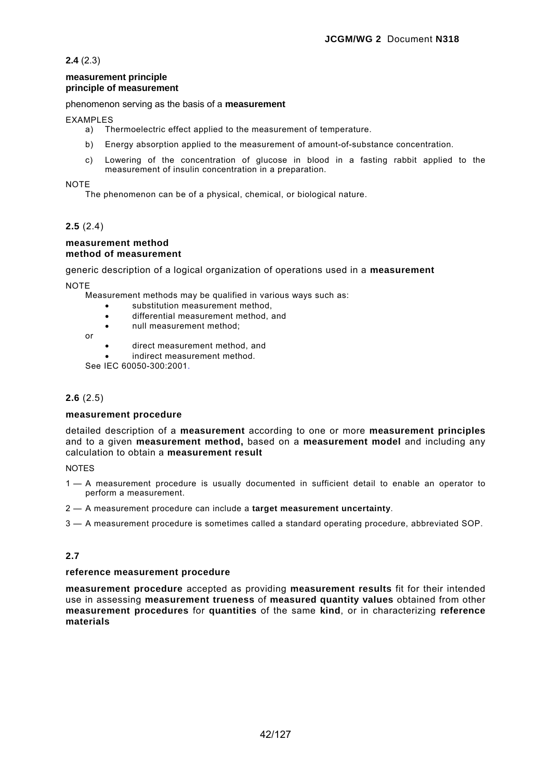**2.4** (2.3)

#### **measurement principle principle of measurement**

### phenomenon serving as the basis of a **measurement**

### EXAMPLES

- a) Thermoelectric effect applied to the measurement of temperature.
- b) Energy absorption applied to the measurement of amount-of-substance concentration.
- c) Lowering of the concentration of glucose in blood in a fasting rabbit applied to the measurement of insulin concentration in a preparation.

### NOTE

The phenomenon can be of a physical, chemical, or biological nature.

# **2.5** (2.4)

#### **measurement method method of measurement**

generic description of a logical organization of operations used in a **measurement** 

**NOTE** 

Measurement methods may be qualified in various ways such as:

- substitution measurement method,
- differential measurement method, and
- null measurement method:
- or
- direct measurement method, and

indirect measurement method.

See IEC 60050-300:2001.

## **2.6** (2.5)

## **measurement procedure**

detailed description of a **measurement** according to one or more **measurement principles** and to a given **measurement method,** based on a **measurement model** and including any calculation to obtain a **measurement result**

#### **NOTES**

- 1 A measurement procedure is usually documented in sufficient detail to enable an operator to perform a measurement.
- 2 A measurement procedure can include a **target measurement uncertainty**.
- 3 A measurement procedure is sometimes called a standard operating procedure, abbreviated SOP.

# **2.7**

#### **reference measurement procedure**

**measurement procedure** accepted as providing **measurement results** fit for their intended use in assessing **measurement trueness** of **measured quantity values** obtained from other **measurement procedures** for **quantities** of the same **kind**, or in characterizing **reference materials**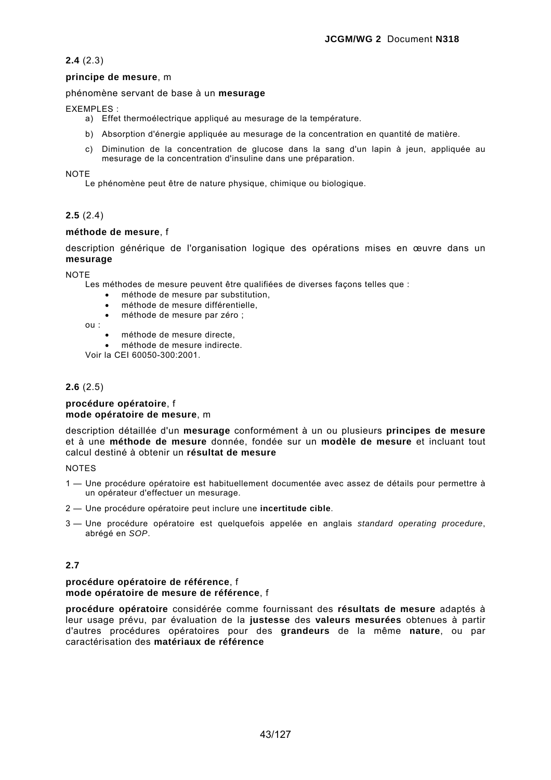## **2.4** (2.3)

### **principe de mesure**, m

### phénomène servant de base à un **mesurage**

EXEMPLES :

- a) Effet thermoélectrique appliqué au mesurage de la température.
- b) Absorption d'énergie appliquée au mesurage de la concentration en quantité de matière.
- c) Diminution de la concentration de glucose dans la sang d'un lapin à jeun, appliquée au mesurage de la concentration d'insuline dans une préparation.

NOTE

Le phénomène peut être de nature physique, chimique ou biologique.

# **2.5** (2.4)

### **méthode de mesure**, f

description générique de l'organisation logique des opérations mises en œuvre dans un **mesurage**

**NOTE** 

Les méthodes de mesure peuvent être qualifiées de diverses façons telles que :

- méthode de mesure par substitution,
- méthode de mesure différentielle,
- méthode de mesure par zéro ;

ou :

- méthode de mesure directe,
- méthode de mesure indirecte.

Voir la CEI 60050-300:2001.

# **2.6** (2.5)

#### **procédure opératoire**, f **mode opératoire de mesure**, m

description détaillée d'un **mesurage** conformément à un ou plusieurs **principes de mesure** et à une **méthode de mesure** donnée, fondée sur un **modèle de mesure** et incluant tout calcul destiné à obtenir un **résultat de mesure**

**NOTES** 

- 1 Une procédure opératoire est habituellement documentée avec assez de détails pour permettre à un opérateur d'effectuer un mesurage.
- 2 Une procédure opératoire peut inclure une **incertitude cible**.
- 3 Une procédure opératoire est quelquefois appelée en anglais *standard operating procedure*, abrégé en *SOP*.

# **2.7**

#### **procédure opératoire de référence**, f **mode opératoire de mesure de référence**, f

**procédure opératoire** considérée comme fournissant des **résultats de mesure** adaptés à leur usage prévu, par évaluation de la **justesse** des **valeurs mesurées** obtenues à partir d'autres procédures opératoires pour des **grandeurs** de la même **nature**, ou par caractérisation des **matériaux de référence**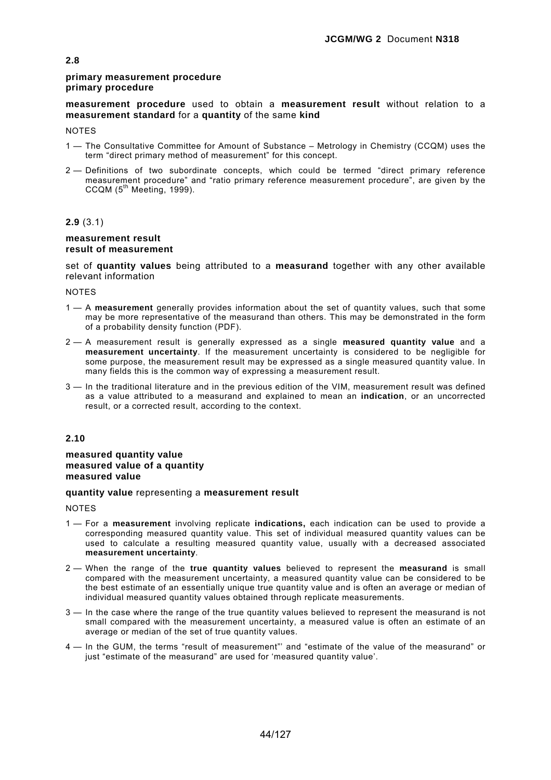### **primary measurement procedure primary procedure**

**measurement procedure** used to obtain a **measurement result** without relation to a **measurement standard** for a **quantity** of the same **kind**

**NOTES** 

- 1 The Consultative Committee for Amount of Substance Metrology in Chemistry (CCQM) uses the term "direct primary method of measurement" for this concept.
- 2 Definitions of two subordinate concepts, which could be termed "direct primary reference measurement procedure" and "ratio primary reference measurement procedure", are given by the  $CCQM$  ( $5<sup>th</sup> Meetina$ , 1999).

### **2.9** (3.1)

#### **measurement result result of measurement**

set of **quantity values** being attributed to a **measurand** together with any other available relevant information

**NOTES** 

- 1 A **measurement** generally provides information about the set of quantity values, such that some may be more representative of the measurand than others. This may be demonstrated in the form of a probability density function (PDF).
- 2 A measurement result is generally expressed as a single **measured quantity value** and a **measurement uncertainty**. If the measurement uncertainty is considered to be negligible for some purpose, the measurement result may be expressed as a single measured quantity value. In many fields this is the common way of expressing a measurement result.
- 3 In the traditional literature and in the previous edition of the VIM, measurement result was defined as a value attributed to a measurand and explained to mean an **indication**, or an uncorrected result, or a corrected result, according to the context.

## **2.10**

#### **measured quantity value measured value of a quantity measured value**

### **quantity value** representing a **measurement result**

- 1 For a **measurement** involving replicate **indications,** each indication can be used to provide a corresponding measured quantity value. This set of individual measured quantity values can be used to calculate a resulting measured quantity value, usually with a decreased associated **measurement uncertainty**.
- 2 When the range of the **true quantity values** believed to represent the **measurand** is small compared with the measurement uncertainty, a measured quantity value can be considered to be the best estimate of an essentially unique true quantity value and is often an average or median of individual measured quantity values obtained through replicate measurements.
- 3 In the case where the range of the true quantity values believed to represent the measurand is not small compared with the measurement uncertainty, a measured value is often an estimate of an average or median of the set of true quantity values.
- 4 In the GUM, the terms "result of measurement"' and "estimate of the value of the measurand" or just "estimate of the measurand" are used for 'measured quantity value'.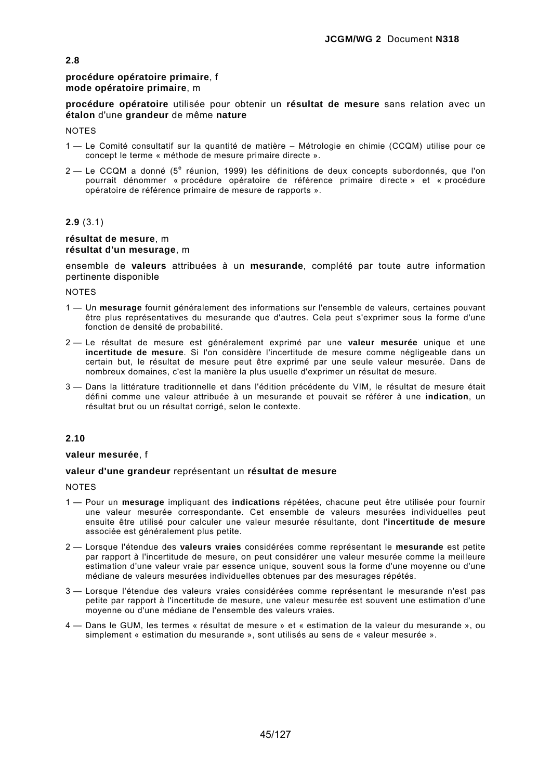#### **procédure opératoire primaire**, f **mode opératoire primaire**, m

**procédure opératoire** utilisée pour obtenir un **résultat de mesure** sans relation avec un **étalon** d'une **grandeur** de même **nature** 

**NOTES** 

- 1 Le Comité consultatif sur la quantité de matière Métrologie en chimie (CCQM) utilise pour ce concept le terme « méthode de mesure primaire directe ».
- 2 Le CCQM a donné (5<sup>e</sup> réunion, 1999) les définitions de deux concepts subordonnés, que l'on pourrait dénommer « procédure opératoire de référence primaire directe » et « procédure opératoire de référence primaire de mesure de rapports ».

#### **2.9** (3.1)

#### **résultat de mesure**, m **résultat d'un mesurage**, m

ensemble de **valeurs** attribuées à un **mesurande**, complété par toute autre information pertinente disponible

**NOTES** 

- 1 Un **mesurage** fournit généralement des informations sur l'ensemble de valeurs, certaines pouvant être plus représentatives du mesurande que d'autres. Cela peut s'exprimer sous la forme d'une fonction de densité de probabilité.
- 2 Le résultat de mesure est généralement exprimé par une **valeur mesurée** unique et une **incertitude de mesure**. Si l'on considère l'incertitude de mesure comme négligeable dans un certain but, le résultat de mesure peut être exprimé par une seule valeur mesurée. Dans de nombreux domaines, c'est la manière la plus usuelle d'exprimer un résultat de mesure.
- 3 Dans la littérature traditionnelle et dans l'édition précédente du VIM, le résultat de mesure était défini comme une valeur attribuée à un mesurande et pouvait se référer à une **indication**, un résultat brut ou un résultat corrigé, selon le contexte.

### **2.10**

**valeur mesurée**, f

#### **valeur d'une grandeur** représentant un **résultat de mesure**

- 1 Pour un **mesurage** impliquant des **indications** répétées, chacune peut être utilisée pour fournir une valeur mesurée correspondante. Cet ensemble de valeurs mesurées individuelles peut ensuite être utilisé pour calculer une valeur mesurée résultante, dont l'**incertitude de mesure** associée est généralement plus petite.
- 2 Lorsque l'étendue des **valeurs vraies** considérées comme représentant le **mesurande** est petite par rapport à l'incertitude de mesure, on peut considérer une valeur mesurée comme la meilleure estimation d'une valeur vraie par essence unique, souvent sous la forme d'une moyenne ou d'une médiane de valeurs mesurées individuelles obtenues par des mesurages répétés.
- 3 Lorsque l'étendue des valeurs vraies considérées comme représentant le mesurande n'est pas petite par rapport à l'incertitude de mesure, une valeur mesurée est souvent une estimation d'une moyenne ou d'une médiane de l'ensemble des valeurs vraies.
- 4 Dans le GUM, les termes « résultat de mesure » et « estimation de la valeur du mesurande », ou simplement « estimation du mesurande », sont utilisés au sens de « valeur mesurée ».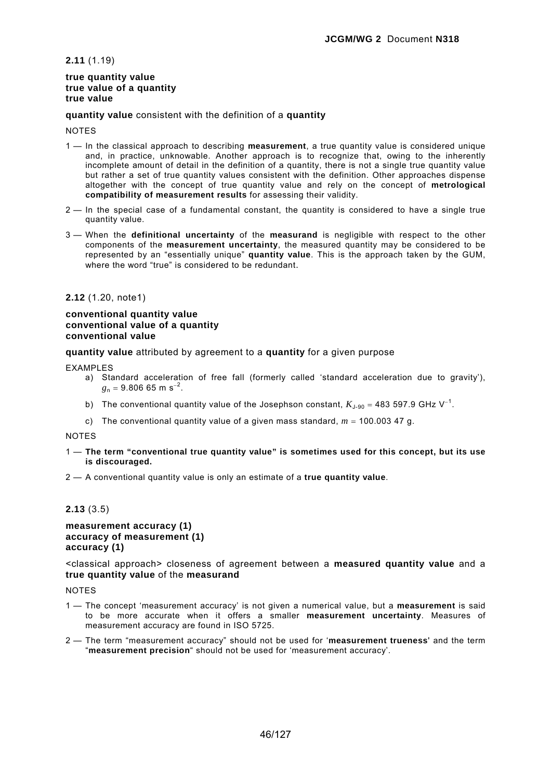**2.11** (1.19)

#### **true quantity value true value of a quantity true value**

**quantity value** consistent with the definition of a **quantity**

**NOTES** 

- 1 In the classical approach to describing **measurement**, a true quantity value is considered unique and, in practice, unknowable. Another approach is to recognize that, owing to the inherently incomplete amount of detail in the definition of a quantity, there is not a single true quantity value but rather a set of true quantity values consistent with the definition. Other approaches dispense altogether with the concept of true quantity value and rely on the concept of **metrological compatibility of measurement results** for assessing their validity.
- 2 In the special case of a fundamental constant, the quantity is considered to have a single true quantity value.
- 3 When the **definitional uncertainty** of the **measurand** is negligible with respect to the other components of the **measurement uncertainty**, the measured quantity may be considered to be represented by an "essentially unique" **quantity value**. This is the approach taken by the GUM, where the word "true" is considered to be redundant.

**2.12** (1.20, note1)

### **conventional quantity value conventional value of a quantity conventional value**

**quantity value** attributed by agreement to a **quantity** for a given purpose

EXAMPLES

- a) Standard acceleration of free fall (formerly called 'standard acceleration due to gravity'),  $g_n = 9.806$  65 m s<sup>-2</sup>.
- b) The conventional quantity value of the Josephson constant,  $K_{J-90}$  = 483 597.9 GHz V<sup>-1</sup>.
- c) The conventional quantity value of a given mass standard,  $m = 100.003$  47 g.

NOTES

- 1 **The term "conventional true quantity value" is sometimes used for this concept, but its use is discouraged.**
- 2 A conventional quantity value is only an estimate of a **true quantity value**.

## **2.13** (3.5)

### **measurement accuracy (1) accuracy of measurement (1) accuracy (1)**

<classical approach> closeness of agreement between a **measured quantity value** and a **true quantity value** of the **measurand**

- 1 The concept 'measurement accuracy' is not given a numerical value, but a **measurement** is said to be more accurate when it offers a smaller **measurement uncertainty**. Measures of measurement accuracy are found in ISO 5725.
- 2 The term "measurement accuracy" should not be used for '**measurement trueness**' and the term "**measurement precision**" should not be used for 'measurement accuracy'.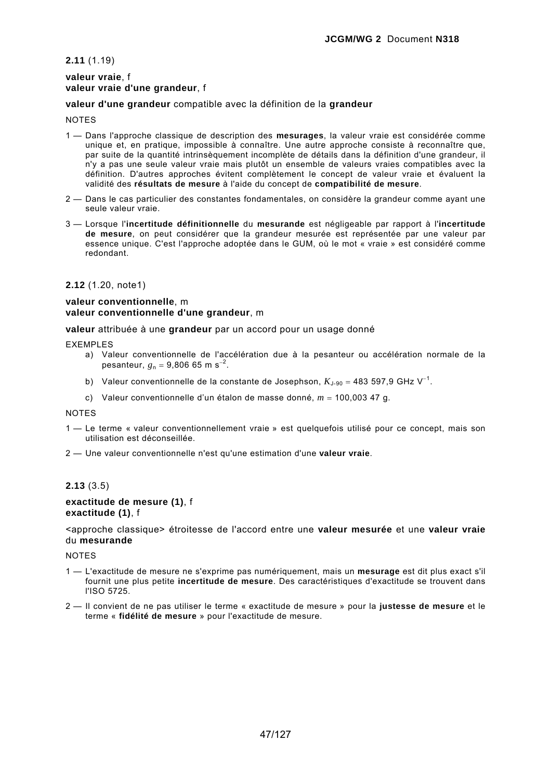### **2.11** (1.19)

### **valeur vraie**, f **valeur vraie d'une grandeur**, f

### **valeur d'une grandeur** compatible avec la définition de la **grandeur**

#### **NOTES**

- 1 Dans l'approche classique de description des **mesurages**, la valeur vraie est considérée comme unique et, en pratique, impossible à connaître. Une autre approche consiste à reconnaître que, par suite de la quantité intrinsèquement incomplète de détails dans la définition d'une grandeur, il n'y a pas une seule valeur vraie mais plutôt un ensemble de valeurs vraies compatibles avec la définition. D'autres approches évitent complètement le concept de valeur vraie et évaluent la validité des **résultats de mesure** à l'aide du concept de **compatibilité de mesure**.
- 2 Dans le cas particulier des constantes fondamentales, on considère la grandeur comme ayant une seule valeur vraie.
- 3 Lorsque l'**incertitude définitionnelle** du **mesurande** est négligeable par rapport à l'**incertitude de mesure**, on peut considérer que la grandeur mesurée est représentée par une valeur par essence unique. C'est l'approche adoptée dans le GUM, où le mot « vraie » est considéré comme redondant.

### **2.12** (1.20, note1)

### **valeur conventionnelle**, m **valeur conventionnelle d'une grandeur**, m

**valeur** attribuée à une **grandeur** par un accord pour un usage donné

#### **EXEMPLES**

- a) Valeur conventionnelle de l'accélération due à la pesanteur ou accélération normale de la pesanteur,  $g_n = 9{,}806{,}65{,}m{s}^{-2}$ .
- b) Valeur conventionnelle de la constante de Josephson,  $K_{J\text{-}90}$  = 483 597,9 GHz V<sup>-1</sup>.
- c) Valeur conventionnelle d'un étalon de masse donné, *m* = 100,003 47 g.

#### NOTES

- 1 Le terme « valeur conventionnellement vraie » est quelquefois utilisé pour ce concept, mais son utilisation est déconseillée.
- 2 Une valeur conventionnelle n'est qu'une estimation d'une **valeur vraie**.

## **2.13** (3.5)

#### **exactitude de mesure (1)**, f **exactitude (1)**, f

<approche classique> étroitesse de l'accord entre une **valeur mesurée** et une **valeur vraie** du **mesurande**

- 1 L'exactitude de mesure ne s'exprime pas numériquement, mais un **mesurage** est dit plus exact s'il fournit une plus petite **incertitude de mesure**. Des caractéristiques d'exactitude se trouvent dans l'ISO 5725.
- 2 Il convient de ne pas utiliser le terme « exactitude de mesure » pour la **justesse de mesure** et le terme « **fidélité de mesure** » pour l'exactitude de mesure.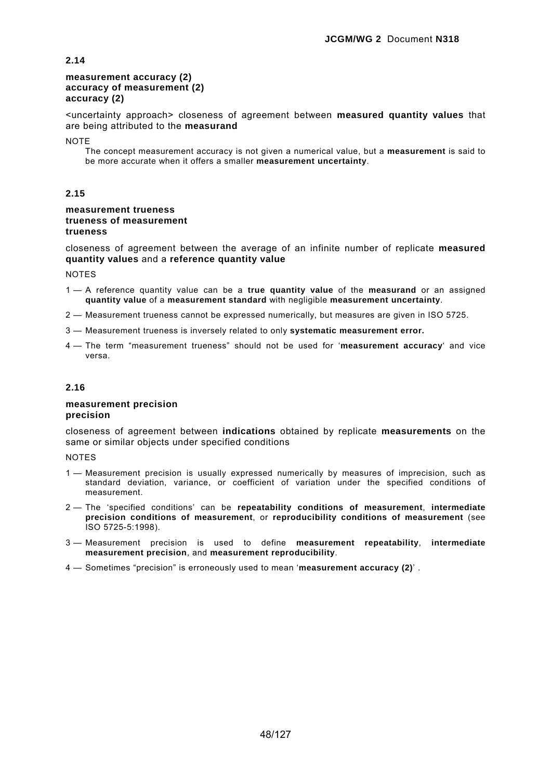### **measurement accuracy (2) accuracy of measurement (2) accuracy (2)**

<uncertainty approach> closeness of agreement between **measured quantity values** that are being attributed to the **measurand**

**NOTE** 

The concept measurement accuracy is not given a numerical value, but a **measurement** is said to be more accurate when it offers a smaller **measurement uncertainty**.

### **2.15**

#### **measurement trueness trueness of measurement trueness**

closeness of agreement between the average of an infinite number of replicate **measured quantity values** and a **reference quantity value**

**NOTES** 

- 1 A reference quantity value can be a **true quantity value** of the **measurand** or an assigned **quantity value** of a **measurement standard** with negligible **measurement uncertainty**.
- 2 Measurement trueness cannot be expressed numerically, but measures are given in ISO 5725.
- 3 Measurement trueness is inversely related to only **systematic measurement error.**
- 4 The term "measurement trueness" should not be used for '**measurement accuracy**' and vice versa.

### **2.16**

#### **measurement precision precision**

closeness of agreement between **indications** obtained by replicate **measurements** on the same or similar objects under specified conditions

- 1 Measurement precision is usually expressed numerically by measures of imprecision, such as standard deviation, variance, or coefficient of variation under the specified conditions of measurement.
- 2 The 'specified conditions' can be **repeatability conditions of measurement**, **intermediate precision conditions of measurement**, or **reproducibility conditions of measurement** (see ISO 5725-5:1998).
- 3 Measurement precision is used to define **measurement repeatability**, **intermediate measurement precision**, and **measurement reproducibility**.
- 4 Sometimes "precision" is erroneously used to mean '**measurement accuracy (2)**' .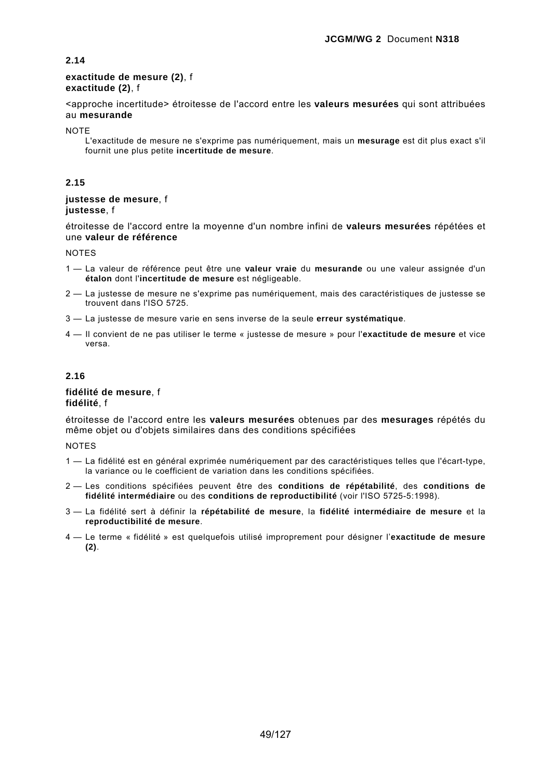#### **exactitude de mesure (2)**, f **exactitude (2)**, f

<approche incertitude> étroitesse de l'accord entre les **valeurs mesurées** qui sont attribuées au **mesurande**

**NOTE** 

L'exactitude de mesure ne s'exprime pas numériquement, mais un **mesurage** est dit plus exact s'il fournit une plus petite **incertitude de mesure**.

## **2.15**

### **justesse de mesure**, f **justesse**, f

étroitesse de l'accord entre la moyenne d'un nombre infini de **valeurs mesurées** répétées et une **valeur de référence**

#### **NOTES**

- 1 La valeur de référence peut être une **valeur vraie** du **mesurande** ou une valeur assignée d'un **étalon** dont l'**incertitude de mesure** est négligeable.
- 2 La justesse de mesure ne s'exprime pas numériquement, mais des caractéristiques de justesse se trouvent dans l'ISO 5725.
- 3 La justesse de mesure varie en sens inverse de la seule **erreur systématique**.
- 4 Il convient de ne pas utiliser le terme « justesse de mesure » pour l'**exactitude de mesure** et vice versa.

## **2.16**

#### **fidélité de mesure**, f **fidélité**, f

étroitesse de l'accord entre les **valeurs mesurées** obtenues par des **mesurages** répétés du même objet ou d'objets similaires dans des conditions spécifiées

- 1 La fidélité est en général exprimée numériquement par des caractéristiques telles que l'écart-type, la variance ou le coefficient de variation dans les conditions spécifiées.
- 2 Les conditions spécifiées peuvent être des **conditions de répétabilité**, des **conditions de fidélité intermédiaire** ou des **conditions de reproductibilité** (voir l'ISO 5725-5:1998).
- 3 La fidélité sert à définir la **répétabilité de mesure**, la **fidélité intermédiaire de mesure** et la **reproductibilité de mesure**.
- 4 Le terme « fidélité » est quelquefois utilisé improprement pour désigner l'**exactitude de mesure (2)**.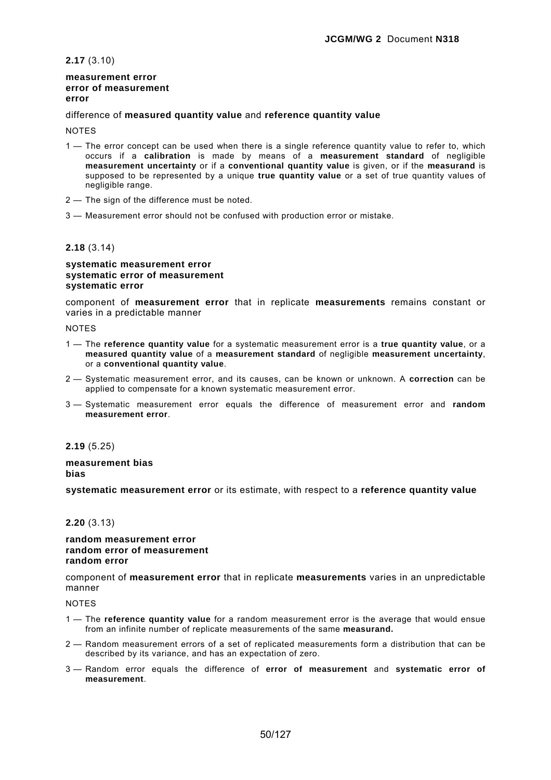**2.17** (3.10)

#### **measurement error error of measurement error**

#### difference of **measured quantity value** and **reference quantity value**

**NOTES** 

- 1 The error concept can be used when there is a single reference quantity value to refer to, which occurs if a **calibration** is made by means of a **measurement standard** of negligible **measurement uncertainty** or if a **conventional quantity value** is given, or if the **measurand** is supposed to be represented by a unique **true quantity value** or a set of true quantity values of negligible range.
- 2 The sign of the difference must be noted.
- 3 Measurement error should not be confused with production error or mistake.

#### **2.18** (3.14)

#### **systematic measurement error systematic error of measurement systematic error**

component of **measurement error** that in replicate **measurements** remains constant or varies in a predictable manner

NOTES

- 1 The **reference quantity value** for a systematic measurement error is a **true quantity value**, or a **measured quantity value** of a **measurement standard** of negligible **measurement uncertainty**, or a **conventional quantity value**.
- 2 Systematic measurement error, and its causes, can be known or unknown. A **correction** can be applied to compensate for a known systematic measurement error.
- 3 Systematic measurement error equals the difference of measurement error and **random measurement error**.

**2.19** (5.25)

### **measurement bias bias**

**systematic measurement error** or its estimate, with respect to a **reference quantity value**

### **2.20** (3.13)

#### **random measurement error random error of measurement random error**

component of **measurement error** that in replicate **measurements** varies in an unpredictable manner

- 1 The **reference quantity value** for a random measurement error is the average that would ensue from an infinite number of replicate measurements of the same **measurand.**
- 2 Random measurement errors of a set of replicated measurements form a distribution that can be described by its variance, and has an expectation of zero.
- 3 Random error equals the difference of **error of measurement** and **systematic error of measurement**.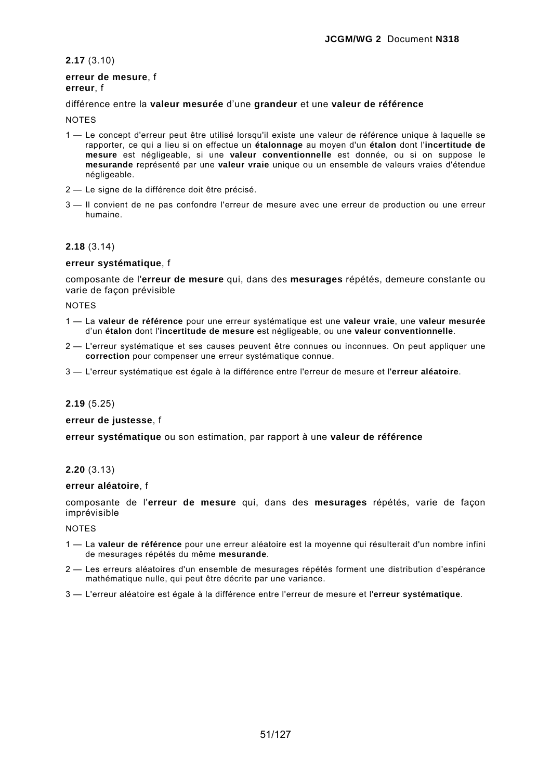**2.17** (3.10)

#### **erreur de mesure**, f **erreur**, f

### différence entre la **valeur mesurée** d'une **grandeur** et une **valeur de référence**

#### **NOTES**

- 1 Le concept d'erreur peut être utilisé lorsqu'il existe une valeur de référence unique à laquelle se rapporter, ce qui a lieu si on effectue un **étalonnage** au moyen d'un **étalon** dont l'**incertitude de mesure** est négligeable, si une **valeur conventionnelle** est donnée, ou si on suppose le **mesurande** représenté par une **valeur vraie** unique ou un ensemble de valeurs vraies d'étendue négligeable.
- 2 Le signe de la différence doit être précisé.
- 3 Il convient de ne pas confondre l'erreur de mesure avec une erreur de production ou une erreur humaine.

#### **2.18** (3.14)

#### **erreur systématique**, f

composante de l'**erreur de mesure** qui, dans des **mesurages** répétés, demeure constante ou varie de façon prévisible

**NOTES** 

- 1 La **valeur de référence** pour une erreur systématique est une **valeur vraie**, une **valeur mesurée** d'un **étalon** dont l'**incertitude de mesure** est négligeable, ou une **valeur conventionnelle**.
- 2 L'erreur systématique et ses causes peuvent être connues ou inconnues. On peut appliquer une **correction** pour compenser une erreur systématique connue.
- 3 L'erreur systématique est égale à la différence entre l'erreur de mesure et l'**erreur aléatoire**.

### **2.19** (5.25)

#### **erreur de justesse**, f

**erreur systématique** ou son estimation, par rapport à une **valeur de référence**

#### **2.20** (3.13)

#### **erreur aléatoire**, f

composante de l'**erreur de mesure** qui, dans des **mesurages** répétés, varie de façon imprévisible

- 1 La **valeur de référence** pour une erreur aléatoire est la moyenne qui résulterait d'un nombre infini de mesurages répétés du même **mesurande**.
- 2 Les erreurs aléatoires d'un ensemble de mesurages répétés forment une distribution d'espérance mathématique nulle, qui peut être décrite par une variance.
- 3 L'erreur aléatoire est égale à la différence entre l'erreur de mesure et l'**erreur systématique**.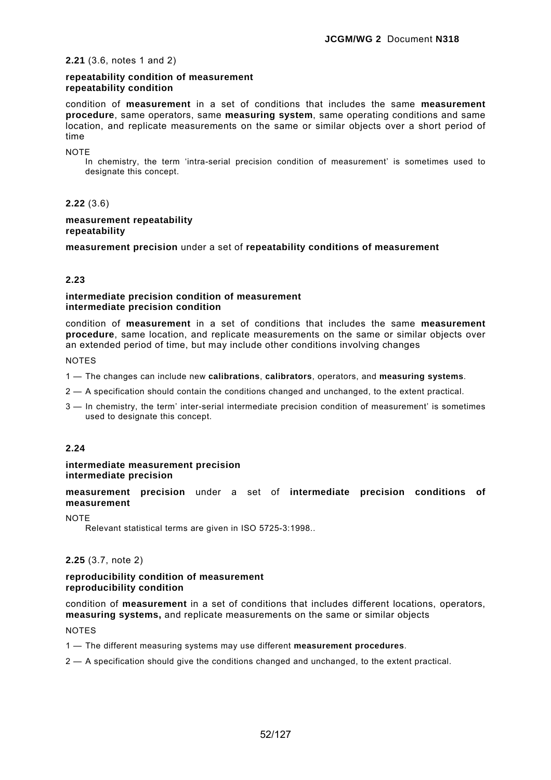### **2.21** (3.6, notes 1 and 2)

### **repeatability condition of measurement repeatability condition**

condition of **measurement** in a set of conditions that includes the same **measurement procedure**, same operators, same **measuring system**, same operating conditions and same location, and replicate measurements on the same or similar objects over a short period of time

**NOTE** 

In chemistry, the term 'intra-serial precision condition of measurement' is sometimes used to designate this concept.

# **2.22** (3.6)

#### **measurement repeatability repeatability**

**measurement precision** under a set of **repeatability conditions of measurement**

## **2.23**

### **intermediate precision condition of measurement intermediate precision condition**

condition of **measurement** in a set of conditions that includes the same **measurement procedure**, same location, and replicate measurements on the same or similar objects over an extended period of time, but may include other conditions involving changes

NOTES

- 1 The changes can include new **calibrations**, **calibrators**, operators, and **measuring systems**.
- 2 A specification should contain the conditions changed and unchanged, to the extent practical.
- 3 In chemistry, the term' inter-serial intermediate precision condition of measurement' is sometimes used to designate this concept.

## **2.24**

#### **intermediate measurement precision intermediate precision**

**measurement precision** under a set of **intermediate precision conditions of measurement**

**NOTE** 

Relevant statistical terms are given in ISO 5725-3:1998..

## **2.25** (3.7, note 2)

### **reproducibility condition of measurement reproducibility condition**

condition of **measurement** in a set of conditions that includes different locations, operators, **measuring systems,** and replicate measurements on the same or similar objects

NOTES

1 — The different measuring systems may use different **measurement procedures**.

2 — A specification should give the conditions changed and unchanged, to the extent practical.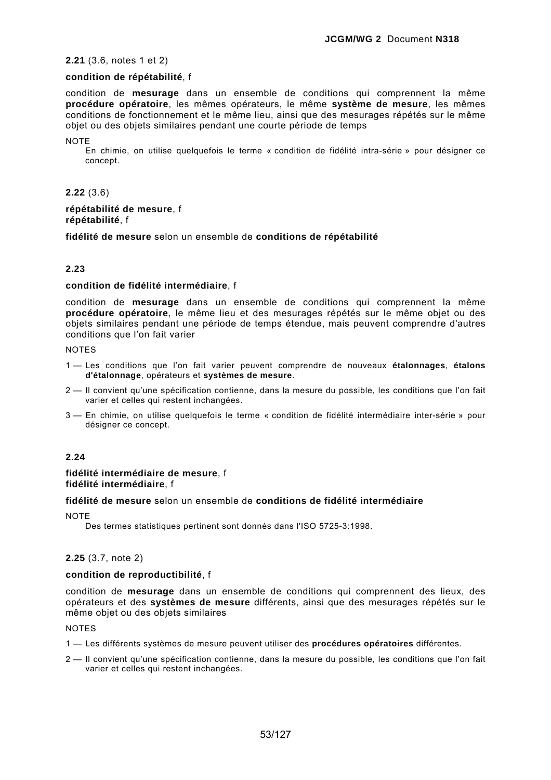#### **2.21** (3.6, notes 1 et 2)

## **condition de répétabilité**, f

condition de **mesurage** dans un ensemble de conditions qui comprennent la même **procédure opératoire**, les mêmes opérateurs, le même **système de mesure**, les mêmes conditions de fonctionnement et le même lieu, ainsi que des mesurages répétés sur le même objet ou des objets similaires pendant une courte période de temps

**NOTE** 

En chimie, on utilise quelquefois le terme « condition de fidélité intra-série » pour désigner ce concept.

#### **2.22** (3.6)

#### **répétabilité de mesure**, f **répétabilité**, f

**fidélité de mesure** selon un ensemble de **conditions de répétabilité**

### **2.23**

#### **condition de fidélité intermédiaire**, f

condition de **mesurage** dans un ensemble de conditions qui comprennent la même **procédure opératoire**, le même lieu et des mesurages répétés sur le même objet ou des objets similaires pendant une période de temps étendue, mais peuvent comprendre d'autres conditions que l'on fait varier

NOTES

- 1 Les conditions que l'on fait varier peuvent comprendre de nouveaux **étalonnages**, **étalons d'étalonnage**, opérateurs et **systèmes de mesure**.
- 2 Il convient qu'une spécification contienne, dans la mesure du possible, les conditions que l'on fait varier et celles qui restent inchangées.
- 3 En chimie, on utilise quelquefois le terme « condition de fidélité intermédiaire inter-série » pour désigner ce concept.

#### **2.24**

#### **fidélité intermédiaire de mesure**, f **fidélité intermédiaire**, f

### **fidélité de mesure** selon un ensemble de **conditions de fidélité intermédiaire**

**NOTE** 

Des termes statistiques pertinent sont donnés dans l'ISO 5725-3:1998.

## **2.25** (3.7, note 2)

### **condition de reproductibilité**, f

condition de **mesurage** dans un ensemble de conditions qui comprennent des lieux, des opérateurs et des **systèmes de mesure** différents, ainsi que des mesurages répétés sur le même objet ou des objets similaires

- 1 Les différents systèmes de mesure peuvent utiliser des **procédures opératoires** différentes.
- 2 Il convient qu'une spécification contienne, dans la mesure du possible, les conditions que l'on fait varier et celles qui restent inchangées.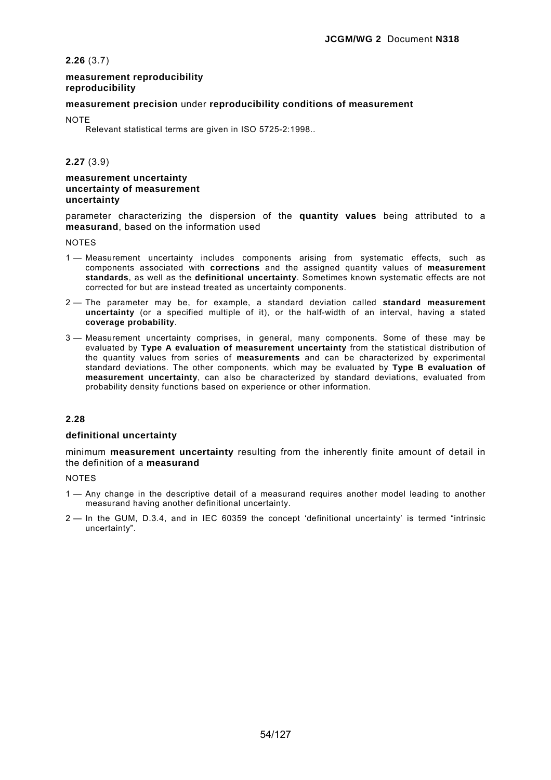**2.26** (3.7)

#### **measurement reproducibility reproducibility**

#### **measurement precision** under **reproducibility conditions of measurement**

**NOTE** 

Relevant statistical terms are given in ISO 5725-2:1998..

**2.27** (3.9)

#### **measurement uncertainty uncertainty of measurement uncertainty**

parameter characterizing the dispersion of the **quantity values** being attributed to a **measurand**, based on the information used

**NOTES** 

- 1 Measurement uncertainty includes components arising from systematic effects, such as components associated with **corrections** and the assigned quantity values of **measurement standards**, as well as the **definitional uncertainty**. Sometimes known systematic effects are not corrected for but are instead treated as uncertainty components.
- 2 The parameter may be, for example, a standard deviation called **standard measurement uncertainty** (or a specified multiple of it), or the half-width of an interval, having a stated **coverage probability**.
- 3 Measurement uncertainty comprises, in general, many components. Some of these may be evaluated by **Type A evaluation of measurement uncertainty** from the statistical distribution of the quantity values from series of **measurements** and can be characterized by experimental standard deviations. The other components, which may be evaluated by **Type B evaluation of measurement uncertainty**, can also be characterized by standard deviations, evaluated from probability density functions based on experience or other information.

## **2.28**

#### **definitional uncertainty**

minimum **measurement uncertainty** resulting from the inherently finite amount of detail in the definition of a **measurand**

- 1 Any change in the descriptive detail of a measurand requires another model leading to another measurand having another definitional uncertainty.
- 2 In the GUM, D.3.4, and in IEC 60359 the concept 'definitional uncertainty' is termed "intrinsic uncertainty".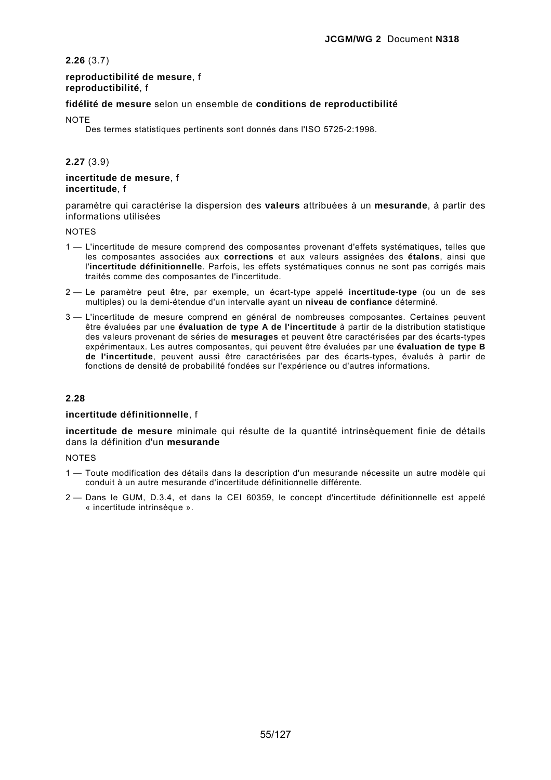**2.26** (3.7)

### **reproductibilité de mesure**, f **reproductibilité**, f

### **fidélité de mesure** selon un ensemble de **conditions de reproductibilité**

**NOTE** 

Des termes statistiques pertinents sont donnés dans l'ISO 5725-2:1998.

### **2.27** (3.9)

### **incertitude de mesure**, f **incertitude**, f

paramètre qui caractérise la dispersion des **valeurs** attribuées à un **mesurande**, à partir des informations utilisées

#### NOTES

- 1 L'incertitude de mesure comprend des composantes provenant d'effets systématiques, telles que les composantes associées aux **corrections** et aux valeurs assignées des **étalons**, ainsi que l'**incertitude définitionnelle**. Parfois, les effets systématiques connus ne sont pas corrigés mais traités comme des composantes de l'incertitude.
- 2 Le paramètre peut être, par exemple, un écart-type appelé **incertitude-type** (ou un de ses multiples) ou la demi-étendue d'un intervalle ayant un **niveau de confiance** déterminé.
- 3 L'incertitude de mesure comprend en général de nombreuses composantes. Certaines peuvent être évaluées par une **évaluation de type A de l'incertitude** à partir de la distribution statistique des valeurs provenant de séries de **mesurages** et peuvent être caractérisées par des écarts-types expérimentaux. Les autres composantes, qui peuvent être évaluées par une **évaluation de type B de l'incertitude**, peuvent aussi être caractérisées par des écarts-types, évalués à partir de fonctions de densité de probabilité fondées sur l'expérience ou d'autres informations.

#### **2.28**

#### **incertitude définitionnelle**, f

**incertitude de mesure** minimale qui résulte de la quantité intrinsèquement finie de détails dans la définition d'un **mesurande**

- 1 Toute modification des détails dans la description d'un mesurande nécessite un autre modèle qui conduit à un autre mesurande d'incertitude définitionnelle différente.
- 2 Dans le GUM, D.3.4, et dans la CEI 60359, le concept d'incertitude définitionnelle est appelé « incertitude intrinsèque ».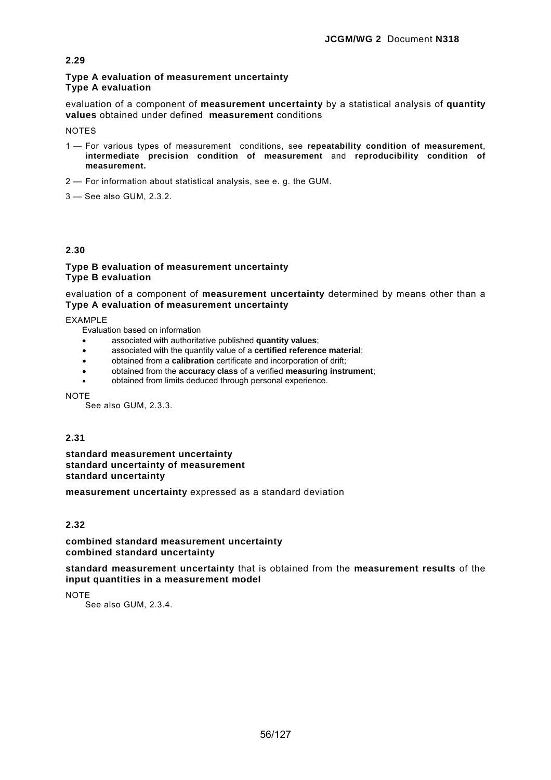### **Type A evaluation of measurement uncertainty Type A evaluation**

evaluation of a component of **measurement uncertainty** by a statistical analysis of **quantity values** obtained under defined **measurement** conditions

**NOTES** 

- 1 For various types of measurement conditions, see **repeatability condition of measurement**, **intermediate precision condition of measurement** and **reproducibility condition of measurement.**
- 2 For information about statistical analysis, see e. g. the GUM.
- 3 See also GUM, 2.3.2.

# **2.30**

### **Type B evaluation of measurement uncertainty Type B evaluation**

evaluation of a component of **measurement uncertainty** determined by means other than a **Type A evaluation of measurement uncertainty**

EXAMPLE

Evaluation based on information

- associated with authoritative published **quantity values**;
- associated with the quantity value of a **certified reference material**;
- obtained from a **calibration** certificate and incorporation of drift;
- obtained from the **accuracy class** of a verified **measuring instrument**;
- obtained from limits deduced through personal experience.

**NOTE** 

See also GUM, 2.3.3.

## **2.31**

**standard measurement uncertainty standard uncertainty of measurement standard uncertainty** 

**measurement uncertainty** expressed as a standard deviation

# **2.32**

## **combined standard measurement uncertainty combined standard uncertainty**

**standard measurement uncertainty** that is obtained from the **measurement results** of the **input quantities in a measurement model**

**NOTE** 

See also GUM, 2.3.4.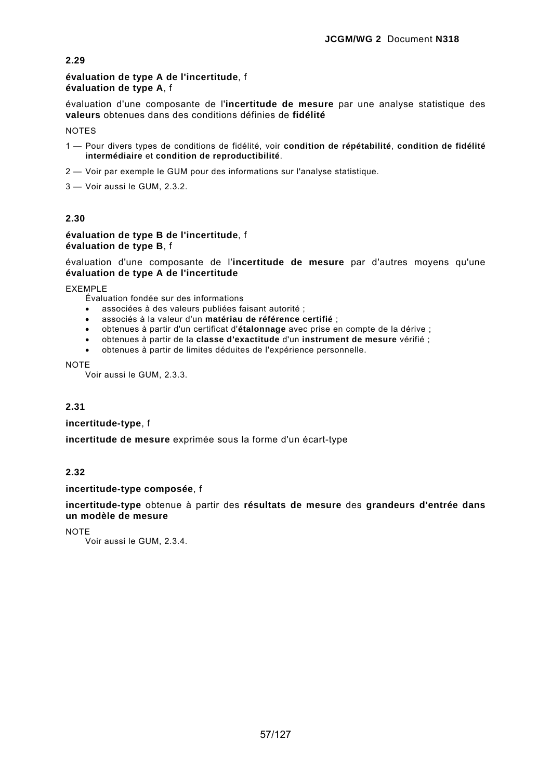### **évaluation de type A de l'incertitude**, f **évaluation de type A**, f

évaluation d'une composante de l'**incertitude de mesure** par une analyse statistique des **valeurs** obtenues dans des conditions définies de **fidélité**

**NOTES** 

- 1 Pour divers types de conditions de fidélité, voir **condition de répétabilité**, **condition de fidélité intermédiaire** et **condition de reproductibilité**.
- 2 Voir par exemple le GUM pour des informations sur l'analyse statistique.
- 3 Voir aussi le GUM, 2.3.2.

# **2.30**

### **évaluation de type B de l'incertitude**, f **évaluation de type B**, f

évaluation d'une composante de l'**incertitude de mesure** par d'autres moyens qu'une **évaluation de type A de l'incertitude**

EXEMPLE

Évaluation fondée sur des informations

- associées à des valeurs publiées faisant autorité ;
- associés à la valeur d'un **matériau de référence certifié** ;
- obtenues à partir d'un certificat d'**étalonnage** avec prise en compte de la dérive ;
- obtenues à partir de la **classe d'exactitude** d'un **instrument de mesure** vérifié ;
- obtenues à partir de limites déduites de l'expérience personnelle.

**NOTE** 

Voir aussi le GUM, 2.3.3.

# **2.31**

**incertitude-type**, f

**incertitude de mesure** exprimée sous la forme d'un écart-type

# **2.32**

## **incertitude-type composée**, f

**incertitude-type** obtenue à partir des **résultats de mesure** des **grandeurs d'entrée dans un modèle de mesure**

**NOTE** 

Voir aussi le GUM, 2.3.4.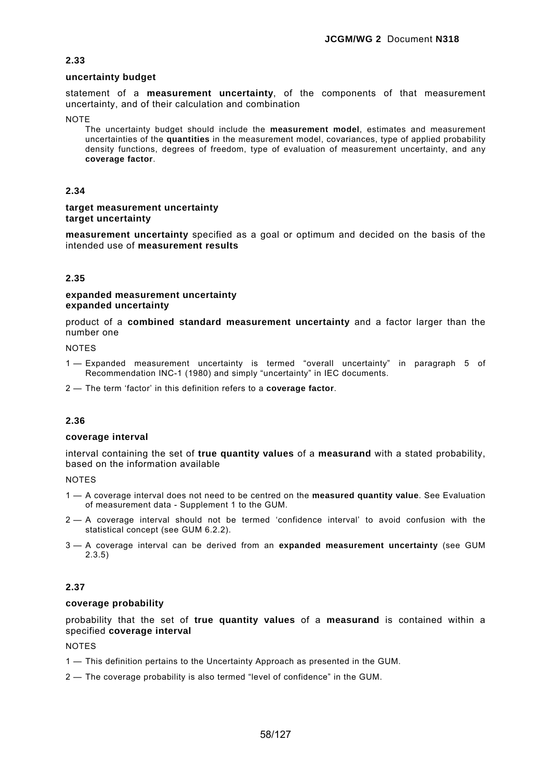### **uncertainty budget**

statement of a **measurement uncertainty**, of the components of that measurement uncertainty, and of their calculation and combination

**NOTE** 

The uncertainty budget should include the **measurement model**, estimates and measurement uncertainties of the **quantities** in the measurement model, covariances, type of applied probability density functions, degrees of freedom, type of evaluation of measurement uncertainty, and any **coverage factor**.

### **2.34**

#### **target measurement uncertainty target uncertainty**

**measurement uncertainty** specified as a goal or optimum and decided on the basis of the intended use of **measurement results**

### **2.35**

### **expanded measurement uncertainty expanded uncertainty**

product of a **combined standard measurement uncertainty** and a factor larger than the number one

NOTES

- 1 Expanded measurement uncertainty is termed "overall uncertainty" in paragraph 5 of Recommendation INC-1 (1980) and simply "uncertainty" in IEC documents.
- 2 The term 'factor' in this definition refers to a **coverage factor**.

## **2.36**

#### **coverage interval**

interval containing the set of **true quantity values** of a **measurand** with a stated probability, based on the information available

**NOTES** 

- 1 A coverage interval does not need to be centred on the **measured quantity value**. See Evaluation of measurement data - Supplement 1 to the GUM.
- 2 A coverage interval should not be termed 'confidence interval' to avoid confusion with the statistical concept (see GUM 6.2.2).
- 3 A coverage interval can be derived from an **expanded measurement uncertainty** (see GUM 2.3.5)

## **2.37**

#### **coverage probability**

probability that the set of **true quantity values** of a **measurand** is contained within a specified **coverage interval**

- 1 This definition pertains to the Uncertainty Approach as presented in the GUM.
- 2 The coverage probability is also termed "level of confidence" in the GUM.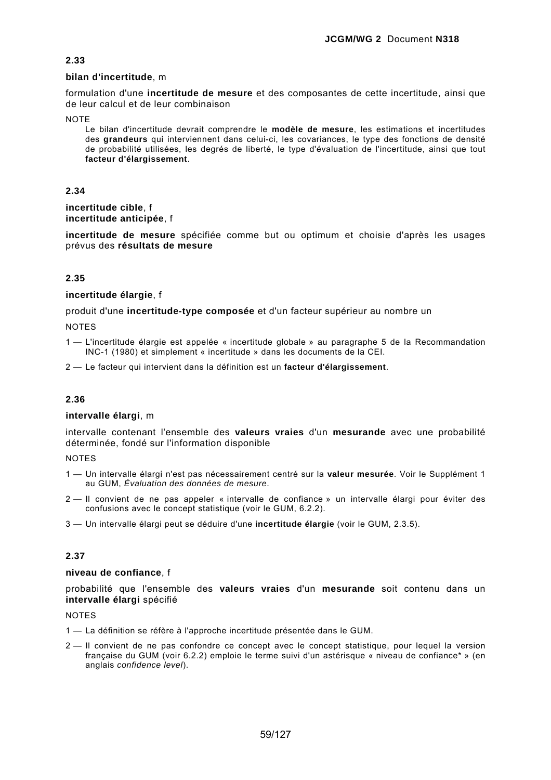### **bilan d'incertitude**, m

formulation d'une **incertitude de mesure** et des composantes de cette incertitude, ainsi que de leur calcul et de leur combinaison

**NOTE** 

Le bilan d'incertitude devrait comprendre le **modèle de mesure**, les estimations et incertitudes des **grandeurs** qui interviennent dans celui-ci, les covariances, le type des fonctions de densité de probabilité utilisées, les degrés de liberté, le type d'évaluation de l'incertitude, ainsi que tout **facteur d'élargissement**.

## **2.34**

**incertitude cible**, f **incertitude anticipée**, f

**incertitude de mesure** spécifiée comme but ou optimum et choisie d'après les usages prévus des **résultats de mesure**

# **2.35**

### **incertitude élargie**, f

produit d'une **incertitude-type composée** et d'un facteur supérieur au nombre un

**NOTES** 

1 — L'incertitude élargie est appelée « incertitude globale » au paragraphe 5 de la Recommandation INC-1 (1980) et simplement « incertitude » dans les documents de la CEI.

2 — Le facteur qui intervient dans la définition est un **facteur d'élargissement**.

## **2.36**

#### **intervalle élargi**, m

intervalle contenant l'ensemble des **valeurs vraies** d'un **mesurande** avec une probabilité déterminée, fondé sur l'information disponible

#### **NOTES**

- 1 Un intervalle élargi n'est pas nécessairement centré sur la **valeur mesurée**. Voir le Supplément 1 au GUM, *Évaluation des données de mesure*.
- 2 Il convient de ne pas appeler « intervalle de confiance » un intervalle élargi pour éviter des confusions avec le concept statistique (voir le GUM, 6.2.2).
- 3 Un intervalle élargi peut se déduire d'une **incertitude élargie** (voir le GUM, 2.3.5).

# **2.37**

## **niveau de confiance**, f

probabilité que l'ensemble des **valeurs vraies** d'un **mesurande** soit contenu dans un **intervalle élargi** spécifié

- 1 La définition se réfère à l'approche incertitude présentée dans le GUM.
- 2 Il convient de ne pas confondre ce concept avec le concept statistique, pour lequel la version française du GUM (voir 6.2.2) emploie le terme suivi d'un astérisque « niveau de confiance\* » (en anglais *confidence level*).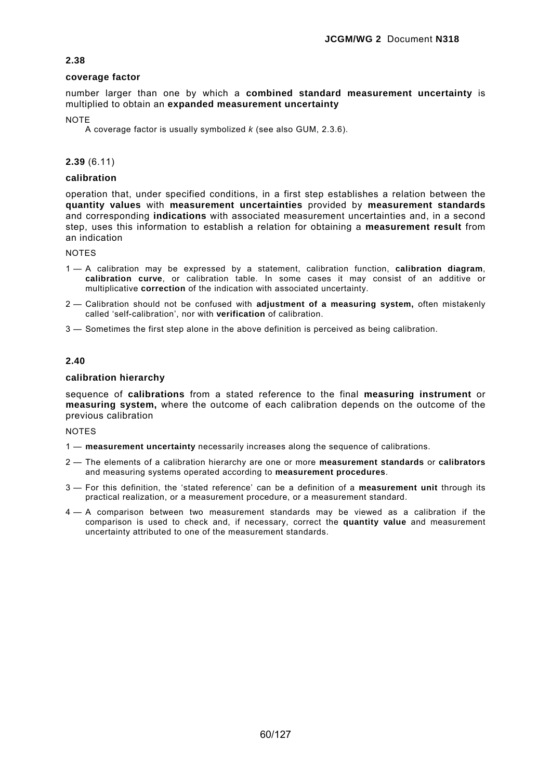### **coverage factor**

number larger than one by which a **combined standard measurement uncertainty** is multiplied to obtain an **expanded measurement uncertainty**

#### **NOTE**

A coverage factor is usually symbolized *k* (see also GUM, 2.3.6).

### **2.39** (6.11)

## **calibration**

operation that, under specified conditions, in a first step establishes a relation between the **quantity values** with **measurement uncertainties** provided by **measurement standards** and corresponding **indications** with associated measurement uncertainties and, in a second step, uses this information to establish a relation for obtaining a **measurement result** from an indication

**NOTES** 

- 1 A calibration may be expressed by a statement, calibration function, **calibration diagram**, **calibration curve**, or calibration table. In some cases it may consist of an additive or multiplicative **correction** of the indication with associated uncertainty.
- 2 Calibration should not be confused with **adjustment of a measuring system,** often mistakenly called 'self-calibration', nor with **verification** of calibration.
- 3 Sometimes the first step alone in the above definition is perceived as being calibration.

## **2.40**

#### **calibration hierarchy**

sequence of **calibrations** from a stated reference to the final **measuring instrument** or **measuring system,** where the outcome of each calibration depends on the outcome of the previous calibration

- 1 **measurement uncertainty** necessarily increases along the sequence of calibrations.
- 2 The elements of a calibration hierarchy are one or more **measurement standards** or **calibrators** and measuring systems operated according to **measurement procedures**.
- 3 For this definition, the 'stated reference' can be a definition of a **measurement unit** through its practical realization, or a measurement procedure, or a measurement standard.
- 4 A comparison between two measurement standards may be viewed as a calibration if the comparison is used to check and, if necessary, correct the **quantity value** and measurement uncertainty attributed to one of the measurement standards.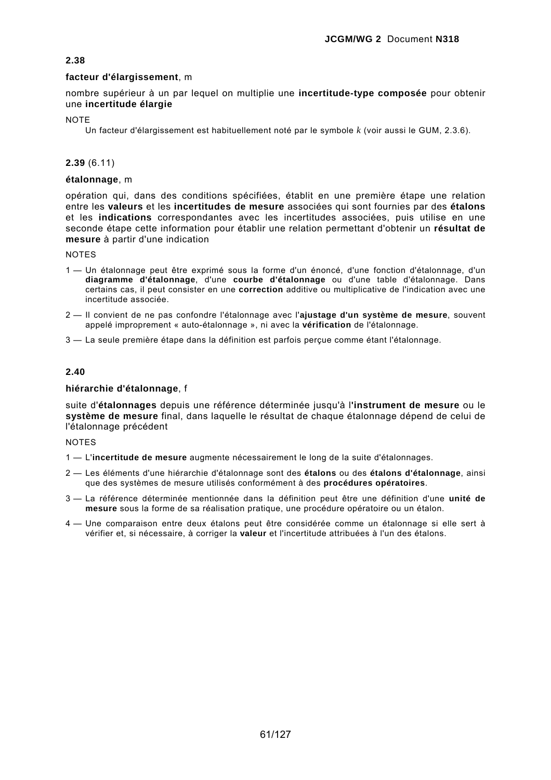## **facteur d'élargissement**, m

nombre supérieur à un par lequel on multiplie une **incertitude-type composée** pour obtenir une **incertitude élargie** 

**NOTE** 

Un facteur d'élargissement est habituellement noté par le symbole *k* (voir aussi le GUM, 2.3.6).

## **2.39** (6.11)

## **étalonnage**, m

opération qui, dans des conditions spécifiées, établit en une première étape une relation entre les **valeurs** et les **incertitudes de mesure** associées qui sont fournies par des **étalons** et les **indications** correspondantes avec les incertitudes associées, puis utilise en une seconde étape cette information pour établir une relation permettant d'obtenir un **résultat de mesure** à partir d'une indication

NOTES

- 1 Un étalonnage peut être exprimé sous la forme d'un énoncé, d'une fonction d'étalonnage, d'un **diagramme d'étalonnage**, d'une **courbe d'étalonnage** ou d'une table d'étalonnage. Dans certains cas, il peut consister en une **correction** additive ou multiplicative de l'indication avec une incertitude associée.
- 2 Il convient de ne pas confondre l'étalonnage avec l'**ajustage d'un système de mesure**, souvent appelé improprement « auto-étalonnage », ni avec la **vérification** de l'étalonnage.

3 — La seule première étape dans la définition est parfois perçue comme étant l'étalonnage.

## **2.40**

### **hiérarchie d'étalonnage**, f

suite d'**étalonnages** depuis une référence déterminée jusqu'à l**'instrument de mesure** ou le **système de mesure** final, dans laquelle le résultat de chaque étalonnage dépend de celui de l'étalonnage précédent

- 1 L'**incertitude de mesure** augmente nécessairement le long de la suite d'étalonnages.
- 2 Les éléments d'une hiérarchie d'étalonnage sont des **étalons** ou des **étalons d'étalonnage**, ainsi que des systèmes de mesure utilisés conformément à des **procédures opératoires**.
- 3 La référence déterminée mentionnée dans la définition peut être une définition d'une **unité de mesure** sous la forme de sa réalisation pratique, une procédure opératoire ou un étalon.
- 4 Une comparaison entre deux étalons peut être considérée comme un étalonnage si elle sert à vérifier et, si nécessaire, à corriger la **valeur** et l'incertitude attribuées à l'un des étalons.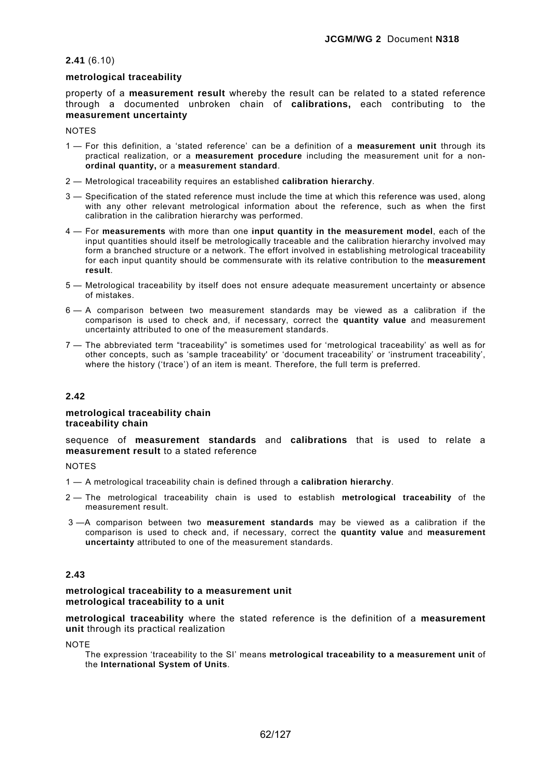## **2.41** (6.10)

## **metrological traceability**

property of a **measurement result** whereby the result can be related to a stated reference through a documented unbroken chain of **calibrations,** each contributing to the **measurement uncertainty**

**NOTES** 

- 1 For this definition, a 'stated reference' can be a definition of a **measurement unit** through its practical realization, or a **measurement procedure** including the measurement unit for a non**ordinal quantity,** or a **measurement standard**.
- 2 Metrological traceability requires an established **calibration hierarchy**.
- 3 Specification of the stated reference must include the time at which this reference was used, along with any other relevant metrological information about the reference, such as when the first calibration in the calibration hierarchy was performed.
- 4 For **measurements** with more than one **input quantity in the measurement model**, each of the input quantities should itself be metrologically traceable and the calibration hierarchy involved may form a branched structure or a network. The effort involved in establishing metrological traceability for each input quantity should be commensurate with its relative contribution to the **measurement result**.
- 5 Metrological traceability by itself does not ensure adequate measurement uncertainty or absence of mistakes.
- 6 A comparison between two measurement standards may be viewed as a calibration if the comparison is used to check and, if necessary, correct the **quantity value** and measurement uncertainty attributed to one of the measurement standards.
- 7 The abbreviated term "traceability" is sometimes used for 'metrological traceability' as well as for other concepts, such as 'sample traceability' or 'document traceability' or 'instrument traceability', where the history ('trace') of an item is meant. Therefore, the full term is preferred.

## **2.42**

#### **metrological traceability chain traceability chain**

sequence of **measurement standards** and **calibrations** that is used to relate a **measurement result** to a stated reference

**NOTES** 

- 1 A metrological traceability chain is defined through a **calibration hierarchy**.
- 2 The metrological traceability chain is used to establish **metrological traceability** of the measurement result.
- 3 —A comparison between two **measurement standards** may be viewed as a calibration if the comparison is used to check and, if necessary, correct the **quantity value** and **measurement uncertainty** attributed to one of the measurement standards.

## **2.43**

#### **metrological traceability to a measurement unit metrological traceability to a unit**

**metrological traceability** where the stated reference is the definition of a **measurement unit** through its practical realization

**NOTE** 

The expression 'traceability to the SI' means **metrological traceability to a measurement unit** of the **International System of Units**.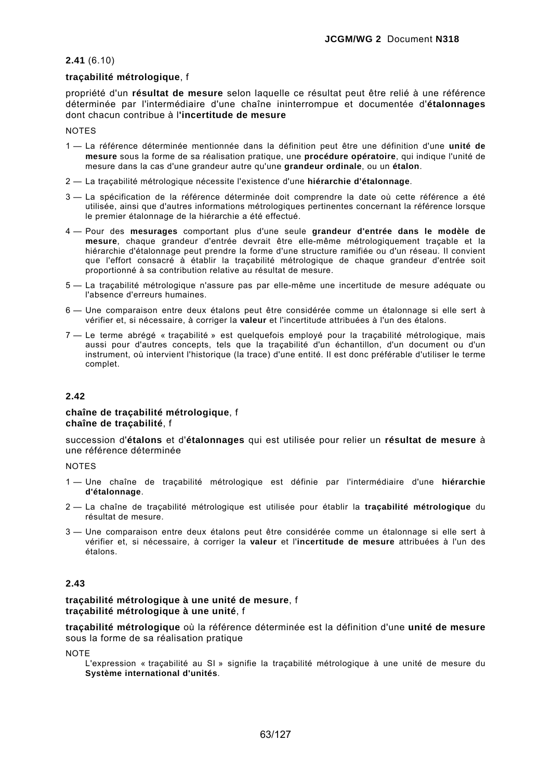### **2.41** (6.10)

## **traçabilité métrologique**, f

propriété d'un **résultat de mesure** selon laquelle ce résultat peut être relié à une référence déterminée par l'intermédiaire d'une chaîne ininterrompue et documentée d'**étalonnages** dont chacun contribue à l**'incertitude de mesure** 

**NOTES** 

- 1 La référence déterminée mentionnée dans la définition peut être une définition d'une **unité de mesure** sous la forme de sa réalisation pratique, une **procédure opératoire**, qui indique l'unité de mesure dans la cas d'une grandeur autre qu'une **grandeur ordinale**, ou un **étalon**.
- 2 La traçabilité métrologique nécessite l'existence d'une **hiérarchie d'étalonnage**.
- 3 La spécification de la référence déterminée doit comprendre la date où cette référence a été utilisée, ainsi que d'autres informations métrologiques pertinentes concernant la référence lorsque le premier étalonnage de la hiérarchie a été effectué.
- 4 Pour des **mesurages** comportant plus d'une seule **grandeur d'entrée dans le modèle de mesure**, chaque grandeur d'entrée devrait être elle-même métrologiquement traçable et la hiérarchie d'étalonnage peut prendre la forme d'une structure ramifiée ou d'un réseau. Il convient que l'effort consacré à établir la traçabilité métrologique de chaque grandeur d'entrée soit proportionné à sa contribution relative au résultat de mesure.
- 5 La traçabilité métrologique n'assure pas par elle-même une incertitude de mesure adéquate ou l'absence d'erreurs humaines.
- 6 Une comparaison entre deux étalons peut être considérée comme un étalonnage si elle sert à vérifier et, si nécessaire, à corriger la **valeur** et l'incertitude attribuées à l'un des étalons.
- 7 Le terme abrégé « traçabilité » est quelquefois employé pour la traçabilité métrologique, mais aussi pour d'autres concepts, tels que la traçabilité d'un échantillon, d'un document ou d'un instrument, où intervient l'historique (la trace) d'une entité. Il est donc préférable d'utiliser le terme complet.

## **2.42**

#### **chaîne de traçabilité métrologique**, f **chaîne de traçabilité**, f

succession d'**étalons** et d'**étalonnages** qui est utilisée pour relier un **résultat de mesure** à une référence déterminée

**NOTES** 

- 1 Une chaîne de traçabilité métrologique est définie par l'intermédiaire d'une **hiérarchie d'étalonnage**.
- 2 La chaîne de traçabilité métrologique est utilisée pour établir la **traçabilité métrologique** du résultat de mesure.
- 3 Une comparaison entre deux étalons peut être considérée comme un étalonnage si elle sert à vérifier et, si nécessaire, à corriger la **valeur** et l'**incertitude de mesure** attribuées à l'un des étalons.

### **2.43**

**traçabilité métrologique à une unité de mesure**, f **traçabilité métrologique à une unité**, f

**traçabilité métrologique** où la référence déterminée est la définition d'une **unité de mesure** sous la forme de sa réalisation pratique

**NOTE** 

L'expression « traçabilité au SI » signifie la traçabilité métrologique à une unité de mesure du **Système international d'unités**.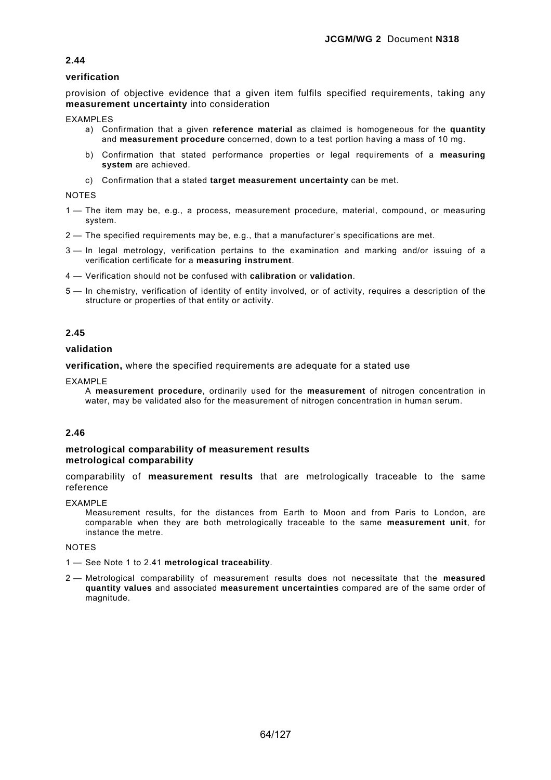## **verification**

provision of objective evidence that a given item fulfils specified requirements, taking any **measurement uncertainty** into consideration

EXAMPLES

- a) Confirmation that a given **reference material** as claimed is homogeneous for the **quantity** and **measurement procedure** concerned, down to a test portion having a mass of 10 mg.
- b) Confirmation that stated performance properties or legal requirements of a **measuring system** are achieved.
- c) Confirmation that a stated **target measurement uncertainty** can be met.

NOTES

- 1 The item may be, e.g., a process, measurement procedure, material, compound, or measuring system.
- 2 The specified requirements may be, e.g., that a manufacturer's specifications are met.
- 3 In legal metrology, verification pertains to the examination and marking and/or issuing of a verification certificate for a **measuring instrument**.
- 4 Verification should not be confused with **calibration** or **validation**.
- 5 In chemistry, verification of identity of entity involved, or of activity, requires a description of the structure or properties of that entity or activity.

## **2.45**

#### **validation**

**verification,** where the specified requirements are adequate for a stated use

EXAMPLE

A **measurement procedure**, ordinarily used for the **measurement** of nitrogen concentration in water, may be validated also for the measurement of nitrogen concentration in human serum.

#### **2.46**

#### **metrological comparability of measurement results metrological comparability**

comparability of **measurement results** that are metrologically traceable to the same reference

EXAMPLE

Measurement results, for the distances from Earth to Moon and from Paris to London, are comparable when they are both metrologically traceable to the same **measurement unit**, for instance the metre.

- 1 See Note 1 to 2.41 **metrological traceability**.
- 2 Metrological comparability of measurement results does not necessitate that the **measured quantity values** and associated **measurement uncertainties** compared are of the same order of magnitude.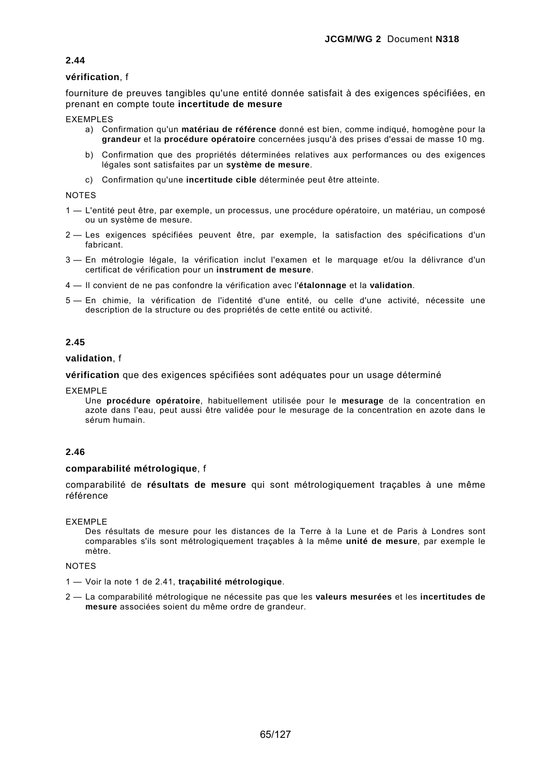## **vérification**, f

fourniture de preuves tangibles qu'une entité donnée satisfait à des exigences spécifiées, en prenant en compte toute **incertitude de mesure**

EXEMPLES

- a) Confirmation qu'un **matériau de référence** donné est bien, comme indiqué, homogène pour la **grandeur** et la **procédure opératoire** concernées jusqu'à des prises d'essai de masse 10 mg.
- b) Confirmation que des propriétés déterminées relatives aux performances ou des exigences légales sont satisfaites par un **système de mesure**.
- c) Confirmation qu'une **incertitude cible** déterminée peut être atteinte.

NOTES

- 1 L'entité peut être, par exemple, un processus, une procédure opératoire, un matériau, un composé ou un système de mesure.
- 2 Les exigences spécifiées peuvent être, par exemple, la satisfaction des spécifications d'un fabricant.
- 3 En métrologie légale, la vérification inclut l'examen et le marquage et/ou la délivrance d'un certificat de vérification pour un **instrument de mesure**.
- 4 Il convient de ne pas confondre la vérification avec l'**étalonnage** et la **validation**.
- 5 En chimie, la vérification de l'identité d'une entité, ou celle d'une activité, nécessite une description de la structure ou des propriétés de cette entité ou activité.

### **2.45**

#### **validation**, f

**vérification** que des exigences spécifiées sont adéquates pour un usage déterminé

EXEMPLE

Une **procédure opératoire**, habituellement utilisée pour le **mesurage** de la concentration en azote dans l'eau, peut aussi être validée pour le mesurage de la concentration en azote dans le sérum humain.

#### **2.46**

### **comparabilité métrologique**, f

comparabilité de **résultats de mesure** qui sont métrologiquement traçables à une même référence

EXEMPLE

Des résultats de mesure pour les distances de la Terre à la Lune et de Paris à Londres sont comparables s'ils sont métrologiquement traçables à la même **unité de mesure**, par exemple le mètre.

- 1 Voir la note 1 de 2.41, **traçabilité métrologique**.
- 2 La comparabilité métrologique ne nécessite pas que les **valeurs mesurées** et les **incertitudes de mesure** associées soient du même ordre de grandeur.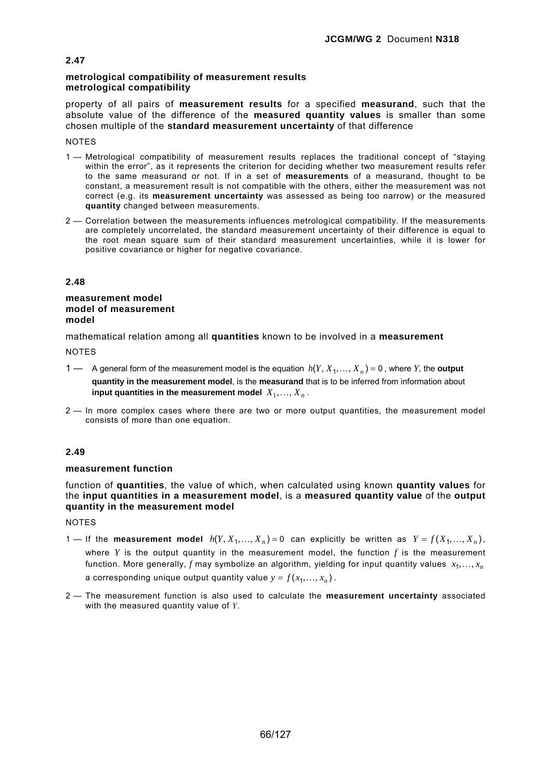### **metrological compatibility of measurement results metrological compatibility**

property of all pairs of **measurement results** for a specified **measurand**, such that the absolute value of the difference of the **measured quantity values** is smaller than some chosen multiple of the **standard measurement uncertainty** of that difference

#### **NOTES**

- 1 Metrological compatibility of measurement results replaces the traditional concept of "staying within the error", as it represents the criterion for deciding whether two measurement results refer to the same measurand or not. If in a set of **measurements** of a measurand, thought to be constant, a measurement result is not compatible with the others, either the measurement was not correct (e.g. its **measurement uncertainty** was assessed as being too narrow) or the measured **quantity** changed between measurements.
- 2 Correlation between the measurements influences metrological compatibility. If the measurements are completely uncorrelated, the standard measurement uncertainty of their difference is equal to the root mean square sum of their standard measurement uncertainties, while it is lower for positive covariance or higher for negative covariance.

### **2.48**

#### **measurement model model of measurement model**

mathematical relation among all **quantities** known to be involved in a **measurement**

**NOTES** 

- 1 A general form of the measurement model is the equation  $h(Y, X_1, ..., X_n) = 0$ , where *Y*, the **output quantity in the measurement model**, is the **measurand** that is to be inferred from information about **input quantities in the measurement model**  $X_1, \ldots, X_n$ .
- 2 In more complex cases where there are two or more output quantities, the measurement model consists of more than one equation.

# **2.49**

## **measurement function**

function of **quantities**, the value of which, when calculated using known **quantity values** for the **input quantities in a measurement model**, is a **measured quantity value** of the **output quantity in the measurement model**

- 1 If the **measurement model**  $h(Y, X_1, ..., X_n) = 0$  can explicitly be written as  $Y = f(X_1, ..., X_n)$ , where  $Y$  is the output quantity in the measurement model, the function  $f$  is the measurement function. More generally, *f* may symbolize an algorithm, yielding for input quantity values  $x_1, \ldots, x_n$ a corresponding unique output quantity value  $y = f(x_1, ..., x_n)$ .
- 2 The measurement function is also used to calculate the **measurement uncertainty** associated with the measured quantity value of *Y*.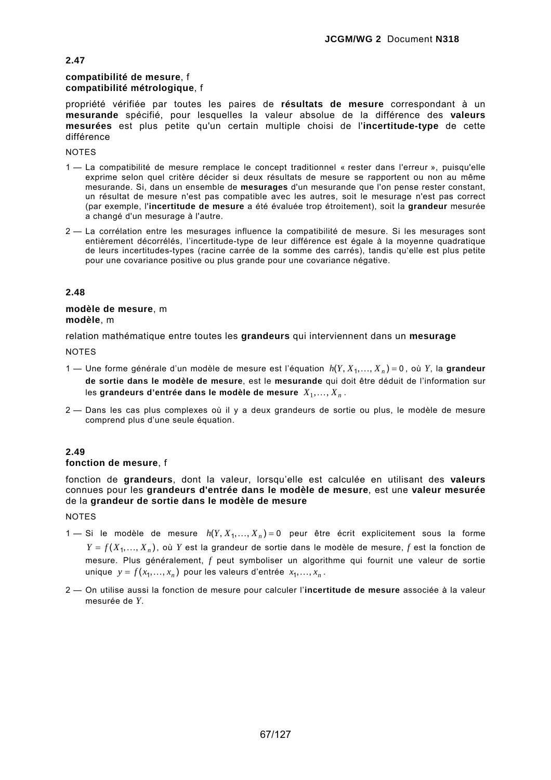# **compatibilité de mesure**, f **compatibilité métrologique**, f

propriété vérifiée par toutes les paires de **résultats de mesure** correspondant à un **mesurande** spécifié, pour lesquelles la valeur absolue de la différence des **valeurs mesurées** est plus petite qu'un certain multiple choisi de l'**incertitude-type** de cette différence

**NOTES** 

**2.47** 

- 1 La compatibilité de mesure remplace le concept traditionnel « rester dans l'erreur », puisqu'elle exprime selon quel critère décider si deux résultats de mesure se rapportent ou non au même mesurande. Si, dans un ensemble de **mesurages** d'un mesurande que l'on pense rester constant, un résultat de mesure n'est pas compatible avec les autres, soit le mesurage n'est pas correct (par exemple, l'**incertitude de mesure** a été évaluée trop étroitement), soit la **grandeur** mesurée a changé d'un mesurage à l'autre.
- 2 La corrélation entre les mesurages influence la compatibilité de mesure. Si les mesurages sont entièrement décorrélés, l'incertitude-type de leur différence est égale à la moyenne quadratique de leurs incertitudes-types (racine carrée de la somme des carrés), tandis qu'elle est plus petite pour une covariance positive ou plus grande pour une covariance négative.

### **2.48**

### **modèle de mesure**, m **modèle**, m

relation mathématique entre toutes les **grandeurs** qui interviennent dans un **mesurage**

**NOTES** 

- 1 Une forme générale d'un modèle de mesure est l'équation  $h(Y, X_1, \ldots, X_n) = 0$ , où Y, la grandeur **de sortie dans le modèle de mesure**, est le **mesurande** qui doit être déduit de l'information sur les grandeurs d'entrée dans le modèle de mesure  $X_1, \ldots, X_n$ .
- 2 Dans les cas plus complexes où il y a deux grandeurs de sortie ou plus, le modèle de mesure comprend plus d'une seule équation.

# **2.49**

#### **fonction de mesure**, f

fonction de **grandeurs**, dont la valeur, lorsqu'elle est calculée en utilisant des **valeurs** connues pour les **grandeurs d'entrée dans le modèle de mesure**, est une **valeur mesurée** de la **grandeur de sortie dans le modèle de mesure**

- 1 Si le modèle de mesure  $h(Y, X_1, ..., X_n) = 0$  peur être écrit explicitement sous la forme  $Y = f(X_1, \ldots, X_n)$ , où Y est la grandeur de sortie dans le modèle de mesure, f est la fonction de mesure. Plus généralement, *f* peut symboliser un algorithme qui fournit une valeur de sortie unique  $y = f(x_1, ..., x_n)$  pour les valeurs d'entrée  $x_1, ..., x_n$ .
- 2 On utilise aussi la fonction de mesure pour calculer l'**incertitude de mesure** associée à la valeur mesurée de *Y*.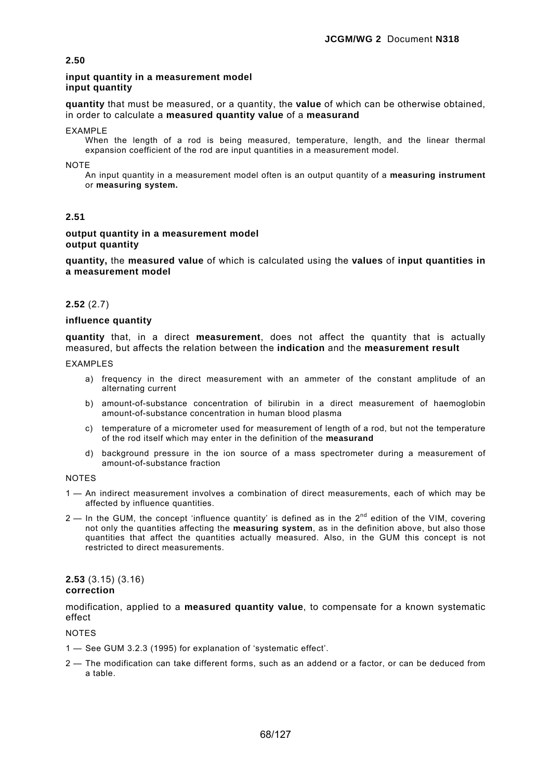#### **input quantity in a measurement model input quantity**

**quantity** that must be measured, or a quantity, the **value** of which can be otherwise obtained, in order to calculate a **measured quantity value** of a **measurand**

#### EXAMPLE

When the length of a rod is being measured, temperature, length, and the linear thermal expansion coefficient of the rod are input quantities in a measurement model.

**NOTE** 

An input quantity in a measurement model often is an output quantity of a **measuring instrument**  or **measuring system.**

## **2.51**

#### **output quantity in a measurement model output quantity**

**quantity,** the **measured value** of which is calculated using the **values** of **input quantities in a measurement model**

### **2.52** (2.7)

#### **influence quantity**

**quantity** that, in a direct **measurement**, does not affect the quantity that is actually measured, but affects the relation between the **indication** and the **measurement result**

EXAMPLES

- a) frequency in the direct measurement with an ammeter of the constant amplitude of an alternating current
- b) amount-of-substance concentration of bilirubin in a direct measurement of haemoglobin amount-of-substance concentration in human blood plasma
- c) temperature of a micrometer used for measurement of length of a rod, but not the temperature of the rod itself which may enter in the definition of the **measurand**
- d) background pressure in the ion source of a mass spectrometer during a measurement of amount-of-substance fraction

#### NOTES

- 1 An indirect measurement involves a combination of direct measurements, each of which may be affected by influence quantities.
- $2$  In the GUM, the concept 'influence quantity' is defined as in the  $2<sup>nd</sup>$  edition of the VIM, covering not only the quantities affecting the **measuring system**, as in the definition above, but also those quantities that affect the quantities actually measured. Also, in the GUM this concept is not restricted to direct measurements.

#### **2.53** (3.15) (3.16) **correction**

modification, applied to a **measured quantity value**, to compensate for a known systematic effect

- 1 See GUM 3.2.3 (1995) for explanation of 'systematic effect'.
- 2 The modification can take different forms, such as an addend or a factor, or can be deduced from a table.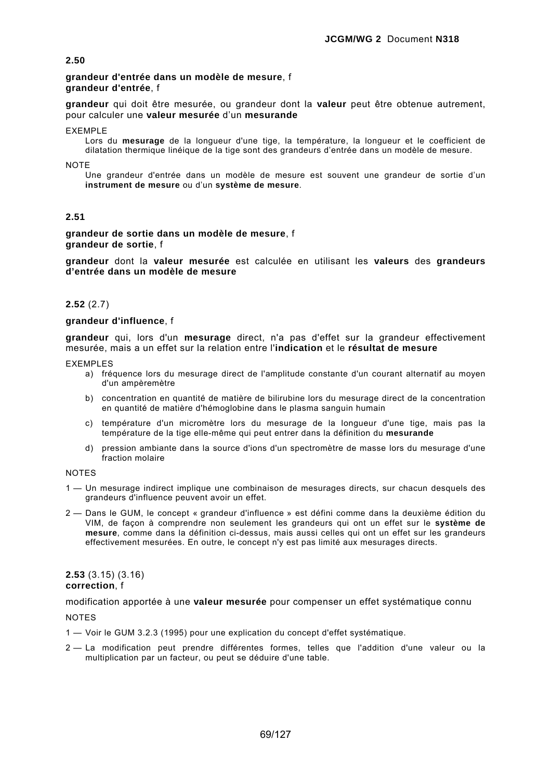### **grandeur d'entrée dans un modèle de mesure**, f **grandeur d'entrée**, f

**grandeur** qui doit être mesurée, ou grandeur dont la **valeur** peut être obtenue autrement, pour calculer une **valeur mesurée** d'un **mesurande**

EXEMPLE

Lors du **mesurage** de la longueur d'une tige, la température, la longueur et le coefficient de dilatation thermique linéique de la tige sont des grandeurs d'entrée dans un modèle de mesure.

NOTE

Une grandeur d'entrée dans un modèle de mesure est souvent une grandeur de sortie d'un **instrument de mesure** ou d'un **système de mesure**.

# **2.51**

**grandeur de sortie dans un modèle de mesure**, f **grandeur de sortie**, f

**grandeur** dont la **valeur mesurée** est calculée en utilisant les **valeurs** des **grandeurs d'entrée dans un modèle de mesure**

### **2.52** (2.7)

# **grandeur d'influence**, f

**grandeur** qui, lors d'un **mesurage** direct, n'a pas d'effet sur la grandeur effectivement mesurée, mais a un effet sur la relation entre l'**indication** et le **résultat de mesure**

EXEMPLES

- a) fréquence lors du mesurage direct de l'amplitude constante d'un courant alternatif au moyen d'un ampèremètre
- b) concentration en quantité de matière de bilirubine lors du mesurage direct de la concentration en quantité de matière d'hémoglobine dans le plasma sanguin humain
- c) température d'un micromètre lors du mesurage de la longueur d'une tige, mais pas la température de la tige elle-même qui peut entrer dans la définition du **mesurande**
- d) pression ambiante dans la source d'ions d'un spectromètre de masse lors du mesurage d'une fraction molaire

#### NOTES

- 1 Un mesurage indirect implique une combinaison de mesurages directs, sur chacun desquels des grandeurs d'influence peuvent avoir un effet.
- 2 Dans le GUM, le concept « grandeur d'influence » est défini comme dans la deuxième édition du VIM, de façon à comprendre non seulement les grandeurs qui ont un effet sur le **système de mesure**, comme dans la définition ci-dessus, mais aussi celles qui ont un effet sur les grandeurs effectivement mesurées. En outre, le concept n'y est pas limité aux mesurages directs.

#### **2.53** (3.15) (3.16) **correction**, f

modification apportée à une **valeur mesurée** pour compenser un effet systématique connu

- 1 Voir le GUM 3.2.3 (1995) pour une explication du concept d'effet systématique.
- 2 La modification peut prendre différentes formes, telles que l'addition d'une valeur ou la multiplication par un facteur, ou peut se déduire d'une table.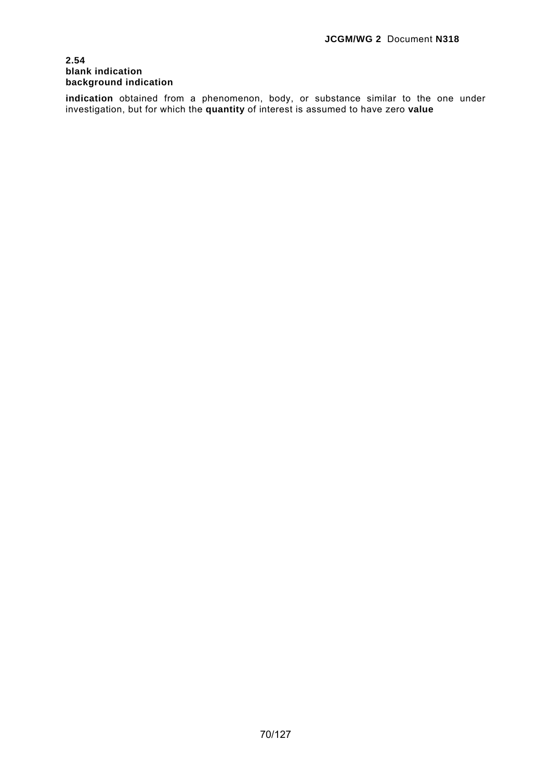### **2.54 blank indication background indication**

**indication** obtained from a phenomenon, body, or substance similar to the one under investigation, but for which the **quantity** of interest is assumed to have zero **value**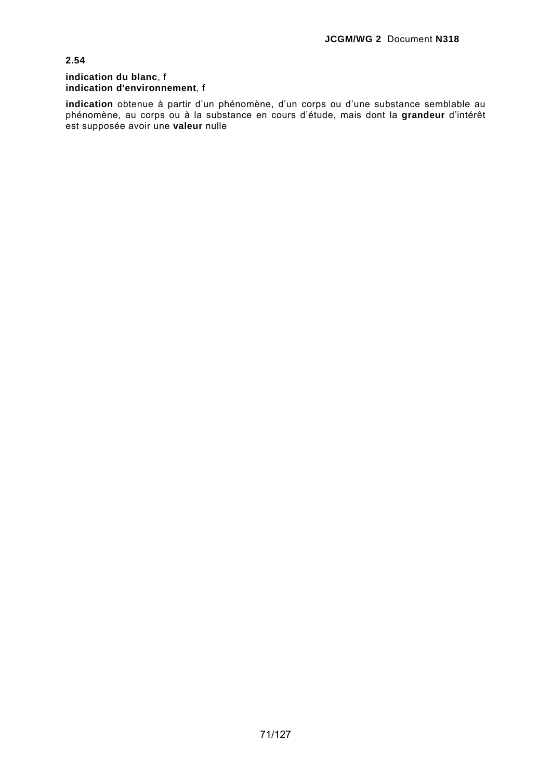### **indication du blanc**, f **indication d'environnement**, f

**indication** obtenue à partir d'un phénomène, d'un corps ou d'une substance semblable au phénomène, au corps ou à la substance en cours d'étude, mais dont la **grandeur** d'intérêt est supposée avoir une **valeur** nulle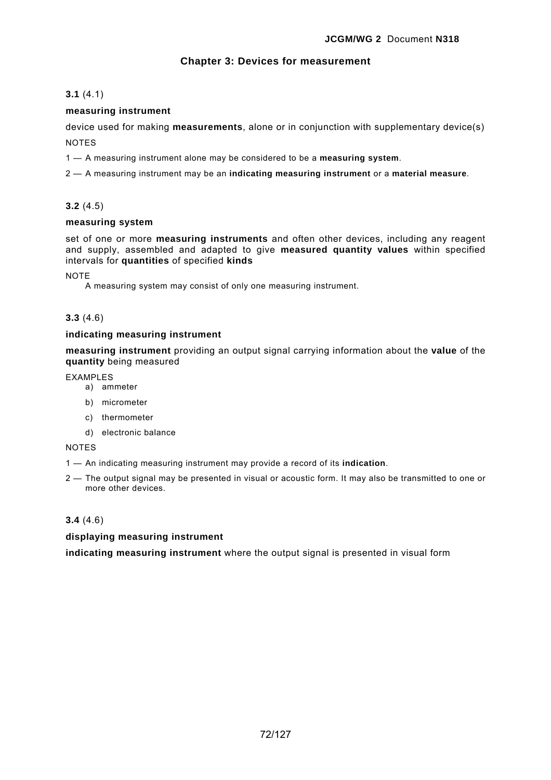# **Chapter 3: Devices for measurement**

# **3.1** (4.1)

# **measuring instrument**

device used for making **measurements**, alone or in conjunction with supplementary device(s) NOTES

1 — A measuring instrument alone may be considered to be a **measuring system**.

2 — A measuring instrument may be an **indicating measuring instrument** or a **material measure**.

# **3.2** (4.5)

## **measuring system**

set of one or more **measuring instruments** and often other devices, including any reagent and supply, assembled and adapted to give **measured quantity values** within specified intervals for **quantities** of specified **kinds**

NOTE

A measuring system may consist of only one measuring instrument.

# **3.3** (4.6)

# **indicating measuring instrument**

**measuring instrument** providing an output signal carrying information about the **value** of the **quantity** being measured

EXAMPLES

- a) ammeter
- b) micrometer
- c) thermometer
- d) electronic balance

NOTES

1 — An indicating measuring instrument may provide a record of its **indication**.

2 — The output signal may be presented in visual or acoustic form. It may also be transmitted to one or more other devices.

## **3.4** (4.6)

**displaying measuring instrument** 

**indicating measuring instrument** where the output signal is presented in visual form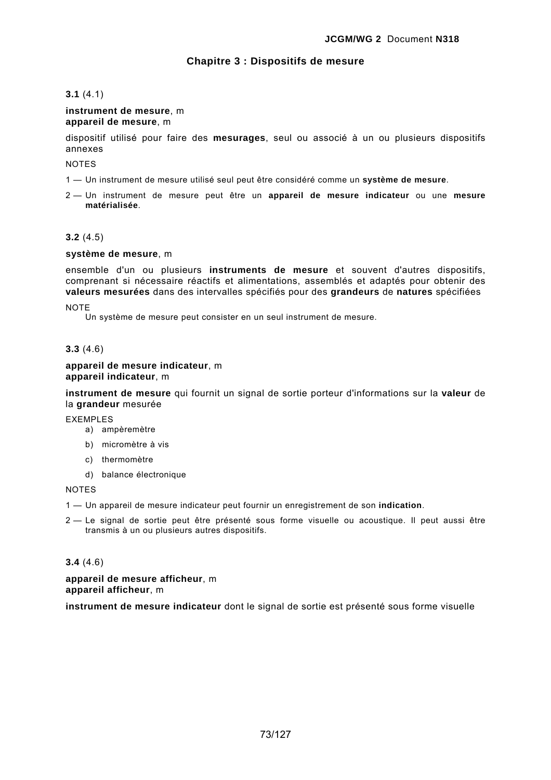# **Chapitre 3 : Dispositifs de mesure**

# **3.1** (4.1)

### **instrument de mesure**, m **appareil de mesure**, m

dispositif utilisé pour faire des **mesurages**, seul ou associé à un ou plusieurs dispositifs annexes

# NOTES

- 1 Un instrument de mesure utilisé seul peut être considéré comme un **système de mesure**.
- 2 Un instrument de mesure peut être un **appareil de mesure indicateur** ou une **mesure matérialisée**.

# **3.2** (4.5)

# **système de mesure**, m

ensemble d'un ou plusieurs **instruments de mesure** et souvent d'autres dispositifs, comprenant si nécessaire réactifs et alimentations, assemblés et adaptés pour obtenir des **valeurs mesurées** dans des intervalles spécifiés pour des **grandeurs** de **natures** spécifiées

### **NOTE**

Un système de mesure peut consister en un seul instrument de mesure.

# **3.3** (4.6)

### **appareil de mesure indicateur**, m **appareil indicateur**, m

**instrument de mesure** qui fournit un signal de sortie porteur d'informations sur la **valeur** de la **grandeur** mesurée

EXEMPLES

- a) ampèremètre
- b) micromètre à vis
- c) thermomètre
- d) balance électronique

### NOTES

1 — Un appareil de mesure indicateur peut fournir un enregistrement de son **indication**.

2 — Le signal de sortie peut être présenté sous forme visuelle ou acoustique. Il peut aussi être transmis à un ou plusieurs autres dispositifs.

# **3.4** (4.6)

**appareil de mesure afficheur**, m **appareil afficheur**, m

**instrument de mesure indicateur** dont le signal de sortie est présenté sous forme visuelle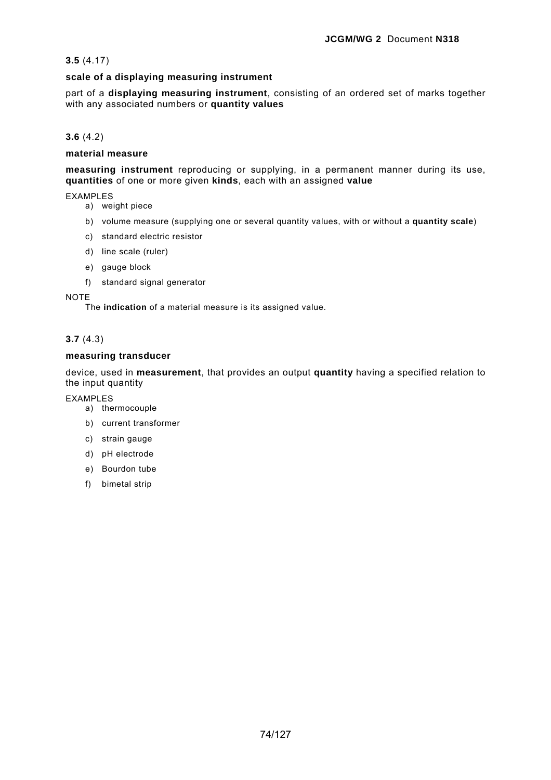# **3.5** (4.17)

# **scale of a displaying measuring instrument**

part of a **displaying measuring instrument**, consisting of an ordered set of marks together with any associated numbers or **quantity values**

# **3.6** (4.2)

### **material measure**

**measuring instrument** reproducing or supplying, in a permanent manner during its use, **quantities** of one or more given **kinds**, each with an assigned **value**

### EXAMPLES

- a) weight piece
- b) volume measure (supplying one or several quantity values, with or without a **quantity scale**)
- c) standard electric resistor
- d) line scale (ruler)
- e) gauge block
- f) standard signal generator

**NOTE** 

The **indication** of a material measure is its assigned value.

# **3.7** (4.3)

### **measuring transducer**

device, used in **measurement**, that provides an output **quantity** having a specified relation to the input quantity

EXAMPLES

- a) thermocouple
- b) current transformer
- c) strain gauge
- d) pH electrode
- e) Bourdon tube
- f) bimetal strip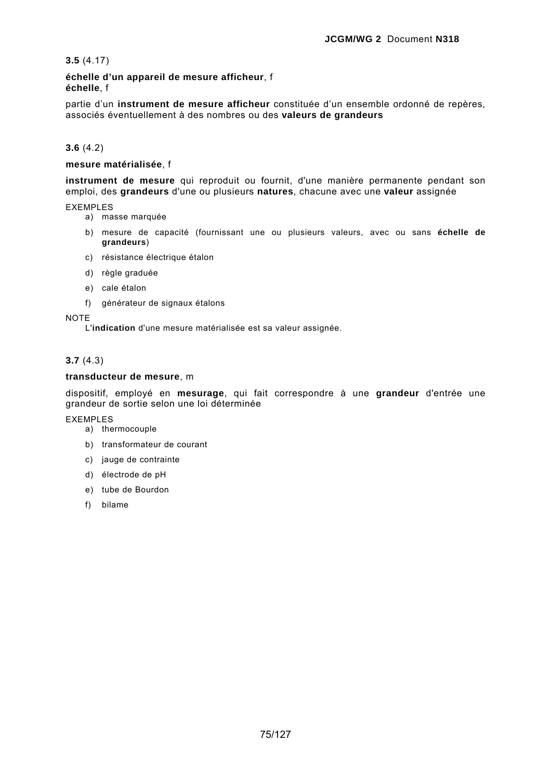**3.5** (4.17)

**échelle d'un appareil de mesure afficheur**, f **échelle**, f

partie d'un **instrument de mesure afficheur** constituée d'un ensemble ordonné de repères, associés éventuellement à des nombres ou des **valeurs de grandeurs**

# **3.6** (4.2)

# **mesure matérialisée**, f

**instrument de mesure** qui reproduit ou fournit, d'une manière permanente pendant son emploi, des **grandeurs** d'une ou plusieurs **natures**, chacune avec une **valeur** assignée

EXEMPLES

- a) masse marquée
- b) mesure de capacité (fournissant une ou plusieurs valeurs, avec ou sans **échelle de grandeurs**)
- c) résistance électrique étalon
- d) règle graduée
- e) cale étalon
- f) générateur de signaux étalons

NOTE

L'**indication** d'une mesure matérialisée est sa valeur assignée.

# **3.7** (4.3)

# **transducteur de mesure**, m

dispositif, employé en **mesurage**, qui fait correspondre à une **grandeur** d'entrée une grandeur de sortie selon une loi déterminée

### EXEMPLES

- a) thermocouple
- b) transformateur de courant
- c) jauge de contrainte
- d) électrode de pH
- e) tube de Bourdon
- f) bilame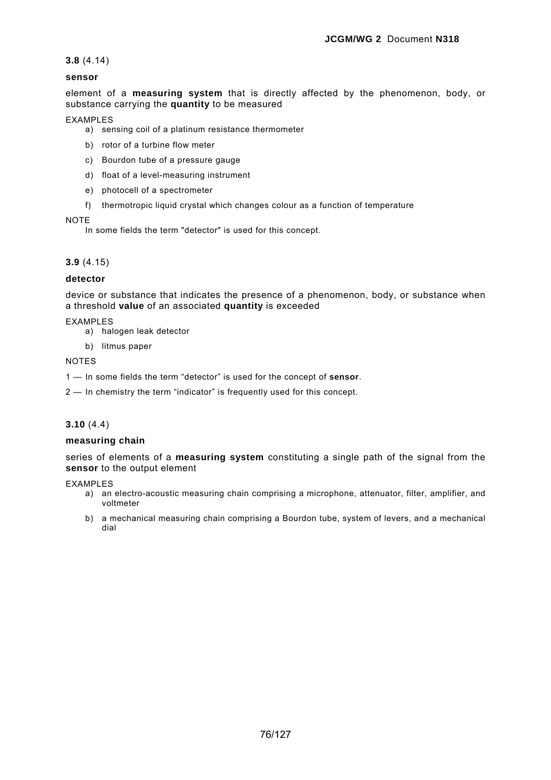**3.8** (4.14)

# **sensor**

element of a **measuring system** that is directly affected by the phenomenon, body, or substance carrying the **quantity** to be measured

## EXAMPLES

- a) sensing coil of a platinum resistance thermometer
- b) rotor of a turbine flow meter
- c) Bourdon tube of a pressure gauge
- d) float of a level-measuring instrument
- e) photocell of a spectrometer
- f) thermotropic liquid crystal which changes colour as a function of temperature

### **NOTE**

In some fields the term "detector" is used for this concept.

# **3.9** (4.15)

# **detector**

device or substance that indicates the presence of a phenomenon, body, or substance when a threshold **value** of an associated **quantity** is exceeded

# EXAMPLES

- a) halogen leak detector
- b) litmus paper

### NOTES

- 1 In some fields the term "detector" is used for the concept of **sensor**.
- 2 In chemistry the term "indicator" is frequently used for this concept.

# **3.10** (4.4)

### **measuring chain**

series of elements of a **measuring system** constituting a single path of the signal from the **sensor** to the output element

### EXAMPLES

- a) an electro-acoustic measuring chain comprising a microphone, attenuator, filter, amplifier, and voltmeter
- b) a mechanical measuring chain comprising a Bourdon tube, system of levers, and a mechanical dial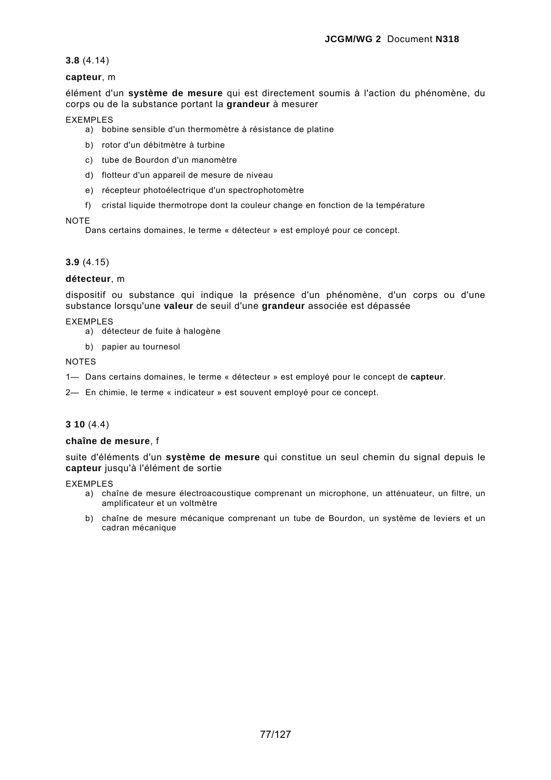# **3.8** (4.14)

# **capteur**, m

élément d'un **système de mesure** qui est directement soumis à l'action du phénomène, du corps ou de la substance portant la **grandeur** à mesurer

## EXEMPLES

- a) bobine sensible d'un thermomètre à résistance de platine
- b) rotor d'un débitmètre à turbine
- c) tube de Bourdon d'un manomètre
- d) flotteur d'un appareil de mesure de niveau
- e) récepteur photoélectrique d'un spectrophotomètre
- f) cristal liquide thermotrope dont la couleur change en fonction de la température

### NOTE

Dans certains domaines, le terme « détecteur » est employé pour ce concept.

# **3.9** (4.15)

# **détecteur**, m

dispositif ou substance qui indique la présence d'un phénomène, d'un corps ou d'une substance lorsqu'une **valeur** de seuil d'une **grandeur** associée est dépassée

# EXEMPLES

- a) détecteur de fuite à halogène
- b) papier au tournesol

### NOTES

- 1— Dans certains domaines, le terme « détecteur » est employé pour le concept de **capteur**.
- 2— En chimie, le terme « indicateur » est souvent employé pour ce concept.

# **3 10** (4.4)

# **chaîne de mesure**, f

suite d'éléments d'un **système de mesure** qui constitue un seul chemin du signal depuis le **capteur** jusqu'à l'élément de sortie

### EXEMPLES

- a) chaîne de mesure électroacoustique comprenant un microphone, un atténuateur, un filtre, un amplificateur et un voltmètre
- b) chaîne de mesure mécanique comprenant un tube de Bourdon, un système de leviers et un cadran mécanique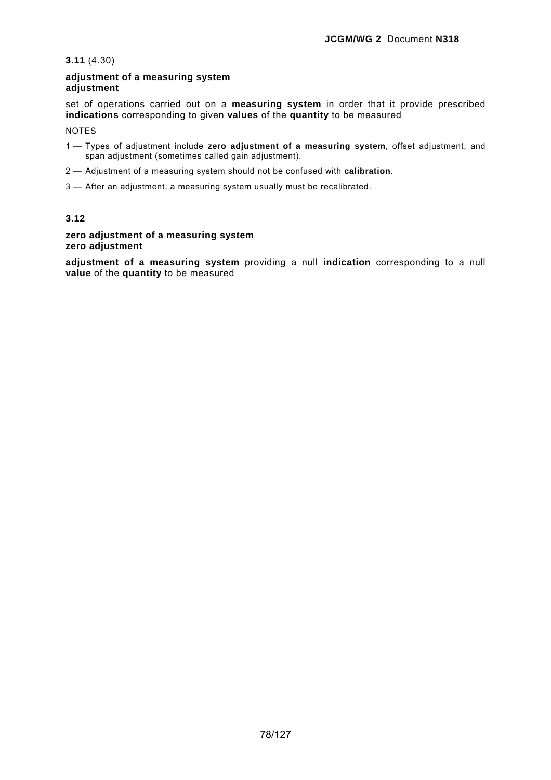# **3.11** (4.30)

# **adjustment of a measuring system adjustment**

set of operations carried out on a **measuring system** in order that it provide prescribed **indications** corresponding to given **values** of the **quantity** to be measured

NOTES

- 1 Types of adjustment include **zero adjustment of a measuring system**, offset adjustment, and span adjustment (sometimes called gain adjustment).
- 2 Adjustment of a measuring system should not be confused with **calibration**.
- 3 After an adjustment, a measuring system usually must be recalibrated.

# **3.12**

# **zero adjustment of a measuring system zero adjustment**

**adjustment of a measuring system** providing a null **indication** corresponding to a null **value** of the **quantity** to be measured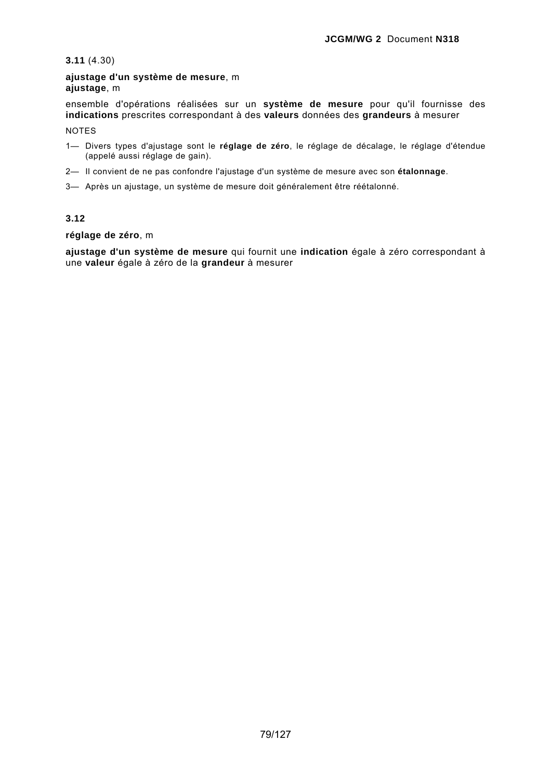**3.11** (4.30)

**ajustage d'un système de mesure**, m **ajustage**, m

ensemble d'opérations réalisées sur un **système de mesure** pour qu'il fournisse des **indications** prescrites correspondant à des **valeurs** données des **grandeurs** à mesurer NOTES

- 1— Divers types d'ajustage sont le **réglage de zéro**, le réglage de décalage, le réglage d'étendue (appelé aussi réglage de gain).
- 2— Il convient de ne pas confondre l'ajustage d'un système de mesure avec son **étalonnage**.
- 3— Après un ajustage, un système de mesure doit généralement être réétalonné.

# **3.12**

**réglage de zéro**, m

**ajustage d'un système de mesure** qui fournit une **indication** égale à zéro correspondant à une **valeur** égale à zéro de la **grandeur** à mesurer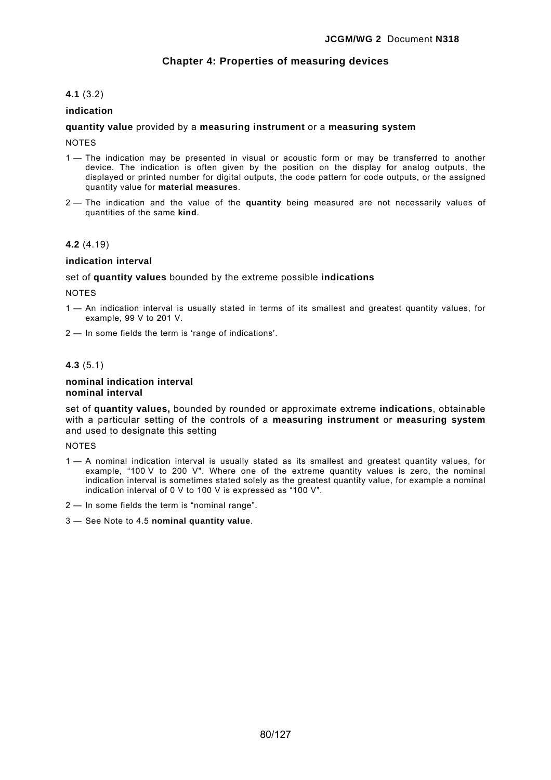# **Chapter 4: Properties of measuring devices**

# **4.1** (3.2)

# **indication**

## **quantity value** provided by a **measuring instrument** or a **measuring system**

NOTES

- 1 The indication may be presented in visual or acoustic form or may be transferred to another device. The indication is often given by the position on the display for analog outputs, the displayed or printed number for digital outputs, the code pattern for code outputs, or the assigned quantity value for **material measures**.
- 2 The indication and the value of the **quantity** being measured are not necessarily values of quantities of the same **kind**.

### **4.2** (4.19)

#### **indication interval**

set of **quantity values** bounded by the extreme possible **indications**

**NOTES** 

- 1 An indication interval is usually stated in terms of its smallest and greatest quantity values, for example, 99 V to 201 V.
- 2 In some fields the term is 'range of indications'.

# **4.3** (5.1)

#### **nominal indication interval nominal interval**

set of **quantity values,** bounded by rounded or approximate extreme **indications**, obtainable with a particular setting of the controls of a **measuring instrument** or **measuring system**  and used to designate this setting

#### **NOTES**

- 1 A nominal indication interval is usually stated as its smallest and greatest quantity values, for example, "100 V to 200 V". Where one of the extreme quantity values is zero, the nominal indication interval is sometimes stated solely as the greatest quantity value, for example a nominal indication interval of 0 V to 100 V is expressed as "100 V".
- 2 In some fields the term is "nominal range".
- 3 See Note to 4.5 **nominal quantity value**.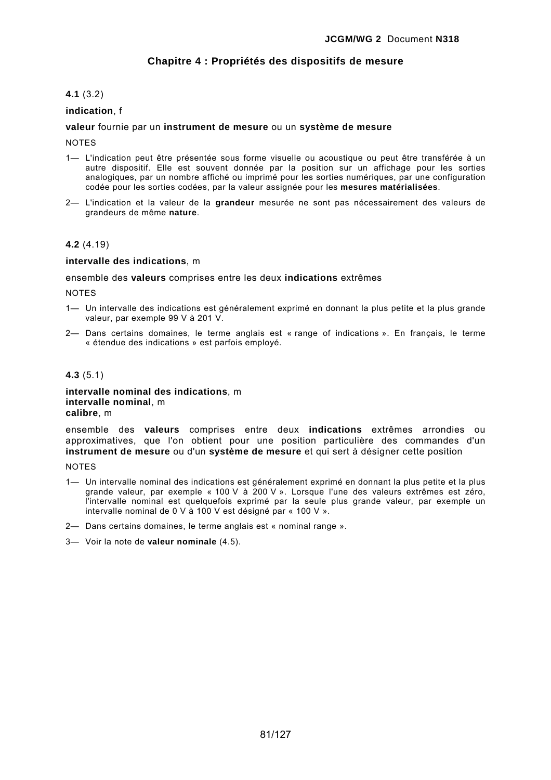# **Chapitre 4 : Propriétés des dispositifs de mesure**

# **4.1** (3.2)

## **indication**, f

## **valeur** fournie par un **instrument de mesure** ou un **système de mesure**

NOTES

- 1— L'indication peut être présentée sous forme visuelle ou acoustique ou peut être transférée à un autre dispositif. Elle est souvent donnée par la position sur un affichage pour les sorties analogiques, par un nombre affiché ou imprimé pour les sorties numériques, par une configuration codée pour les sorties codées, par la valeur assignée pour les **mesures matérialisées**.
- 2— L'indication et la valeur de la **grandeur** mesurée ne sont pas nécessairement des valeurs de grandeurs de même **nature**.

### **4.2** (4.19)

#### **intervalle des indications**, m

ensemble des **valeurs** comprises entre les deux **indications** extrêmes

**NOTES** 

- 1— Un intervalle des indications est généralement exprimé en donnant la plus petite et la plus grande valeur, par exemple 99 V à 201 V.
- 2— Dans certains domaines, le terme anglais est « range of indications ». En français, le terme « étendue des indications » est parfois employé.

#### **4.3** (5.1)

**intervalle nominal des indications**, m **intervalle nominal**, m **calibre**, m

ensemble des **valeurs** comprises entre deux **indications** extrêmes arrondies ou approximatives, que l'on obtient pour une position particulière des commandes d'un **instrument de mesure** ou d'un **système de mesure** et qui sert à désigner cette position

**NOTES** 

- 1— Un intervalle nominal des indications est généralement exprimé en donnant la plus petite et la plus grande valeur, par exemple « 100 V à 200 V ». Lorsque l'une des valeurs extrêmes est zéro, l'intervalle nominal est quelquefois exprimé par la seule plus grande valeur, par exemple un intervalle nominal de 0 V à 100 V est désigné par « 100 V ».
- 2— Dans certains domaines, le terme anglais est « nominal range ».
- 3— Voir la note de **valeur nominale** (4.5).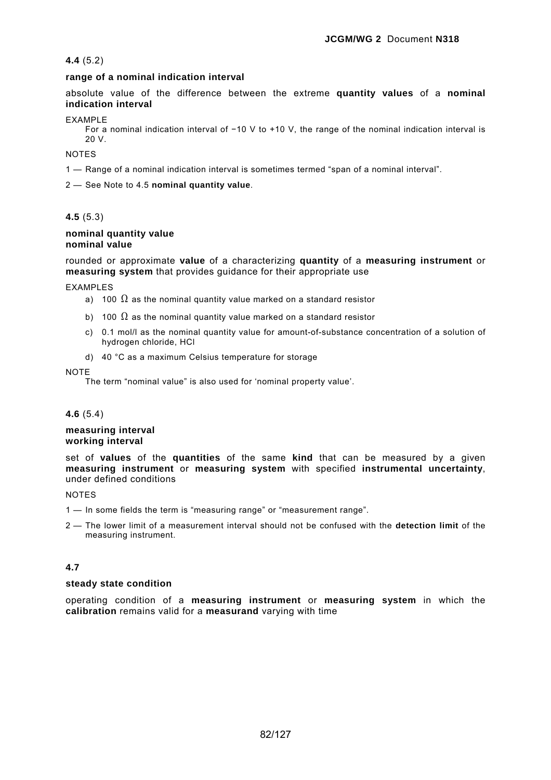# **4.4** (5.2)

# **range of a nominal indication interval**

absolute value of the difference between the extreme **quantity values** of a **nominal indication interval**

### EXAMPLE

For a nominal indication interval of −10 V to +10 V, the range of the nominal indication interval is 20 V.

**NOTES** 

1 — Range of a nominal indication interval is sometimes termed "span of a nominal interval".

2 — See Note to 4.5 **nominal quantity value**.

# **4.5** (5.3)

### **nominal quantity value nominal value**

rounded or approximate **value** of a characterizing **quantity** of a **measuring instrument** or **measuring system** that provides guidance for their appropriate use

EXAMPLES

- a) 100  $\Omega$  as the nominal quantity value marked on a standard resistor
- b) 100  $\Omega$  as the nominal quantity value marked on a standard resistor
- c) 0.1 mol/l as the nominal quantity value for amount-of-substance concentration of a solution of hydrogen chloride, HCl
- d) 40 °C as a maximum Celsius temperature for storage

#### **NOTE**

The term "nominal value" is also used for 'nominal property value'.

### **4.6** (5.4)

### **measuring interval working interval**

set of **values** of the **quantities** of the same **kind** that can be measured by a given **measuring instrument** or **measuring system** with specified **instrumental uncertainty**, under defined conditions

### **NOTES**

- 1 In some fields the term is "measuring range" or "measurement range".
- 2 The lower limit of a measurement interval should not be confused with the **detection limit** of the measuring instrument.

# **4.7**

### **steady state condition**

operating condition of a **measuring instrument** or **measuring system** in which the **calibration** remains valid for a **measurand** varying with time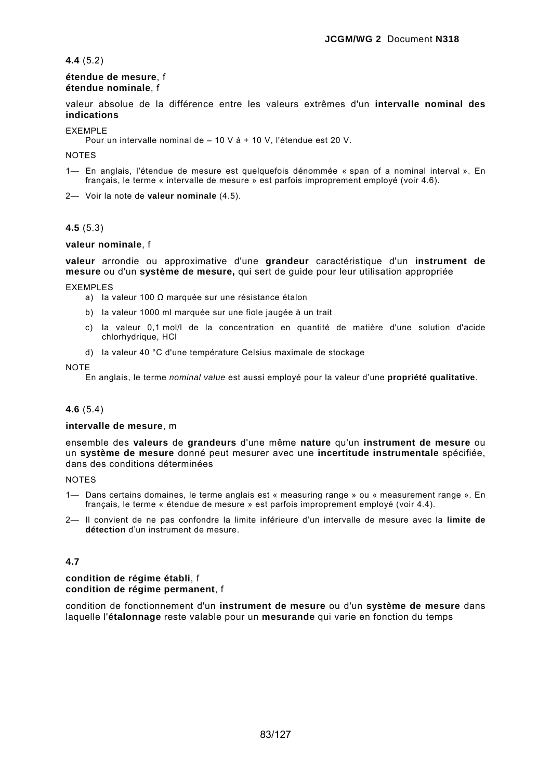# **4.4** (5.2)

### **étendue de mesure**, f **étendue nominale**, f

valeur absolue de la différence entre les valeurs extrêmes d'un **intervalle nominal des indications**

EXEMPLE

Pour un intervalle nominal de – 10 V à + 10 V, l'étendue est 20 V.

NOTES

1— En anglais, l'étendue de mesure est quelquefois dénommée « span of a nominal interval ». En français, le terme « intervalle de mesure » est parfois improprement employé (voir 4.6).

2— Voir la note de **valeur nominale** (4.5).

# **4.5** (5.3)

# **valeur nominale**, f

**valeur** arrondie ou approximative d'une **grandeur** caractéristique d'un **instrument de mesure** ou d'un **système de mesure,** qui sert de guide pour leur utilisation appropriée

EXEMPLES

- a) la valeur 100 Ω marquée sur une résistance étalon
- b) la valeur 1000 ml marquée sur une fiole jaugée à un trait
- c) la valeur 0,1 mol/l de la concentration en quantité de matière d'une solution d'acide chlorhydrique, HCl
- d) la valeur 40 °C d'une température Celsius maximale de stockage

NOTE

En anglais, le terme *nominal value* est aussi employé pour la valeur d'une **propriété qualitative**.

# **4.6** (5.4)

### **intervalle de mesure**, m

ensemble des **valeurs** de **grandeurs** d'une même **nature** qu'un **instrument de mesure** ou un **système de mesure** donné peut mesurer avec une **incertitude instrumentale** spécifiée, dans des conditions déterminées

### **NOTES**

- 1— Dans certains domaines, le terme anglais est « measuring range » ou « measurement range ». En français, le terme « étendue de mesure » est parfois improprement employé (voir 4.4).
- 2— Il convient de ne pas confondre la limite inférieure d'un intervalle de mesure avec la **limite de détection** d'un instrument de mesure.

# **4.7**

### **condition de régime établi**, f **condition de régime permanent**, f

condition de fonctionnement d'un **instrument de mesure** ou d'un **système de mesure** dans laquelle l'**étalonnage** reste valable pour un **mesurande** qui varie en fonction du temps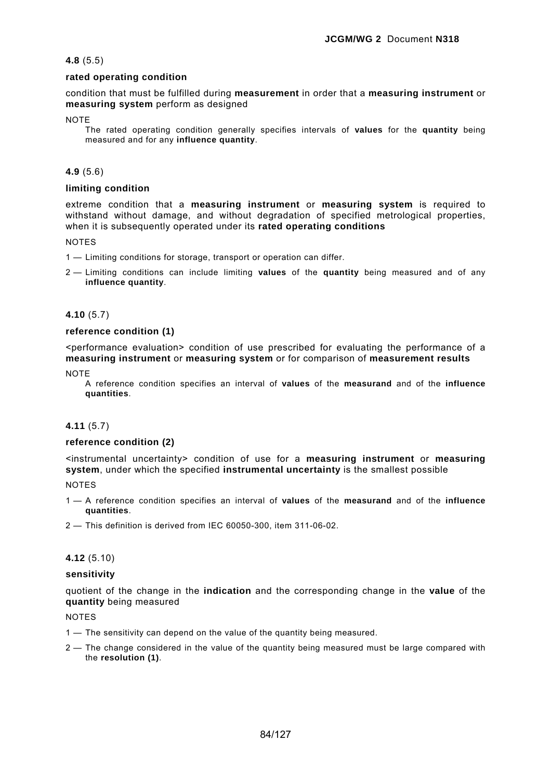# **4.8** (5.5)

# **rated operating condition**

condition that must be fulfilled during **measurement** in order that a **measuring instrument** or **measuring system** perform as designed

**NOTE** 

The rated operating condition generally specifies intervals of **values** for the **quantity** being measured and for any **influence quantity**.

# **4.9** (5.6)

# **limiting condition**

extreme condition that a **measuring instrument** or **measuring system** is required to withstand without damage, and without degradation of specified metrological properties, when it is subsequently operated under its **rated operating conditions**

NOTES

- 1 Limiting conditions for storage, transport or operation can differ.
- 2 Limiting conditions can include limiting **values** of the **quantity** being measured and of any **influence quantity**.

### **4.10** (5.7)

### **reference condition (1)**

<performance evaluation> condition of use prescribed for evaluating the performance of a **measuring instrument** or **measuring system** or for comparison of **measurement results**

NOTE

A reference condition specifies an interval of **values** of the **measurand** and of the **influence quantities**.

# **4.11** (5.7)

### **reference condition (2)**

<instrumental uncertainty> condition of use for a **measuring instrument** or **measuring system**, under which the specified **instrumental uncertainty** is the smallest possible

**NOTES** 

- 1 A reference condition specifies an interval of **values** of the **measurand** and of the **influence quantities**.
- 2 This definition is derived from IEC 60050-300, item 311-06-02.

### **4.12** (5.10)

### **sensitivity**

quotient of the change in the **indication** and the corresponding change in the **value** of the **quantity** being measured

NOTES

- 1 The sensitivity can depend on the value of the quantity being measured.
- 2 The change considered in the value of the quantity being measured must be large compared with the **resolution (1)**.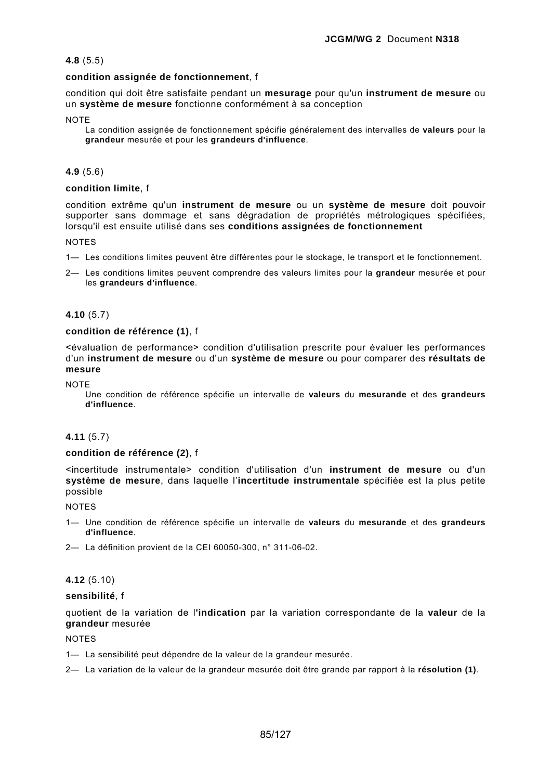# **4.8** (5.5)

### **condition assignée de fonctionnement**, f

condition qui doit être satisfaite pendant un **mesurage** pour qu'un **instrument de mesure** ou un **système de mesure** fonctionne conformément à sa conception

#### **NOTE**

La condition assignée de fonctionnement spécifie généralement des intervalles de **valeurs** pour la **grandeur** mesurée et pour les **grandeurs d'influence**.

# **4.9** (5.6)

# **condition limite**, f

condition extrême qu'un **instrument de mesure** ou un **système de mesure** doit pouvoir supporter sans dommage et sans dégradation de propriétés métrologiques spécifiées, lorsqu'il est ensuite utilisé dans ses **conditions assignées de fonctionnement**

### **NOTES**

- 1— Les conditions limites peuvent être différentes pour le stockage, le transport et le fonctionnement.
- 2— Les conditions limites peuvent comprendre des valeurs limites pour la **grandeur** mesurée et pour les **grandeurs d'influence**.

# **4.10** (5.7)

### **condition de référence (1)**, f

<évaluation de performance> condition d'utilisation prescrite pour évaluer les performances d'un **instrument de mesure** ou d'un **système de mesure** ou pour comparer des **résultats de mesure**

**NOTE** 

Une condition de référence spécifie un intervalle de **valeurs** du **mesurande** et des **grandeurs d'influence**.

### **4.11** (5.7)

### **condition de référence (2)**, f

<incertitude instrumentale> condition d'utilisation d'un **instrument de mesure** ou d'un **système de mesure**, dans laquelle l'**incertitude instrumentale** spécifiée est la plus petite possible

NOTES

- 1— Une condition de référence spécifie un intervalle de **valeurs** du **mesurande** et des **grandeurs d'influence**.
- 2— La définition provient de la CEI 60050-300, n° 311-06-02.

# **4.12** (5.10)

### **sensibilité**, f

quotient de la variation de l**'indication** par la variation correspondante de la **valeur** de la **grandeur** mesurée

#### NOTES

- 1— La sensibilité peut dépendre de la valeur de la grandeur mesurée.
- 2— La variation de la valeur de la grandeur mesurée doit être grande par rapport à la **résolution (1)**.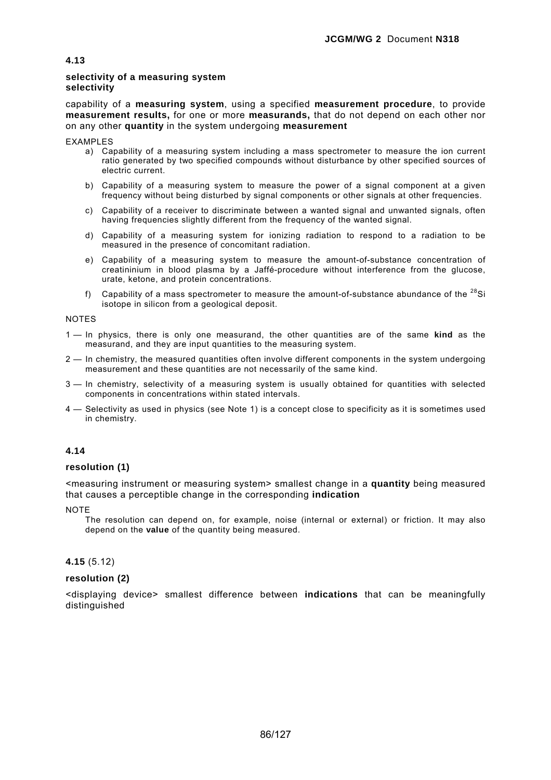# **selectivity of a measuring system selectivity**

capability of a **measuring system**, using a specified **measurement procedure**, to provide **measurement results,** for one or more **measurands,** that do not depend on each other nor on any other **quantity** in the system undergoing **measurement**

EXAMPLES

- a) Capability of a measuring system including a mass spectrometer to measure the ion current ratio generated by two specified compounds without disturbance by other specified sources of electric current.
- b) Capability of a measuring system to measure the power of a signal component at a given frequency without being disturbed by signal components or other signals at other frequencies.
- c) Capability of a receiver to discriminate between a wanted signal and unwanted signals, often having frequencies slightly different from the frequency of the wanted signal.
- d) Capability of a measuring system for ionizing radiation to respond to a radiation to be measured in the presence of concomitant radiation.
- e) Capability of a measuring system to measure the amount-of-substance concentration of creatininium in blood plasma by a Jaffé-procedure without interference from the glucose, urate, ketone, and protein concentrations.
- f) Capability of a mass spectrometer to measure the amount-of-substance abundance of the  $^{28}$ Si isotope in silicon from a geological deposit.

NOTES

- 1 In physics, there is only one measurand, the other quantities are of the same **kind** as the measurand, and they are input quantities to the measuring system.
- 2 In chemistry, the measured quantities often involve different components in the system undergoing measurement and these quantities are not necessarily of the same kind.
- 3 In chemistry, selectivity of a measuring system is usually obtained for quantities with selected components in concentrations within stated intervals.
- 4 Selectivity as used in physics (see Note 1) is a concept close to specificity as it is sometimes used in chemistry.

# **4.14**

### **resolution (1)**

<measuring instrument or measuring system> smallest change in a **quantity** being measured that causes a perceptible change in the corresponding **indication**

**NOTE** 

The resolution can depend on, for example, noise (internal or external) or friction. It may also depend on the **value** of the quantity being measured.

**4.15** (5.12)

# **resolution (2)**

<displaying device> smallest difference between **indications** that can be meaningfully distinguished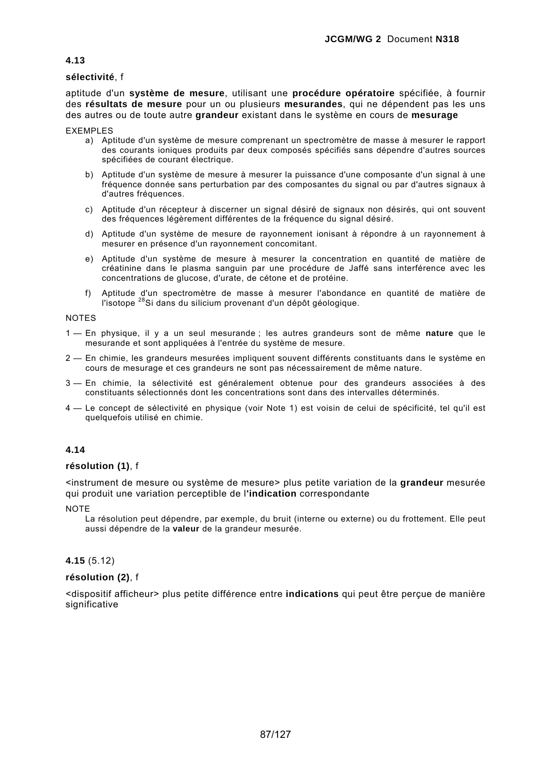# **sélectivité**, f

aptitude d'un **système de mesure**, utilisant une **procédure opératoire** spécifiée, à fournir des **résultats de mesure** pour un ou plusieurs **mesurandes**, qui ne dépendent pas les uns des autres ou de toute autre **grandeur** existant dans le système en cours de **mesurage**

EXEMPLES

- a) Aptitude d'un système de mesure comprenant un spectromètre de masse à mesurer le rapport des courants ioniques produits par deux composés spécifiés sans dépendre d'autres sources spécifiées de courant électrique.
- b) Aptitude d'un système de mesure à mesurer la puissance d'une composante d'un signal à une fréquence donnée sans perturbation par des composantes du signal ou par d'autres signaux à d'autres fréquences.
- c) Aptitude d'un récepteur à discerner un signal désiré de signaux non désirés, qui ont souvent des fréquences légèrement différentes de la fréquence du signal désiré.
- d) Aptitude d'un système de mesure de rayonnement ionisant à répondre à un rayonnement à mesurer en présence d'un rayonnement concomitant.
- e) Aptitude d'un système de mesure à mesurer la concentration en quantité de matière de créatinine dans le plasma sanguin par une procédure de Jaffé sans interférence avec les concentrations de glucose, d'urate, de cétone et de protéine.
- f) Aptitude d'un spectromètre de masse à mesurer l'abondance en quantité de matière de l'isotope <sup>28</sup>Si dans du silicium provenant d'un dépôt géologique.

#### NOTES

- 1 En physique, il y a un seul mesurande ; les autres grandeurs sont de même **nature** que le mesurande et sont appliquées à l'entrée du système de mesure.
- 2 En chimie, les grandeurs mesurées impliquent souvent différents constituants dans le système en cours de mesurage et ces grandeurs ne sont pas nécessairement de même nature.
- 3 En chimie, la sélectivité est généralement obtenue pour des grandeurs associées à des constituants sélectionnés dont les concentrations sont dans des intervalles déterminés.
- 4 Le concept de sélectivité en physique (voir Note 1) est voisin de celui de spécificité, tel qu'il est quelquefois utilisé en chimie.

# **4.14**

### **résolution (1)**, f

<instrument de mesure ou système de mesure> plus petite variation de la **grandeur** mesurée qui produit une variation perceptible de l**'indication** correspondante

**NOTE** 

La résolution peut dépendre, par exemple, du bruit (interne ou externe) ou du frottement. Elle peut aussi dépendre de la **valeur** de la grandeur mesurée.

### **4.15** (5.12)

### **résolution (2)**, f

<dispositif afficheur> plus petite différence entre **indications** qui peut être perçue de manière significative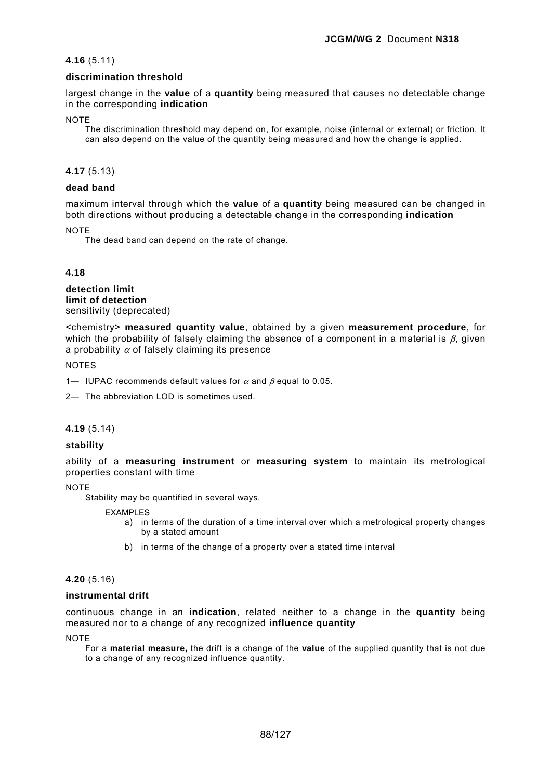# **4.16** (5.11)

# **discrimination threshold**

largest change in the **value** of a **quantity** being measured that causes no detectable change in the corresponding **indication**

**NOTE** 

The discrimination threshold may depend on, for example, noise (internal or external) or friction. It can also depend on the value of the quantity being measured and how the change is applied.

# **4.17** (5.13)

# **dead band**

maximum interval through which the **value** of a **quantity** being measured can be changed in both directions without producing a detectable change in the corresponding **indication**

**NOTE** 

The dead band can depend on the rate of change.

# **4.18**

**detection limit limit of detection**  sensitivity (deprecated)

<chemistry> **measured quantity value**, obtained by a given **measurement procedure**, for which the probability of falsely claiming the absence of a component in a material is  $\beta$ , given a probability  $\alpha$  of falsely claiming its presence

**NOTES** 

1— IUPAC recommends default values for  $\alpha$  and  $\beta$  equal to 0.05.

2— The abbreviation LOD is sometimes used.

### **4.19** (5.14)

### **stability**

ability of a **measuring instrument** or **measuring system** to maintain its metrological properties constant with time

**NOTE** 

Stability may be quantified in several ways.

EXAMPLES

- a) in terms of the duration of a time interval over which a metrological property changes by a stated amount
- b) in terms of the change of a property over a stated time interval

### **4.20** (5.16)

### **instrumental drift**

continuous change in an **indication**, related neither to a change in the **quantity** being measured nor to a change of any recognized **influence quantity**

**NOTE** 

For a **material measure,** the drift is a change of the **value** of the supplied quantity that is not due to a change of any recognized influence quantity.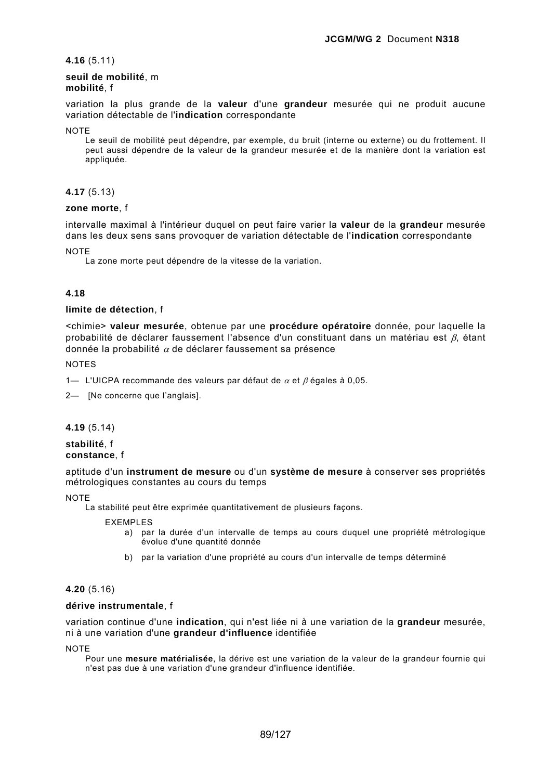**4.16** (5.11)

### **seuil de mobilité**, m **mobilité**, f

variation la plus grande de la **valeur** d'une **grandeur** mesurée qui ne produit aucune variation détectable de l'**indication** correspondante

**NOTE** 

Le seuil de mobilité peut dépendre, par exemple, du bruit (interne ou externe) ou du frottement. Il peut aussi dépendre de la valeur de la grandeur mesurée et de la manière dont la variation est appliquée.

# **4.17** (5.13)

# **zone morte**, f

intervalle maximal à l'intérieur duquel on peut faire varier la **valeur** de la **grandeur** mesurée dans les deux sens sans provoquer de variation détectable de l'**indication** correspondante

**NOTE** 

La zone morte peut dépendre de la vitesse de la variation.

# **4.18**

# **limite de détection**, f

<chimie> **valeur mesurée**, obtenue par une **procédure opératoire** donnée, pour laquelle la probabilité de déclarer faussement l'absence d'un constituant dans un matériau est β, étant donnée la probabilité  $\alpha$  de déclarer faussement sa présence

NOTES

1— L'UICPA recommande des valeurs par défaut de  $\alpha$  et  $\beta$  égales à 0,05.

2— [Ne concerne que l'anglais].

**4.19** (5.14)

**stabilité**, f **constance**, f

aptitude d'un **instrument de mesure** ou d'un **système de mesure** à conserver ses propriétés métrologiques constantes au cours du temps

**NOTE** 

La stabilité peut être exprimée quantitativement de plusieurs façons.

EXEMPLES

- a) par la durée d'un intervalle de temps au cours duquel une propriété métrologique évolue d'une quantité donnée
- b) par la variation d'une propriété au cours d'un intervalle de temps déterminé

# **4.20** (5.16)

# **dérive instrumentale**, f

variation continue d'une **indication**, qui n'est liée ni à une variation de la **grandeur** mesurée, ni à une variation d'une **grandeur d'influence** identifiée

**NOTE** 

Pour une **mesure matérialisée**, la dérive est une variation de la valeur de la grandeur fournie qui n'est pas due à une variation d'une grandeur d'influence identifiée.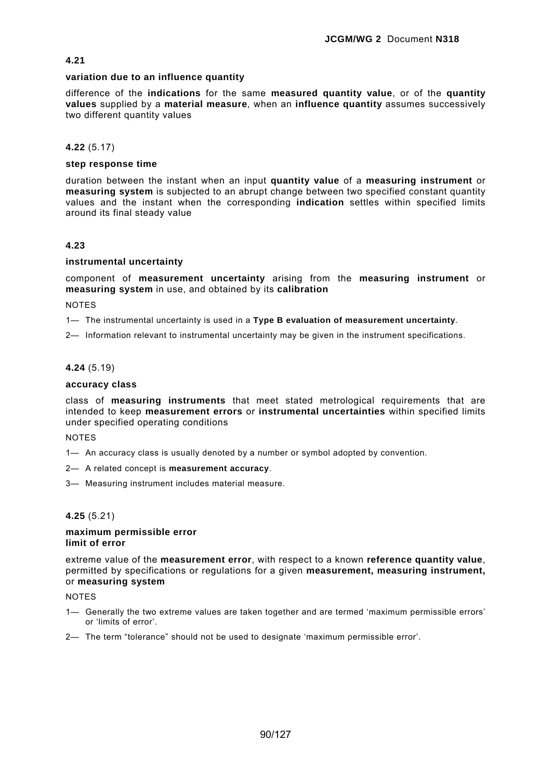### **variation due to an influence quantity**

difference of the **indications** for the same **measured quantity value**, or of the **quantity values** supplied by a **material measure**, when an **influence quantity** assumes successively two different quantity values

# **4.22** (5.17)

### **step response time**

duration between the instant when an input **quantity value** of a **measuring instrument** or **measuring system** is subjected to an abrupt change between two specified constant quantity values and the instant when the corresponding **indication** settles within specified limits around its final steady value

# **4.23**

### **instrumental uncertainty**

component of **measurement uncertainty** arising from the **measuring instrument** or **measuring system** in use, and obtained by its **calibration**

**NOTES** 

1— The instrumental uncertainty is used in a **Type B evaluation of measurement uncertainty**.

2— Information relevant to instrumental uncertainty may be given in the instrument specifications.

## **4.24** (5.19)

### **accuracy class**

class of **measuring instruments** that meet stated metrological requirements that are intended to keep **measurement errors** or **instrumental uncertainties** within specified limits under specified operating conditions

NOTES

- 1— An accuracy class is usually denoted by a number or symbol adopted by convention.
- 2— A related concept is **measurement accuracy**.
- 3— Measuring instrument includes material measure.

# **4.25** (5.21)

#### **maximum permissible error limit of error**

extreme value of the **measurement error**, with respect to a known **reference quantity value**, permitted by specifications or regulations for a given **measurement, measuring instrument,**  or **measuring system**

**NOTES** 

- 1— Generally the two extreme values are taken together and are termed 'maximum permissible errors' or 'limits of error'.
- 2— The term "tolerance" should not be used to designate 'maximum permissible error'.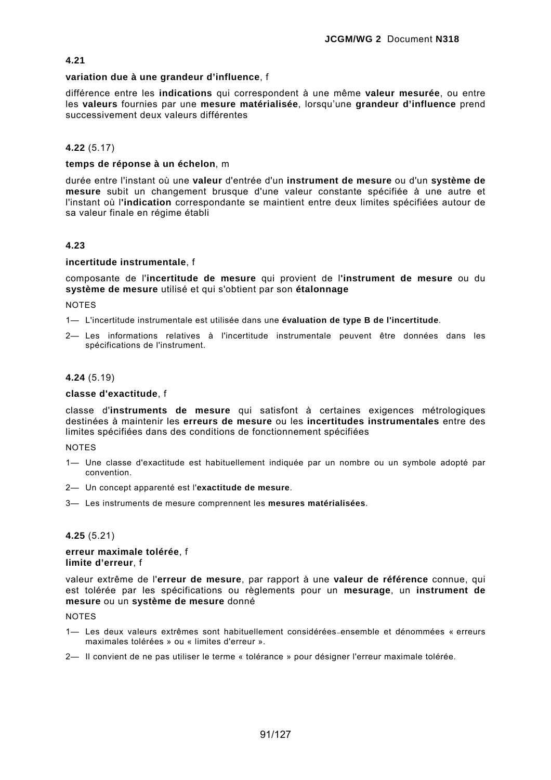### **variation due à une grandeur d'influence**, f

différence entre les **indications** qui correspondent à une même **valeur mesurée**, ou entre les **valeurs** fournies par une **mesure matérialisée**, lorsqu'une **grandeur d'influence** prend successivement deux valeurs différentes

# **4.22** (5.17)

## **temps de réponse à un échelon**, m

durée entre l'instant où une **valeur** d'entrée d'un **instrument de mesure** ou d'un **système de mesure** subit un changement brusque d'une valeur constante spécifiée à une autre et l'instant où l**'indication** correspondante se maintient entre deux limites spécifiées autour de sa valeur finale en régime établi

# **4.23**

# **incertitude instrumentale**, f

composante de l'**incertitude de mesure** qui provient de l**'instrument de mesure** ou du **système de mesure** utilisé et qui s'obtient par son **étalonnage**

**NOTES** 

1— L'incertitude instrumentale est utilisée dans une **évaluation de type B de l'incertitude**.

2— Les informations relatives à l'incertitude instrumentale peuvent être données dans les spécifications de l'instrument.

### **4.24** (5.19)

### **classe d'exactitude**, f

classe d'**instruments de mesure** qui satisfont à certaines exigences métrologiques destinées à maintenir les **erreurs de mesure** ou les **incertitudes instrumentales** entre des limites spécifiées dans des conditions de fonctionnement spécifiées

### NOTES

- 1— Une classe d'exactitude est habituellement indiquée par un nombre ou un symbole adopté par convention.
- 2— Un concept apparenté est l'**exactitude de mesure**.
- 3— Les instruments de mesure comprennent les **mesures matérialisées**.

### **4.25** (5.21)

### **erreur maximale tolérée**, f **limite d'erreur**, f

valeur extrême de l'**erreur de mesure**, par rapport à une **valeur de référence** connue, qui est tolérée par les spécifications ou règlements pour un **mesurage**, un **instrument de mesure** ou un **système de mesure** donné

**NOTES** 

- 1— Les deux valeurs extrêmes sont habituellement considérées ensemble et dénommées « erreurs maximales tolérées » ou « limites d'erreur ».
- 2— Il convient de ne pas utiliser le terme « tolérance » pour désigner l'erreur maximale tolérée.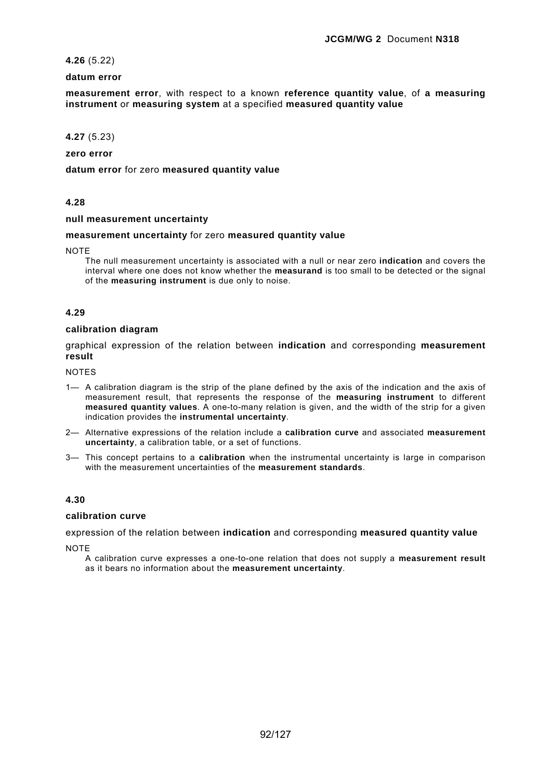# **4.26** (5.22)

## **datum error**

**measurement error**, with respect to a known **reference quantity value**, of **a measuring instrument** or **measuring system** at a specified **measured quantity value**

# **4.27** (5.23)

**zero error** 

**datum error** for zero **measured quantity value**

# **4.28**

## **null measurement uncertainty**

#### **measurement uncertainty** for zero **measured quantity value**

**NOTE** 

The null measurement uncertainty is associated with a null or near zero **indication** and covers the interval where one does not know whether the **measurand** is too small to be detected or the signal of the **measuring instrument** is due only to noise.

# **4.29**

# **calibration diagram**

graphical expression of the relation between **indication** and corresponding **measurement result**

**NOTES** 

- 1— A calibration diagram is the strip of the plane defined by the axis of the indication and the axis of measurement result, that represents the response of the **measuring instrument** to different **measured quantity values**. A one-to-many relation is given, and the width of the strip for a given indication provides the **instrumental uncertainty**.
- 2— Alternative expressions of the relation include a **calibration curve** and associated **measurement uncertainty**, a calibration table, or a set of functions.
- 3— This concept pertains to a **calibration** when the instrumental uncertainty is large in comparison with the measurement uncertainties of the **measurement standards**.

### **4.30**

#### **calibration curve**

expression of the relation between **indication** and corresponding **measured quantity value**

**NOTE** 

A calibration curve expresses a one-to-one relation that does not supply a **measurement result** as it bears no information about the **measurement uncertainty**.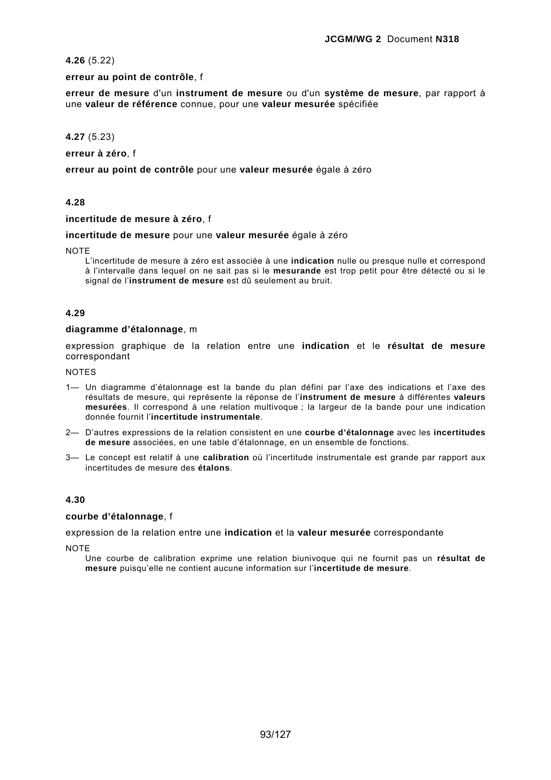**4.26** (5.22)

**erreur au point de contrôle**, f

**erreur de mesure** d'un **instrument de mesure** ou d'un **système de mesure**, par rapport à une **valeur de référence** connue, pour une **valeur mesurée** spécifiée

**4.27** (5.23)

**erreur à zéro**, f

**erreur au point de contrôle** pour une **valeur mesurée** égale à zéro

# **4.28**

**incertitude de mesure à zéro**, f

**incertitude de mesure** pour une **valeur mesurée** égale à zéro

**NOTE** 

L'incertitude de mesure à zéro est associée à une **indication** nulle ou presque nulle et correspond à l'intervalle dans lequel on ne sait pas si le **mesurande** est trop petit pour être détecté ou si le signal de l'**instrument de mesure** est dû seulement au bruit.

### **4.29**

### **diagramme d'étalonnage**, m

expression graphique de la relation entre une **indication** et le **résultat de mesure** correspondant

**NOTES** 

- 1— Un diagramme d'étalonnage est la bande du plan défini par l'axe des indications et l'axe des résultats de mesure, qui représente la réponse de l'**instrument de mesure** à différentes **valeurs mesurées**. Il correspond à une relation multivoque ; la largeur de la bande pour une indication donnée fournit l'**incertitude instrumentale**.
- 2— D'autres expressions de la relation consistent en une **courbe d'étalonnage** avec les **incertitudes de mesure** associées, en une table d'étalonnage, en un ensemble de fonctions.
- 3— Le concept est relatif à une **calibration** où l'incertitude instrumentale est grande par rapport aux incertitudes de mesure des **étalons**.

### **4.30**

### **courbe d'étalonnage**, f

expression de la relation entre une **indication** et la **valeur mesurée** correspondante

**NOTE** 

Une courbe de calibration exprime une relation biunivoque qui ne fournit pas un **résultat de mesure** puisqu'elle ne contient aucune information sur l'**incertitude de mesure**.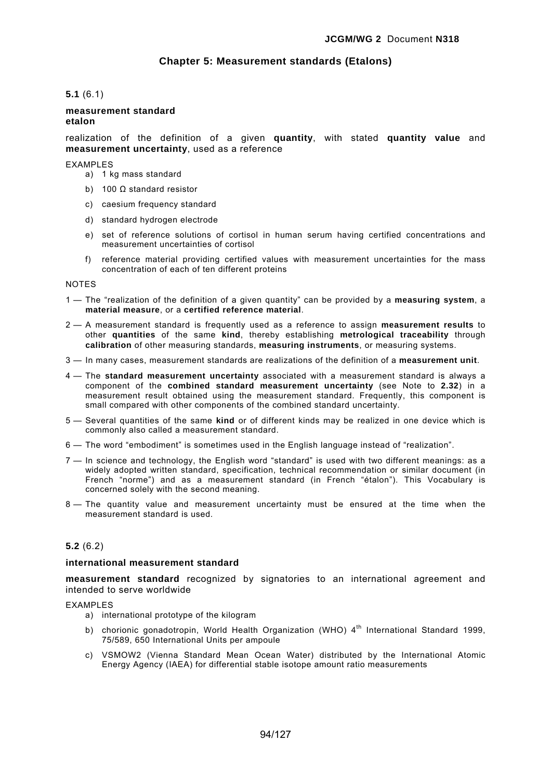# **Chapter 5: Measurement standards (Etalons)**

# **5.1** (6.1)

### **measurement standard etalon**

realization of the definition of a given **quantity**, with stated **quantity value** and **measurement uncertainty**, used as a reference

#### EXAMPLES

- a) 1 kg mass standard
- b) 100 Ω standard resistor
- c) caesium frequency standard
- d) standard hydrogen electrode
- e) set of reference solutions of cortisol in human serum having certified concentrations and measurement uncertainties of cortisol
- f) reference material providing certified values with measurement uncertainties for the mass concentration of each of ten different proteins

#### NOTES

- 1 The "realization of the definition of a given quantity" can be provided by a **measuring system**, a **material measure**, or a **certified reference material**.
- 2 A measurement standard is frequently used as a reference to assign **measurement results** to other **quantities** of the same **kind**, thereby establishing **metrological traceability** through **calibration** of other measuring standards, **measuring instruments**, or measuring systems.
- 3 In many cases, measurement standards are realizations of the definition of a **measurement unit**.
- 4 The **standard measurement uncertainty** associated with a measurement standard is always a component of the **combined standard measurement uncertainty** (see Note to **2.32**) in a measurement result obtained using the measurement standard. Frequently, this component is small compared with other components of the combined standard uncertainty.
- 5 Several quantities of the same **kind** or of different kinds may be realized in one device which is commonly also called a measurement standard.
- 6 The word "embodiment" is sometimes used in the English language instead of "realization".
- 7 In science and technology, the English word "standard" is used with two different meanings: as a widely adopted written standard, specification, technical recommendation or similar document (in French "norme") and as a measurement standard (in French "étalon"). This Vocabulary is concerned solely with the second meaning.
- 8 The quantity value and measurement uncertainty must be ensured at the time when the measurement standard is used.

### **5.2** (6.2)

### **international measurement standard**

**measurement standard** recognized by signatories to an international agreement and intended to serve worldwide

#### EXAMPLES

- a) international prototype of the kilogram
- b) chorionic gonadotropin, World Health Organization (WHO) 4<sup>th</sup> International Standard 1999, 75/589, 650 International Units per ampoule
- c) VSMOW2 (Vienna Standard Mean Ocean Water) distributed by the International Atomic Energy Agency (IAEA) for differential stable isotope amount ratio measurements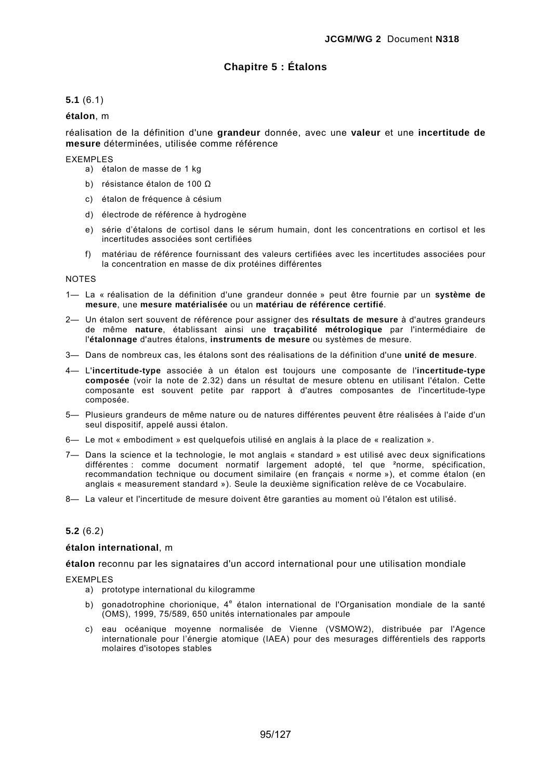# **Chapitre 5 : Étalons**

# **5.1** (6.1)

### **étalon**, m

réalisation de la définition d'une **grandeur** donnée, avec une **valeur** et une **incertitude de mesure** déterminées, utilisée comme référence

#### EXEMPLES

- a) étalon de masse de 1 kg
- b) résistance étalon de 100 Ω
- c) étalon de fréquence à césium
- d) électrode de référence à hydrogène
- e) série d'étalons de cortisol dans le sérum humain, dont les concentrations en cortisol et les incertitudes associées sont certifiées
- f) matériau de référence fournissant des valeurs certifiées avec les incertitudes associées pour la concentration en masse de dix protéines différentes

#### NOTES

- 1— La « réalisation de la définition d'une grandeur donnée » peut être fournie par un **système de mesure**, une **mesure matérialisée** ou un **matériau de référence certifié**.
- 2— Un étalon sert souvent de référence pour assigner des **résultats de mesure** à d'autres grandeurs de même **nature**, établissant ainsi une **traçabilité métrologique** par l'intermédiaire de l'**étalonnage** d'autres étalons, **instruments de mesure** ou systèmes de mesure.
- 3— Dans de nombreux cas, les étalons sont des réalisations de la définition d'une **unité de mesure**.
- 4— L'**incertitude-type** associée à un étalon est toujours une composante de l'**incertitude-type composée** (voir la note de 2.32) dans un résultat de mesure obtenu en utilisant l'étalon. Cette composante est souvent petite par rapport à d'autres composantes de l'incertitude-type composée.
- 5— Plusieurs grandeurs de même nature ou de natures différentes peuvent être réalisées à l'aide d'un seul dispositif, appelé aussi étalon.
- 6— Le mot « embodiment » est quelquefois utilisé en anglais à la place de « realization ».
- 7— Dans la science et la technologie, le mot anglais « standard » est utilisé avec deux significations différentes : comme document normatif largement adopté, tel que ²norme, spécification, recommandation technique ou document similaire (en français « norme »), et comme étalon (en anglais « measurement standard »). Seule la deuxième signification relève de ce Vocabulaire.
- 8— La valeur et l'incertitude de mesure doivent être garanties au moment où l'étalon est utilisé.

### **5.2** (6.2)

#### **étalon international**, m

**étalon** reconnu par les signataires d'un accord international pour une utilisation mondiale

### EXEMPLES

- a) prototype international du kilogramme
- b) gonadotrophine chorionique, 4<sup>e</sup> étalon international de l'Organisation mondiale de la santé (OMS), 1999, 75/589, 650 unités internationales par ampoule
- c) eau océanique moyenne normalisée de Vienne (VSMOW2), distribuée par l'Agence internationale pour l'énergie atomique (IAEA) pour des mesurages différentiels des rapports molaires d'isotopes stables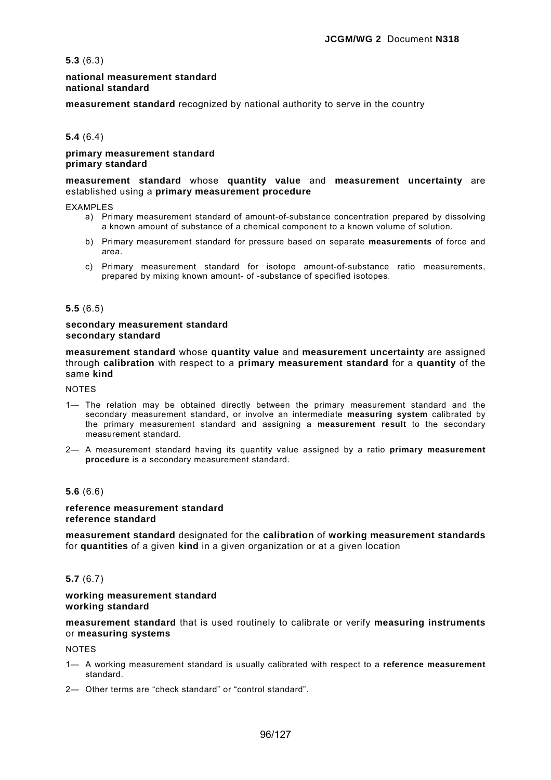**5.3** (6.3)

### **national measurement standard national standard**

**measurement standard** recognized by national authority to serve in the country

# **5.4** (6.4)

### **primary measurement standard primary standard**

### **measurement standard** whose **quantity value** and **measurement uncertainty** are established using a **primary measurement procedure**

**EXAMPLES** 

- a) Primary measurement standard of amount-of-substance concentration prepared by dissolving a known amount of substance of a chemical component to a known volume of solution.
- b) Primary measurement standard for pressure based on separate **measurements** of force and area.
- c) Primary measurement standard for isotope amount-of-substance ratio measurements, prepared by mixing known amount- of -substance of specified isotopes.

#### **5.5** (6.5)

#### **secondary measurement standard secondary standard**

**measurement standard** whose **quantity value** and **measurement uncertainty** are assigned through **calibration** with respect to a **primary measurement standard** for a **quantity** of the same **kind**

NOTES

- 1— The relation may be obtained directly between the primary measurement standard and the secondary measurement standard, or involve an intermediate **measuring system** calibrated by the primary measurement standard and assigning a **measurement result** to the secondary measurement standard.
- 2— A measurement standard having its quantity value assigned by a ratio **primary measurement procedure** is a secondary measurement standard.

### **5.6** (6.6)

# **reference measurement standard reference standard**

**measurement standard** designated for the **calibration** of **working measurement standards** for **quantities** of a given **kind** in a given organization or at a given location

### **5.7** (6.7)

#### **working measurement standard working standard**

**measurement standard** that is used routinely to calibrate or verify **measuring instruments**  or **measuring systems**

NOTES

- 1— A working measurement standard is usually calibrated with respect to a **reference measurement**  standard.
- 2— Other terms are "check standard" or "control standard".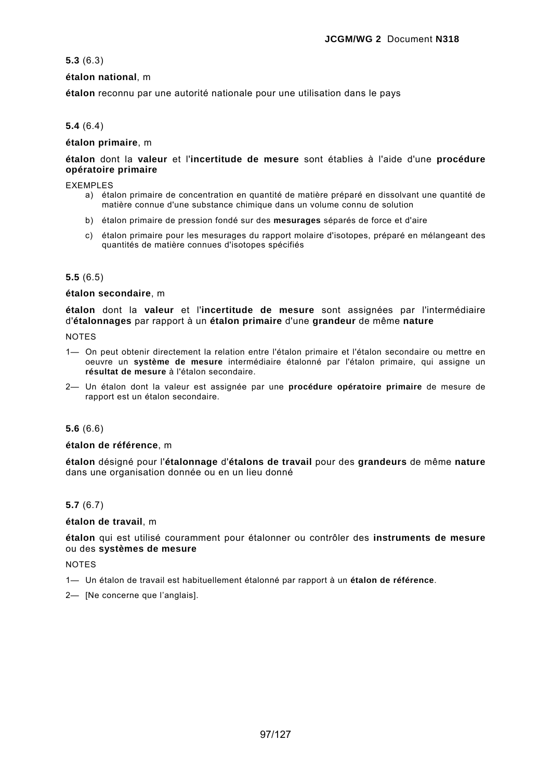# **5.3** (6.3)

# **étalon national**, m

**étalon** reconnu par une autorité nationale pour une utilisation dans le pays

# **5.4** (6.4)

## **étalon primaire**, m

# **étalon** dont la **valeur** et l'**incertitude de mesure** sont établies à l'aide d'une **procédure opératoire primaire**

### **FXFMPLFS**

- a) étalon primaire de concentration en quantité de matière préparé en dissolvant une quantité de matière connue d'une substance chimique dans un volume connu de solution
- b) étalon primaire de pression fondé sur des **mesurages** séparés de force et d'aire
- c) étalon primaire pour les mesurages du rapport molaire d'isotopes, préparé en mélangeant des quantités de matière connues d'isotopes spécifiés

# **5.5** (6.5)

### **étalon secondaire**, m

**étalon** dont la **valeur** et l'**incertitude de mesure** sont assignées par l'intermédiaire d'**étalonnages** par rapport à un **étalon primaire** d'une **grandeur** de même **nature**

#### **NOTES**

- 1— On peut obtenir directement la relation entre l'étalon primaire et l'étalon secondaire ou mettre en oeuvre un **système de mesure** intermédiaire étalonné par l'étalon primaire, qui assigne un **résultat de mesure** à l'étalon secondaire.
- 2— Un étalon dont la valeur est assignée par une **procédure opératoire primaire** de mesure de rapport est un étalon secondaire.

### **5.6** (6.6)

### **étalon de référence**, m

**étalon** désigné pour l'**étalonnage** d'**étalons de travail** pour des **grandeurs** de même **nature** dans une organisation donnée ou en un lieu donné

# **5.7** (6.7)

### **étalon de travail**, m

**étalon** qui est utilisé couramment pour étalonner ou contrôler des **instruments de mesure** ou des **systèmes de mesure**

**NOTES** 

1— Un étalon de travail est habituellement étalonné par rapport à un **étalon de référence**.

2— [Ne concerne que l'anglais].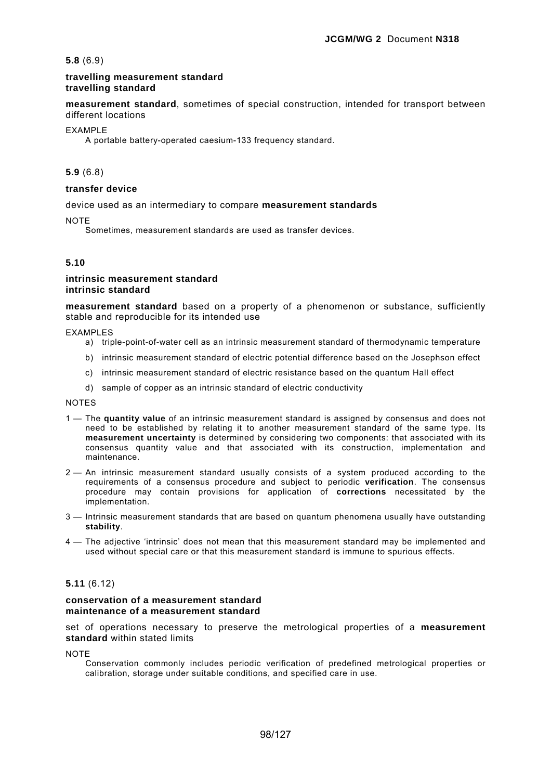### **5.8** (6.9)

### **travelling measurement standard travelling standard**

**measurement standard**, sometimes of special construction, intended for transport between different locations

#### EXAMPLE

A portable battery-operated caesium-133 frequency standard.

#### **5.9** (6.8)

# **transfer device**

device used as an intermediary to compare **measurement standards**

**NOTE** 

Sometimes, measurement standards are used as transfer devices.

### **5.10**

### **intrinsic measurement standard intrinsic standard**

**measurement standard** based on a property of a phenomenon or substance, sufficiently stable and reproducible for its intended use

EXAMPLES

- a) triple-point-of-water cell as an intrinsic measurement standard of thermodynamic temperature
- b) intrinsic measurement standard of electric potential difference based on the Josephson effect
- c) intrinsic measurement standard of electric resistance based on the quantum Hall effect
- d) sample of copper as an intrinsic standard of electric conductivity

**NOTES** 

- 1 The **quantity value** of an intrinsic measurement standard is assigned by consensus and does not need to be established by relating it to another measurement standard of the same type. Its **measurement uncertainty** is determined by considering two components: that associated with its consensus quantity value and that associated with its construction, implementation and maintenance.
- 2 An intrinsic measurement standard usually consists of a system produced according to the requirements of a consensus procedure and subject to periodic **verification**. The consensus procedure may contain provisions for application of **corrections** necessitated by the implementation.
- 3 Intrinsic measurement standards that are based on quantum phenomena usually have outstanding **stability**.
- 4 The adjective 'intrinsic' does not mean that this measurement standard may be implemented and used without special care or that this measurement standard is immune to spurious effects.

# **5.11** (6.12)

#### **conservation of a measurement standard maintenance of a measurement standard**

set of operations necessary to preserve the metrological properties of a **measurement standard** within stated limits

**NOTE** 

Conservation commonly includes periodic verification of predefined metrological properties or calibration, storage under suitable conditions, and specified care in use.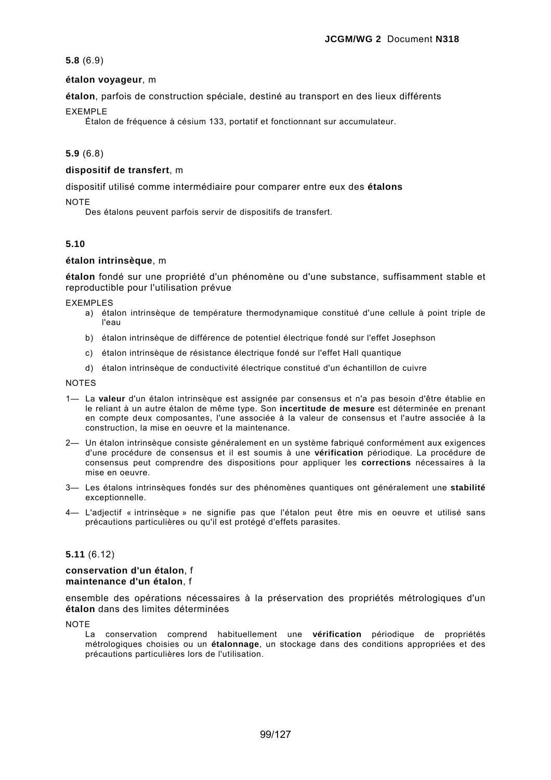# **5.8** (6.9)

# **étalon voyageur**, m

**étalon**, parfois de construction spéciale, destiné au transport en des lieux différents

# EXEMPLE

Étalon de fréquence à césium 133, portatif et fonctionnant sur accumulateur.

# **5.9** (6.8)

# **dispositif de transfert**, m

dispositif utilisé comme intermédiaire pour comparer entre eux des **étalons**

**NOTE** 

Des étalons peuvent parfois servir de dispositifs de transfert.

# **5.10**

# **étalon intrinsèque**, m

**étalon** fondé sur une propriété d'un phénomène ou d'une substance, suffisamment stable et reproductible pour l'utilisation prévue

EXEMPLES

- a) étalon intrinsèque de température thermodynamique constitué d'une cellule à point triple de l'eau
- b) étalon intrinsèque de différence de potentiel électrique fondé sur l'effet Josephson
- c) étalon intrinsèque de résistance électrique fondé sur l'effet Hall quantique
- d) étalon intrinsèque de conductivité électrique constitué d'un échantillon de cuivre

**NOTES** 

- 1— La **valeur** d'un étalon intrinsèque est assignée par consensus et n'a pas besoin d'être établie en le reliant à un autre étalon de même type. Son **incertitude de mesure** est déterminée en prenant en compte deux composantes, l'une associée à la valeur de consensus et l'autre associée à la construction, la mise en oeuvre et la maintenance.
- 2— Un étalon intrinsèque consiste généralement en un système fabriqué conformément aux exigences d'une procédure de consensus et il est soumis à une **vérification** périodique. La procédure de consensus peut comprendre des dispositions pour appliquer les **corrections** nécessaires à la mise en oeuvre.
- 3— Les étalons intrinsèques fondés sur des phénomènes quantiques ont généralement une **stabilité** exceptionnelle.
- 4— L'adjectif « intrinsèque » ne signifie pas que l'étalon peut être mis en oeuvre et utilisé sans précautions particulières ou qu'il est protégé d'effets parasites.

# **5.11** (6.12)

#### **conservation d'un étalon**, f **maintenance d'un étalon**, f

ensemble des opérations nécessaires à la préservation des propriétés métrologiques d'un **étalon** dans des limites déterminées

**NOTE** 

La conservation comprend habituellement une **vérification** périodique de propriétés métrologiques choisies ou un **étalonnage**, un stockage dans des conditions appropriées et des précautions particulières lors de l'utilisation.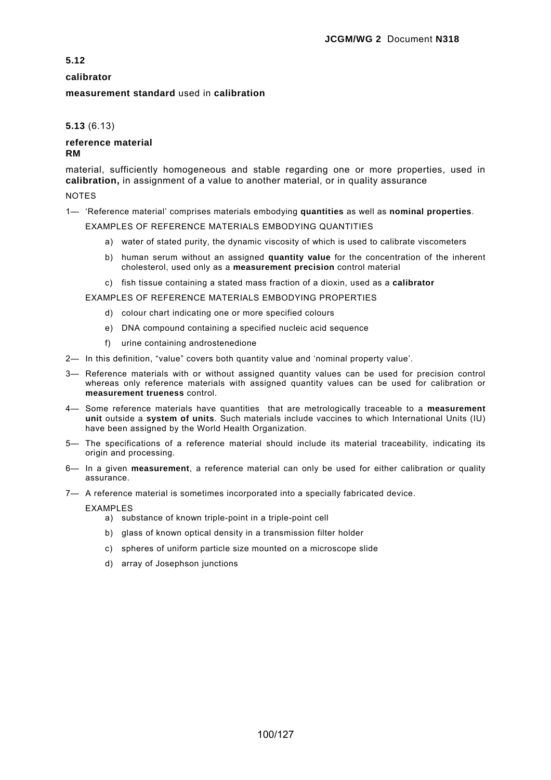# **calibrator**

# **measurement standard** used in **calibration**

# **5.13** (6.13)

### **reference material RM**

material, sufficiently homogeneous and stable regarding one or more properties, used in **calibration,** in assignment of a value to another material, or in quality assurance

NOTES

1— 'Reference material' comprises materials embodying **quantities** as well as **nominal properties**.

EXAMPLES OF REFERENCE MATERIALS EMBODYING QUANTITIES

- a) water of stated purity, the dynamic viscosity of which is used to calibrate viscometers
- b) human serum without an assigned **quantity value** for the concentration of the inherent cholesterol, used only as a **measurement precision** control material
- c) fish tissue containing a stated mass fraction of a dioxin, used as a **calibrator**

EXAMPLES OF REFERENCE MATERIALS EMBODYING PROPERTIES

- d) colour chart indicating one or more specified colours
- e) DNA compound containing a specified nucleic acid sequence
- f) urine containing androstenedione
- 2— In this definition, "value" covers both quantity value and 'nominal property value'.
- 3— Reference materials with or without assigned quantity values can be used for precision control whereas only reference materials with assigned quantity values can be used for calibration or **measurement trueness** control.
- 4— Some reference materials have quantities that are metrologically traceable to a **measurement unit** outside a **system of units**. Such materials include vaccines to which International Units (IU) have been assigned by the World Health Organization.
- 5— The specifications of a reference material should include its material traceability, indicating its origin and processing.
- 6— In a given **measurement**, a reference material can only be used for either calibration or quality assurance.
- 7— A reference material is sometimes incorporated into a specially fabricated device.

EXAMPLES

- a) substance of known triple-point in a triple-point cell
- b) glass of known optical density in a transmission filter holder
- c) spheres of uniform particle size mounted on a microscope slide
- d) array of Josephson junctions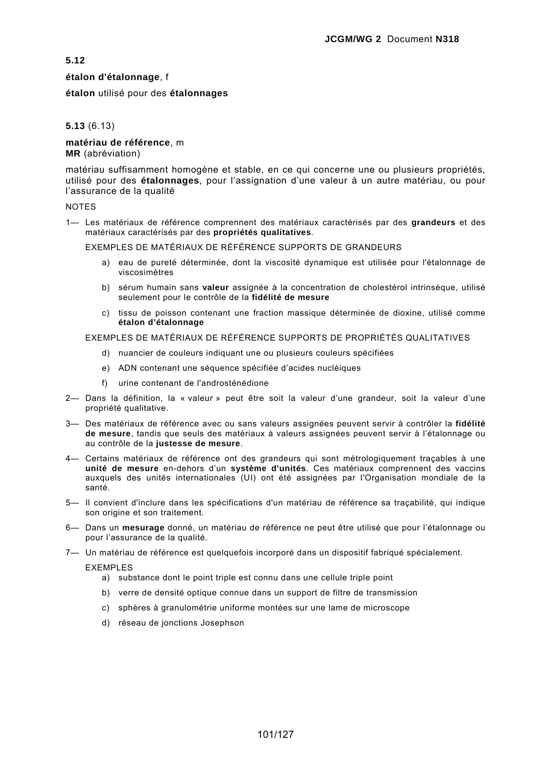### **étalon d'étalonnage**, f

**étalon** utilisé pour des **étalonnages**

## **5.13** (6.13)

#### **matériau de référence**, m **MR** (abréviation)

matériau suffisamment homogène et stable, en ce qui concerne une ou plusieurs propriétés, utilisé pour des **étalonnages**, pour l'assignation d'une valeur à un autre matériau, ou pour l'assurance de la qualité

### NOTES

1— Les matériaux de référence comprennent des matériaux caractérisés par des **grandeurs** et des matériaux caractérisés par des **propriétés qualitatives**.

EXEMPLES DE MATÉRIAUX DE RÉFÉRENCE SUPPORTS DE GRANDEURS

- a) eau de pureté déterminée, dont la viscosité dynamique est utilisée pour l'étalonnage de viscosimètres
- b) sérum humain sans **valeur** assignée à la concentration de cholestérol intrinsèque, utilisé seulement pour le contrôle de la **fidélité de mesure**
- c) tissu de poisson contenant une fraction massique déterminée de dioxine, utilisé comme **étalon d'étalonnage**

### EXEMPLES DE MATÉRIAUX DE RÉFÉRENCE SUPPORTS DE PROPRIÉTÉS QUALITATIVES

- d) nuancier de couleurs indiquant une ou plusieurs couleurs spécifiées
- e) ADN contenant une séquence spécifiée d'acides nucléiques
- f) urine contenant de l'androsténédione
- 2— Dans la définition, la « valeur » peut être soit la valeur d'une grandeur, soit la valeur d'une propriété qualitative.
- 3— Des matériaux de référence avec ou sans valeurs assignées peuvent servir à contrôler la **fidélité de mesure**, tandis que seuls des matériaux à valeurs assignées peuvent servir à l'étalonnage ou au contrôle de la **justesse de mesure**.
- 4— Certains matériaux de référence ont des grandeurs qui sont métrologiquement traçables à une **unité de mesure** en-dehors d'un **système d'unités**. Ces matériaux comprennent des vaccins auxquels des unités internationales (UI) ont été assignées par l'Organisation mondiale de la santé.
- 5— Il convient d'inclure dans les spécifications d'un matériau de référence sa traçabilité, qui indique son origine et son traitement.
- 6— Dans un **mesurage** donné, un matériau de référence ne peut être utilisé que pour l'étalonnage ou pour l'assurance de la qualité.
- 7— Un matériau de référence est quelquefois incorporé dans un dispositif fabriqué spécialement.

EXEMPLES

- a) substance dont le point triple est connu dans une cellule triple point
- b) verre de densité optique connue dans un support de filtre de transmission
- c) sphères à granulométrie uniforme montées sur une lame de microscope
- d) réseau de jonctions Josephson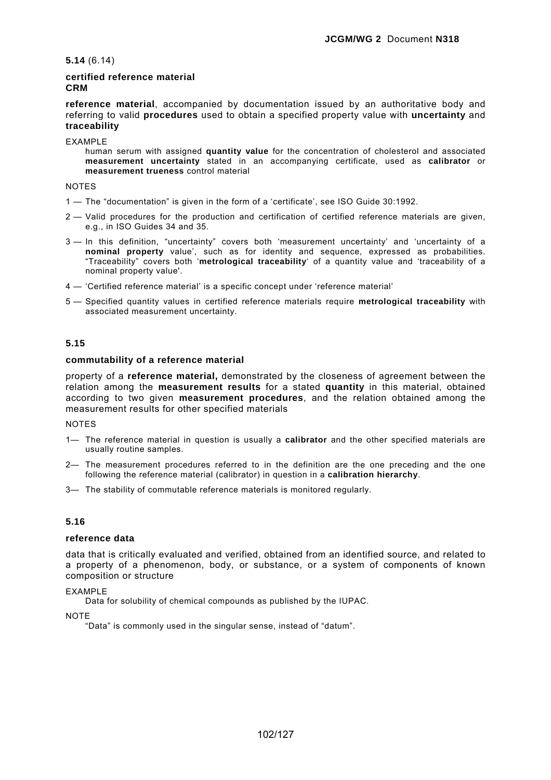**5.14** (6.14)

# **certified reference material CRM**

**reference material**, accompanied by documentation issued by an authoritative body and referring to valid **procedures** used to obtain a specified property value with **uncertainty** and **traceability**

EXAMPLE

human serum with assigned **quantity value** for the concentration of cholesterol and associated **measurement uncertainty** stated in an accompanying certificate, used as **calibrator** or **measurement trueness** control material

NOTES

- 1 The "documentation" is given in the form of a 'certificate', see ISO Guide 30:1992.
- 2 Valid procedures for the production and certification of certified reference materials are given, e.g., in ISO Guides 34 and 35.
- 3 In this definition, "uncertainty" covers both 'measurement uncertainty' and 'uncertainty of a **nominal property** value', such as for identity and sequence, expressed as probabilities. "Traceability" covers both '**metrological traceability**' of a quantity value and 'traceability of a nominal property value'.
- 4 'Certified reference material' is a specific concept under 'reference material'
- 5 Specified quantity values in certified reference materials require **metrological traceability** with associated measurement uncertainty.

# **5.15**

# **commutability of a reference material**

property of a **reference material,** demonstrated by the closeness of agreement between the relation among the **measurement results** for a stated **quantity** in this material, obtained according to two given **measurement procedures**, and the relation obtained among the measurement results for other specified materials

**NOTES** 

- 1— The reference material in question is usually a **calibrator** and the other specified materials are usually routine samples.
- 2— The measurement procedures referred to in the definition are the one preceding and the one following the reference material (calibrator) in question in a **calibration hierarchy**.
- 3— The stability of commutable reference materials is monitored regularly.

# **5.16**

### **reference data**

data that is critically evaluated and verified, obtained from an identified source, and related to a property of a phenomenon, body, or substance, or a system of components of known composition or structure

EXAMPLE

Data for solubility of chemical compounds as published by the IUPAC.

**NOTE** 

"Data" is commonly used in the singular sense, instead of "datum".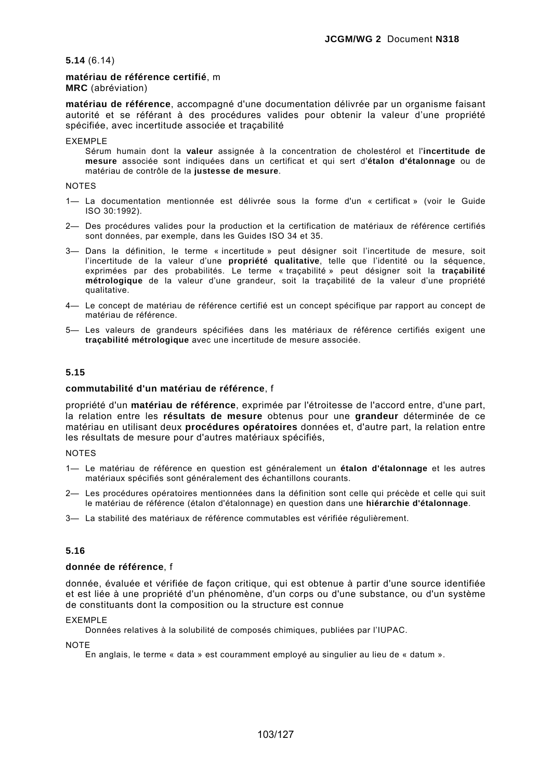### **5.14** (6.14)

### **matériau de référence certifié**, m

**MRC** (abréviation)

**matériau de référence**, accompagné d'une documentation délivrée par un organisme faisant autorité et se référant à des procédures valides pour obtenir la valeur d'une propriété spécifiée, avec incertitude associée et traçabilité

EXEMPLE

Sérum humain dont la **valeur** assignée à la concentration de cholestérol et l'**incertitude de mesure** associée sont indiquées dans un certificat et qui sert d'**étalon d'étalonnage** ou de matériau de contrôle de la **justesse de mesure**.

#### **NOTES**

- 1— La documentation mentionnée est délivrée sous la forme d'un « certificat » (voir le Guide ISO 30:1992).
- 2— Des procédures valides pour la production et la certification de matériaux de référence certifiés sont données, par exemple, dans les Guides ISO 34 et 35.
- 3— Dans la définition, le terme « incertitude » peut désigner soit l'incertitude de mesure, soit l'incertitude de la valeur d'une **propriété qualitative**, telle que l'identité ou la séquence, exprimées par des probabilités. Le terme « traçabilité » peut désigner soit la **traçabilité métrologique** de la valeur d'une grandeur, soit la traçabilité de la valeur d'une propriété qualitative.
- 4— Le concept de matériau de référence certifié est un concept spécifique par rapport au concept de matériau de référence.
- 5— Les valeurs de grandeurs spécifiées dans les matériaux de référence certifiés exigent une **traçabilité métrologique** avec une incertitude de mesure associée.

### **5.15**

#### **commutabilité d'un matériau de référence**, f

propriété d'un **matériau de référence**, exprimée par l'étroitesse de l'accord entre, d'une part, la relation entre les **résultats de mesure** obtenus pour une **grandeur** déterminée de ce matériau en utilisant deux **procédures opératoires** données et, d'autre part, la relation entre les résultats de mesure pour d'autres matériaux spécifiés,

### **NOTES**

- 1— Le matériau de référence en question est généralement un **étalon d'étalonnage** et les autres matériaux spécifiés sont généralement des échantillons courants.
- 2— Les procédures opératoires mentionnées dans la définition sont celle qui précède et celle qui suit le matériau de référence (étalon d'étalonnage) en question dans une **hiérarchie d'étalonnage**.
- 3— La stabilité des matériaux de référence commutables est vérifiée régulièrement.

### **5.16**

#### **donnée de référence**, f

donnée, évaluée et vérifiée de façon critique, qui est obtenue à partir d'une source identifiée et est liée à une propriété d'un phénomène, d'un corps ou d'une substance, ou d'un système de constituants dont la composition ou la structure est connue

### EXEMPLE

Données relatives à la solubilité de composés chimiques, publiées par l'IUPAC.

**NOTE** 

En anglais, le terme « data » est couramment employé au singulier au lieu de « datum ».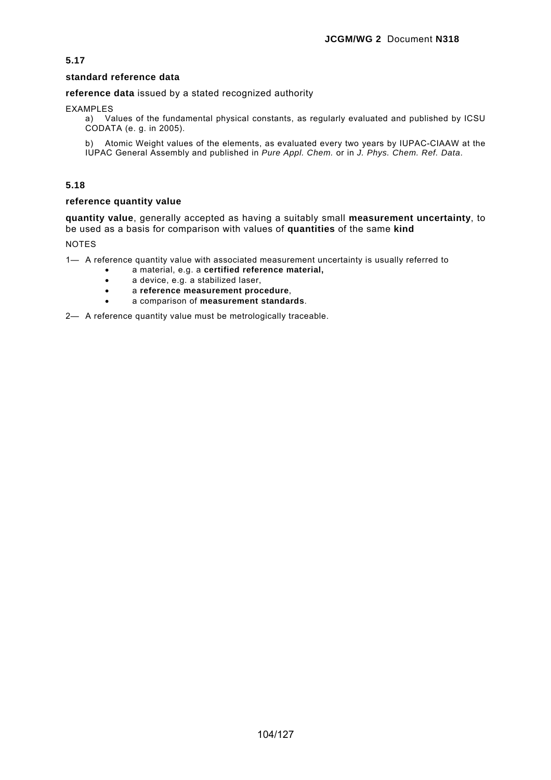# **standard reference data**

**reference data** issued by a stated recognized authority

EXAMPLES

a) Values of the fundamental physical constants, as regularly evaluated and published by ICSU CODATA (e. g. in 2005).

b) Atomic Weight values of the elements, as evaluated every two years by IUPAC-CIAAW at the IUPAC General Assembly and published in *Pure Appl. Chem.* or in *J. Phys. Chem. Ref. Data*.

# **5.18**

# **reference quantity value**

**quantity value**, generally accepted as having a suitably small **measurement uncertainty**, to be used as a basis for comparison with values of **quantities** of the same **kind**

NOTES

1— A reference quantity value with associated measurement uncertainty is usually referred to

- a material, e.g. a **certified reference material,**
	- a device, e.g. a stabilized laser,
	- a **reference measurement procedure**,
	- a comparison of **measurement standards**.

2— A reference quantity value must be metrologically traceable.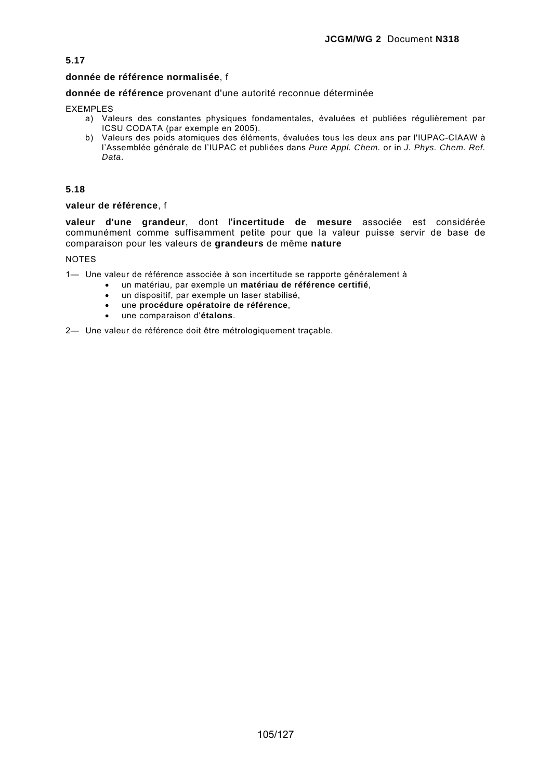# **donnée de référence normalisée**, f

# **donnée de référence** provenant d'une autorité reconnue déterminée

EXEMPLES

- a) Valeurs des constantes physiques fondamentales, évaluées et publiées régulièrement par ICSU CODATA (par exemple en 2005).
- b) Valeurs des poids atomiques des éléments, évaluées tous les deux ans par l'IUPAC-CIAAW à l'Assemblée générale de l'IUPAC et publiées dans *Pure Appl. Chem.* or in *J. Phys. Chem. Ref. Data*.

# **5.18**

### **valeur de référence**, f

**valeur d'une grandeur**, dont l'**incertitude de mesure** associée est considérée communément comme suffisamment petite pour que la valeur puisse servir de base de comparaison pour les valeurs de **grandeurs** de même **nature**

NOTES

1— Une valeur de référence associée à son incertitude se rapporte généralement à

- un matériau, par exemple un **matériau de référence certifié**,
- un dispositif, par exemple un laser stabilisé,
- une **procédure opératoire de référence**,
- une comparaison d'**étalons**.

2— Une valeur de référence doit être métrologiquement traçable.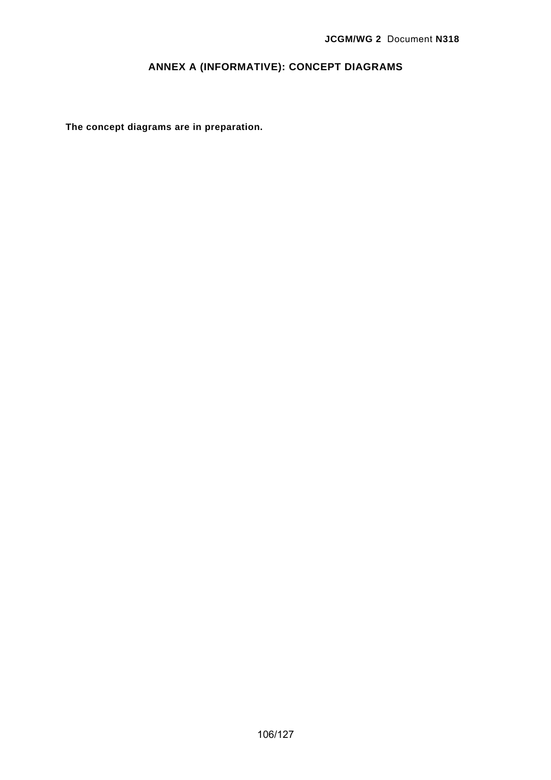# **ANNEX A (INFORMATIVE): CONCEPT DIAGRAMS**

**The concept diagrams are in preparation.**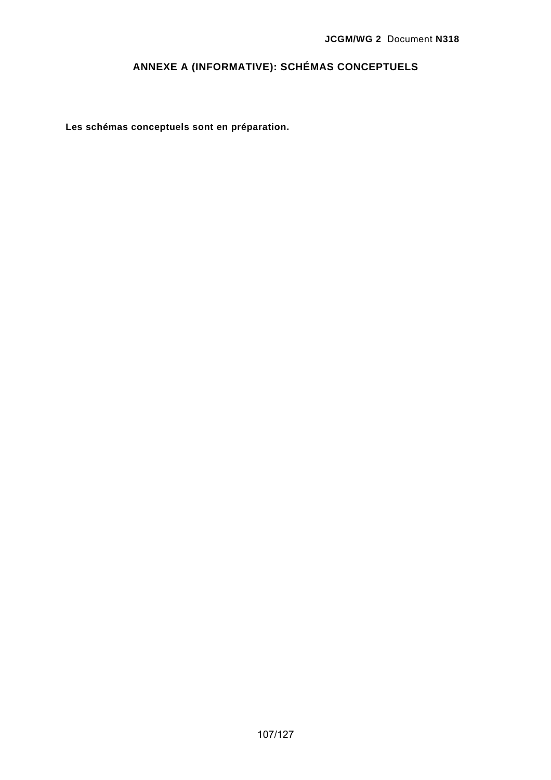# **ANNEXE A (INFORMATIVE): SCHÉMAS CONCEPTUELS**

**Les schémas conceptuels sont en préparation.**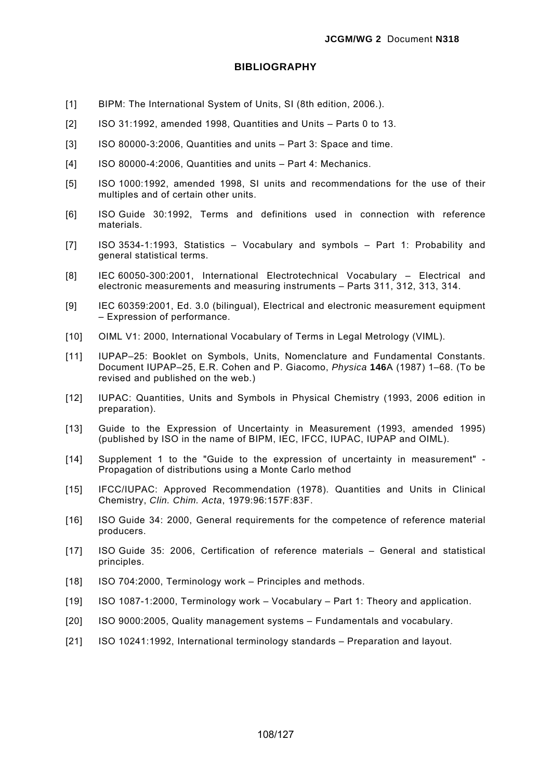# **BIBLIOGRAPHY**

- [1] BIPM: The International System of Units, SI (8th edition, 2006.).
- [2] ISO 31:1992, amended 1998, Quantities and Units Parts 0 to 13.
- [3] ISO 80000-3:2006, Quantities and units Part 3: Space and time.
- [4] ISO 80000-4:2006, Quantities and units Part 4: Mechanics.
- [5] ISO 1000:1992, amended 1998, SI units and recommendations for the use of their multiples and of certain other units.
- [6] ISO Guide 30:1992, Terms and definitions used in connection with reference materials.
- [7] ISO 3534-1:1993, Statistics Vocabulary and symbols Part 1: Probability and general statistical terms.
- [8] IEC 60050-300:2001, International Electrotechnical Vocabulary Electrical and electronic measurements and measuring instruments – Parts 311, 312, 313, 314.
- [9] IEC 60359:2001, Ed. 3.0 (bilingual), Electrical and electronic measurement equipment – Expression of performance.
- [10] OIML V1: 2000, International Vocabulary of Terms in Legal Metrology (VIML).
- [11] IUPAP–25: Booklet on Symbols, Units, Nomenclature and Fundamental Constants. Document IUPAP–25, E.R. Cohen and P. Giacomo, *Physica* **146**A (1987) 1–68. (To be revised and published on the web.)
- [12] IUPAC: Quantities, Units and Symbols in Physical Chemistry (1993, 2006 edition in preparation).
- [13] Guide to the Expression of Uncertainty in Measurement (1993, amended 1995) (published by ISO in the name of BIPM, IEC, IFCC, IUPAC, IUPAP and OIML).
- [14] Supplement 1 to the "Guide to the expression of uncertainty in measurement" Propagation of distributions using a Monte Carlo method
- [15] IFCC/IUPAC: Approved Recommendation (1978). Quantities and Units in Clinical Chemistry, *Clin. Chim. Acta*, 1979:96:157F:83F.
- [16] ISO Guide 34: 2000, General requirements for the competence of reference material producers.
- [17] ISO Guide 35: 2006, Certification of reference materials General and statistical principles.
- [18] ISO 704:2000, Terminology work Principles and methods.
- [19] ISO 1087-1:2000, Terminology work Vocabulary Part 1: Theory and application.
- [20] ISO 9000:2005, Quality management systems Fundamentals and vocabulary.
- [21] ISO 10241:1992, International terminology standards Preparation and layout.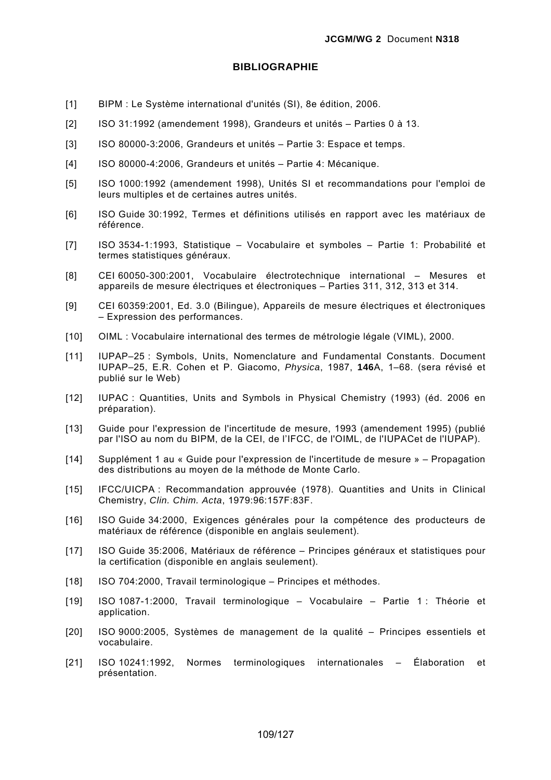#### **BIBLIOGRAPHIE**

- [1] BIPM : Le Système international d'unités (SI), 8e édition, 2006.
- [2] ISO 31:1992 (amendement 1998), Grandeurs et unités Parties 0 à 13.
- [3] ISO 80000-3:2006, Grandeurs et unités Partie 3: Espace et temps.
- [4] ISO 80000-4:2006, Grandeurs et unités Partie 4: Mécanique.
- [5] ISO 1000:1992 (amendement 1998), Unités SI et recommandations pour l'emploi de leurs multiples et de certaines autres unités.
- [6] ISO Guide 30:1992, Termes et définitions utilisés en rapport avec les matériaux de référence.
- [7] ISO 3534-1:1993, Statistique Vocabulaire et symboles Partie 1: Probabilité et termes statistiques généraux.
- [8] CEI 60050-300:2001, Vocabulaire électrotechnique international Mesures et appareils de mesure électriques et électroniques – Parties 311, 312, 313 et 314.
- [9] CEI 60359:2001, Ed. 3.0 (Bilingue), Appareils de mesure électriques et électroniques – Expression des performances.
- [10] OIML : Vocabulaire international des termes de métrologie légale (VIML), 2000.
- [11] IUPAP–25 : Symbols, Units, Nomenclature and Fundamental Constants. Document IUPAP–25, E.R. Cohen et P. Giacomo, *Physica*, 1987, **146**A, 1–68. (sera révisé et publié sur le Web)
- [12] IUPAC : Quantities, Units and Symbols in Physical Chemistry (1993) (éd. 2006 en préparation).
- [13] Guide pour l'expression de l'incertitude de mesure, 1993 (amendement 1995) (publié par l'ISO au nom du BIPM, de la CEI, de l'IFCC, de l'OIML, de l'IUPACet de l'IUPAP).
- [14] Supplément 1 au « Guide pour l'expression de l'incertitude de mesure » Propagation des distributions au moyen de la méthode de Monte Carlo.
- [15] IFCC/UICPA : Recommandation approuvée (1978). Quantities and Units in Clinical Chemistry, *Clin. Chim. Acta*, 1979:96:157F:83F.
- [16] ISO Guide 34:2000, Exigences générales pour la compétence des producteurs de matériaux de référence (disponible en anglais seulement).
- [17] ISO Guide 35:2006, Matériaux de référence Principes généraux et statistiques pour la certification (disponible en anglais seulement).
- [18] ISO 704:2000, Travail terminologique Principes et méthodes.
- [19] ISO 1087-1:2000, Travail terminologique Vocabulaire Partie 1 : Théorie et application.
- [20] ISO 9000:2005, Systèmes de management de la qualité Principes essentiels et vocabulaire.
- [21] ISO 10241:1992, Normes terminologiques internationales Élaboration et présentation.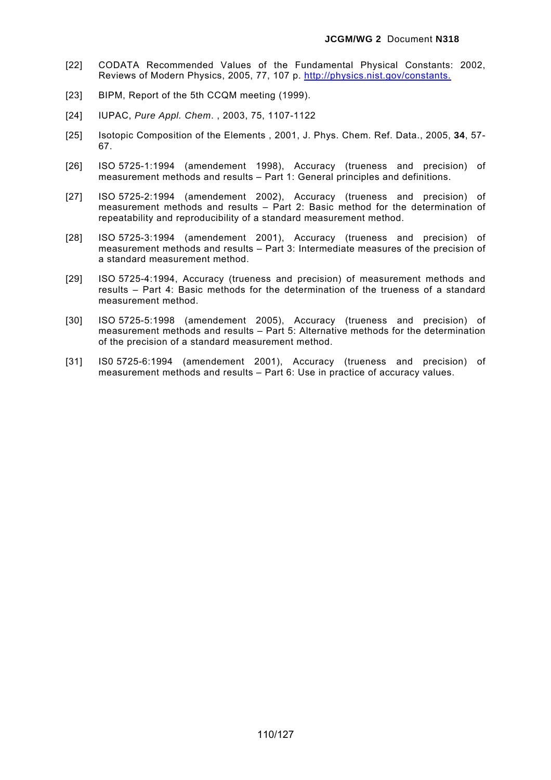- [22] CODATA Recommended Values of the Fundamental Physical Constants: 2002, Reviews of Modern Physics, 2005, 77, 107 p. http://physics.nist.gov/constants.
- [23] BIPM, Report of the 5th CCQM meeting (1999).
- [24] IUPAC, *Pure Appl. Chem*. , 2003, 75, 1107-1122
- [25] Isotopic Composition of the Elements , 2001, J. Phys. Chem. Ref. Data., 2005, **34**, 57- 67.
- [26] ISO 5725-1:1994 (amendement 1998), Accuracy (trueness and precision) of measurement methods and results – Part 1: General principles and definitions.
- [27] ISO 5725-2:1994 (amendement 2002), Accuracy (trueness and precision) of measurement methods and results – Part 2: Basic method for the determination of repeatability and reproducibility of a standard measurement method.
- [28] ISO 5725-3:1994 (amendement 2001), Accuracy (trueness and precision) of measurement methods and results – Part 3: Intermediate measures of the precision of a standard measurement method.
- [29] ISO 5725-4:1994, Accuracy (trueness and precision) of measurement methods and results – Part 4: Basic methods for the determination of the trueness of a standard measurement method.
- [30] ISO 5725-5:1998 (amendement 2005), Accuracy (trueness and precision) of measurement methods and results – Part 5: Alternative methods for the determination of the precision of a standard measurement method.
- [31] IS0 5725-6:1994 (amendement 2001), Accuracy (trueness and precision) of measurement methods and results – Part 6: Use in practice of accuracy values.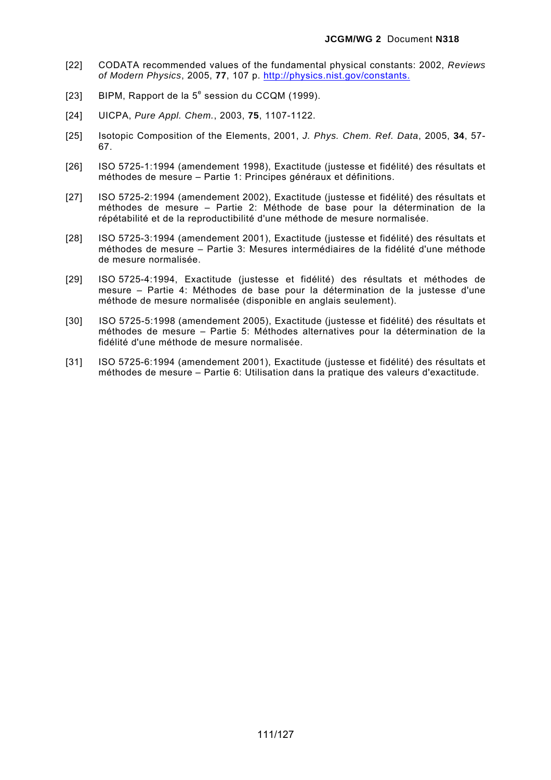- [22] CODATA recommended values of the fundamental physical constants: 2002, *Reviews of Modern Physics*, 2005, **77**, 107 p. http://physics.nist.gov/constants.
- [23] BIPM, Rapport de la  $5^e$  session du CCQM (1999).
- [24] UICPA, *Pure Appl. Chem.*, 2003, **75**, 1107-1122.
- [25] Isotopic Composition of the Elements, 2001, *J. Phys. Chem. Ref. Data*, 2005, **34**, 57- 67.
- [26] ISO 5725-1:1994 (amendement 1998), Exactitude (justesse et fidélité) des résultats et méthodes de mesure – Partie 1: Principes généraux et définitions.
- [27] ISO 5725-2:1994 (amendement 2002), Exactitude (justesse et fidélité) des résultats et méthodes de mesure – Partie 2: Méthode de base pour la détermination de la répétabilité et de la reproductibilité d'une méthode de mesure normalisée.
- [28] ISO 5725-3:1994 (amendement 2001), Exactitude (justesse et fidélité) des résultats et méthodes de mesure – Partie 3: Mesures intermédiaires de la fidélité d'une méthode de mesure normalisée.
- [29] ISO 5725-4:1994, Exactitude (justesse et fidélité) des résultats et méthodes de mesure – Partie 4: Méthodes de base pour la détermination de la justesse d'une méthode de mesure normalisée (disponible en anglais seulement).
- [30] ISO 5725-5:1998 (amendement 2005), Exactitude (justesse et fidélité) des résultats et méthodes de mesure – Partie 5: Méthodes alternatives pour la détermination de la fidélité d'une méthode de mesure normalisée.
- [31] ISO 5725-6:1994 (amendement 2001), Exactitude (justesse et fidélité) des résultats et méthodes de mesure – Partie 6: Utilisation dans la pratique des valeurs d'exactitude.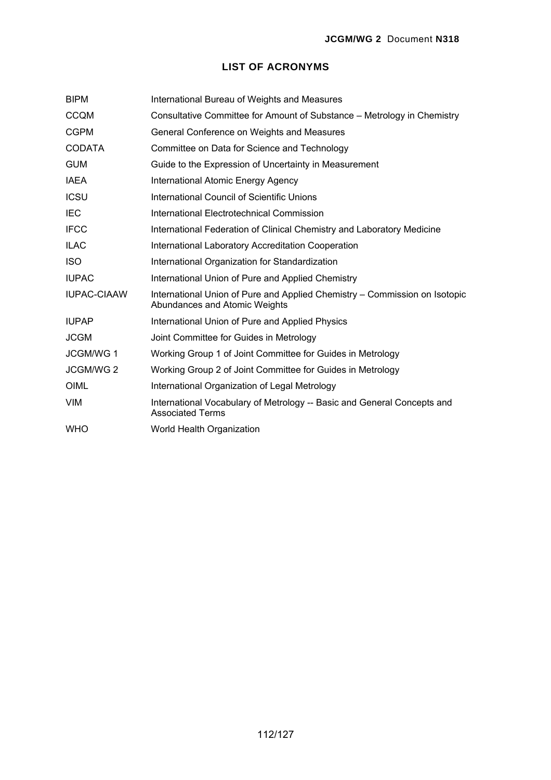#### **LIST OF ACRONYMS**

| <b>BIPM</b>        | International Bureau of Weights and Measures                                                                |
|--------------------|-------------------------------------------------------------------------------------------------------------|
| <b>CCQM</b>        | Consultative Committee for Amount of Substance – Metrology in Chemistry                                     |
| <b>CGPM</b>        | General Conference on Weights and Measures                                                                  |
| <b>CODATA</b>      | Committee on Data for Science and Technology                                                                |
| <b>GUM</b>         | Guide to the Expression of Uncertainty in Measurement                                                       |
| <b>IAEA</b>        | International Atomic Energy Agency                                                                          |
| <b>ICSU</b>        | International Council of Scientific Unions                                                                  |
| IEC                | International Electrotechnical Commission                                                                   |
| <b>IFCC</b>        | International Federation of Clinical Chemistry and Laboratory Medicine                                      |
| <b>ILAC</b>        | International Laboratory Accreditation Cooperation                                                          |
| <b>ISO</b>         | International Organization for Standardization                                                              |
| <b>IUPAC</b>       | International Union of Pure and Applied Chemistry                                                           |
| <b>IUPAC-CIAAW</b> | International Union of Pure and Applied Chemistry – Commission on Isotopic<br>Abundances and Atomic Weights |
| <b>IUPAP</b>       | International Union of Pure and Applied Physics                                                             |
| <b>JCGM</b>        | Joint Committee for Guides in Metrology                                                                     |
| JCGM/WG 1          | Working Group 1 of Joint Committee for Guides in Metrology                                                  |
| JCGM/WG 2          | Working Group 2 of Joint Committee for Guides in Metrology                                                  |
| OIML               | International Organization of Legal Metrology                                                               |
| <b>VIM</b>         | International Vocabulary of Metrology -- Basic and General Concepts and<br><b>Associated Terms</b>          |
| <b>WHO</b>         | World Health Organization                                                                                   |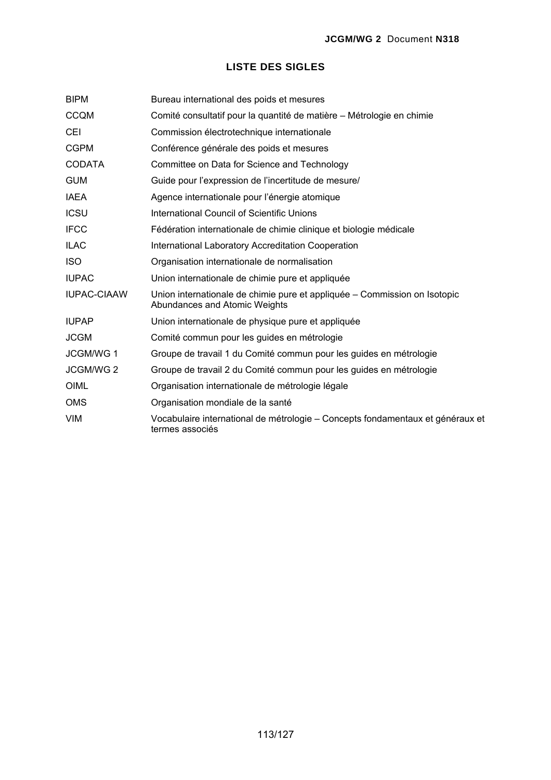#### **LISTE DES SIGLES**

| <b>BIPM</b>        | Bureau international des poids et mesures                                                                  |
|--------------------|------------------------------------------------------------------------------------------------------------|
| <b>CCQM</b>        | Comité consultatif pour la quantité de matière - Métrologie en chimie                                      |
| <b>CEI</b>         | Commission électrotechnique internationale                                                                 |
| <b>CGPM</b>        | Conférence générale des poids et mesures                                                                   |
| <b>CODATA</b>      | Committee on Data for Science and Technology                                                               |
| <b>GUM</b>         | Guide pour l'expression de l'incertitude de mesure/                                                        |
| <b>IAEA</b>        | Agence internationale pour l'énergie atomique                                                              |
| <b>ICSU</b>        | International Council of Scientific Unions                                                                 |
| <b>IFCC</b>        | Fédération internationale de chimie clinique et biologie médicale                                          |
| <b>ILAC</b>        | <b>International Laboratory Accreditation Cooperation</b>                                                  |
| <b>ISO</b>         | Organisation internationale de normalisation                                                               |
| <b>IUPAC</b>       | Union internationale de chimie pure et appliquée                                                           |
| <b>IUPAC-CIAAW</b> | Union internationale de chimie pure et appliquée - Commission on Isotopic<br>Abundances and Atomic Weights |
| <b>IUPAP</b>       | Union internationale de physique pure et appliquée                                                         |
| <b>JCGM</b>        | Comité commun pour les guides en métrologie                                                                |
| JCGM/WG 1          | Groupe de travail 1 du Comité commun pour les guides en métrologie                                         |
| JCGM/WG 2          | Groupe de travail 2 du Comité commun pour les guides en métrologie                                         |
| <b>OIML</b>        | Organisation internationale de métrologie légale                                                           |
| <b>OMS</b>         | Organisation mondiale de la santé                                                                          |
| <b>VIM</b>         | Vocabulaire international de métrologie - Concepts fondamentaux et généraux et<br>termes associés          |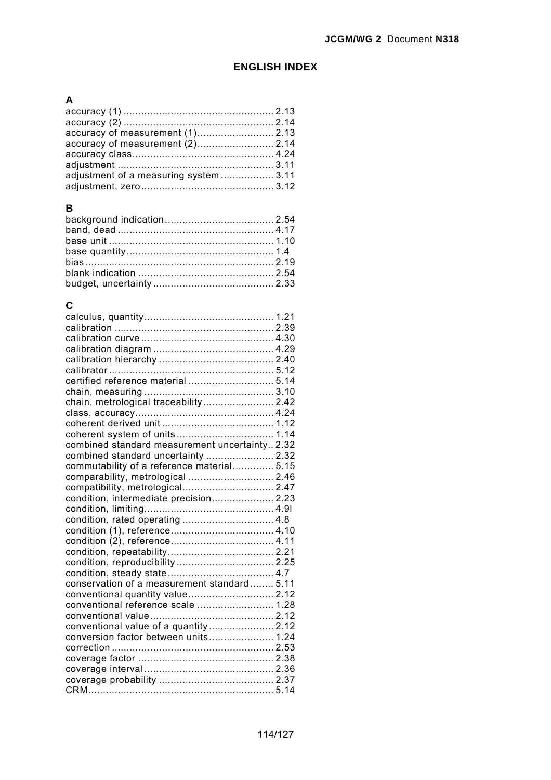#### **ENGLISH INDEX**

# **A**

| adjustment of a measuring system  3.11 |  |
|----------------------------------------|--|
|                                        |  |
|                                        |  |

### **B**

#### **C**

| certified reference material  5.14             |  |
|------------------------------------------------|--|
|                                                |  |
| chain, metrological traceability 2.42          |  |
|                                                |  |
|                                                |  |
|                                                |  |
| combined standard measurement uncertainty 2.32 |  |
| combined standard uncertainty  2.32            |  |
| commutability of a reference material 5.15     |  |
| comparability, metrological  2.46              |  |
| compatibility, metrological 2.47               |  |
| condition, intermediate precision 2.23         |  |
|                                                |  |
| condition, rated operating  4.8                |  |
|                                                |  |
|                                                |  |
|                                                |  |
| condition, reproducibility  2.25               |  |
|                                                |  |
| conservation of a measurement standard 5.11    |  |
| conventional quantity value 2.12               |  |
| conventional reference scale  1.28             |  |
|                                                |  |
| conventional value of a quantity 2.12          |  |
| conversion factor between units 1.24           |  |
|                                                |  |
|                                                |  |
|                                                |  |
|                                                |  |
|                                                |  |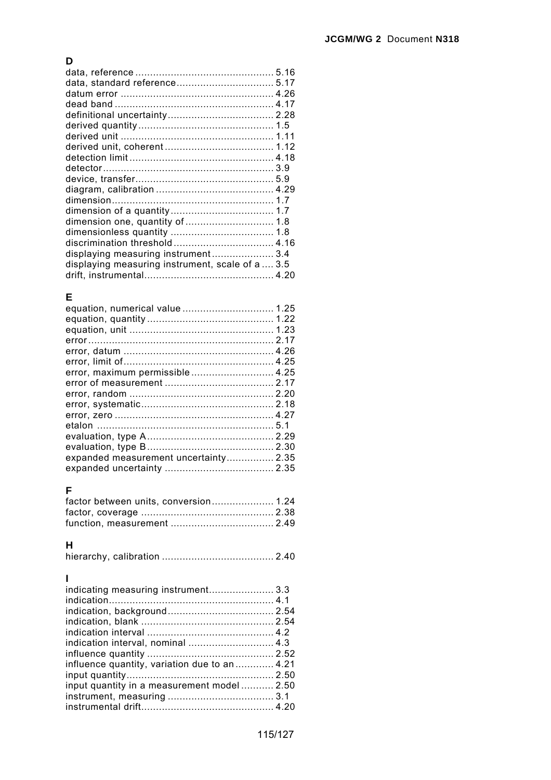## **D**

| displaying measuring instrument 3.4              |  |
|--------------------------------------------------|--|
| displaying measuring instrument, scale of a  3.5 |  |
|                                                  |  |

### **E**

| error, maximum permissible 4.25       |  |
|---------------------------------------|--|
|                                       |  |
|                                       |  |
|                                       |  |
|                                       |  |
|                                       |  |
|                                       |  |
|                                       |  |
| expanded measurement uncertainty 2.35 |  |
|                                       |  |
|                                       |  |

### **F**

| factor between units, conversion 1.24 |  |
|---------------------------------------|--|
|                                       |  |
|                                       |  |

## **H**

|--|--|--|

## **I**

| indicating measuring instrument 3.3           |  |
|-----------------------------------------------|--|
|                                               |  |
|                                               |  |
|                                               |  |
|                                               |  |
| indication interval, nominal  4.3             |  |
|                                               |  |
| influence quantity, variation due to an  4.21 |  |
|                                               |  |
| input quantity in a measurement model 2.50    |  |
|                                               |  |
|                                               |  |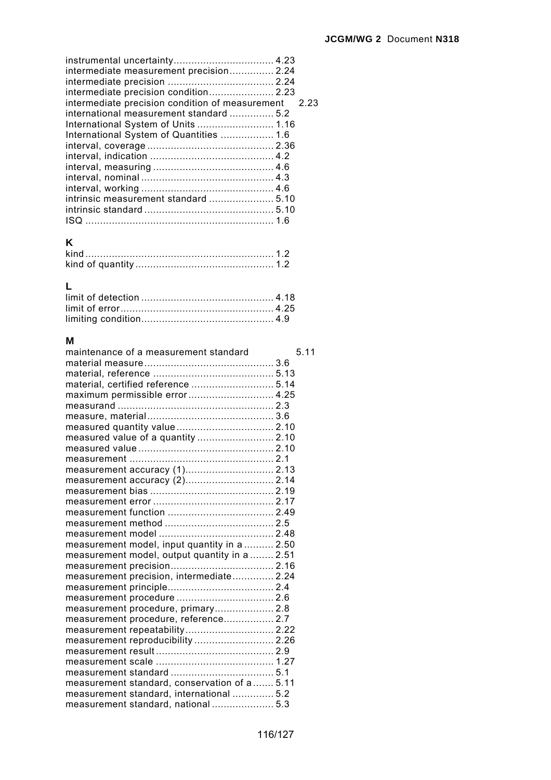## **K**

## **L**

#### **M**

| maintenance of a measurement standard         | 5.11 |
|-----------------------------------------------|------|
|                                               |      |
|                                               |      |
| material, certified reference  5.14           |      |
| maximum permissible error 4.25                |      |
|                                               |      |
|                                               |      |
|                                               |      |
| measured value of a quantity  2.10            |      |
|                                               |      |
|                                               |      |
| measurement accuracy (1) 2.13                 |      |
|                                               |      |
|                                               |      |
|                                               |      |
|                                               |      |
|                                               |      |
|                                               |      |
| measurement model, input quantity in a  2.50  |      |
| measurement model, output quantity in a  2.51 |      |
|                                               |      |
| measurement precision, intermediate 2.24      |      |
|                                               |      |
|                                               |      |
| measurement procedure, primary 2.8            |      |
| measurement procedure, reference 2.7          |      |
| measurement repeatability 2.22                |      |
| measurement reproducibility  2.26             |      |
|                                               |      |
|                                               |      |
|                                               |      |
| measurement standard, conservation of a 5.11  |      |
| measurement standard, international  5.2      |      |
| measurement standard, national 5.3            |      |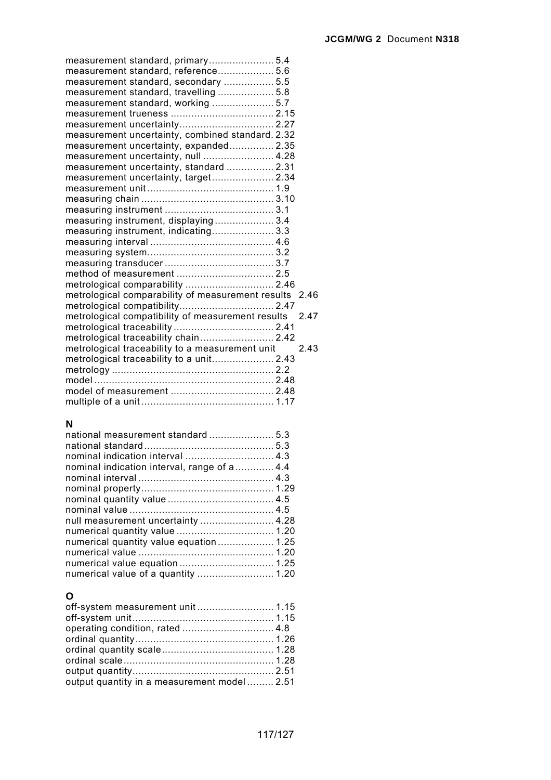| measurement standard, primary 5.4                      |      |
|--------------------------------------------------------|------|
| measurement standard, reference 5.6                    |      |
| measurement standard, secondary  5.5                   |      |
| measurement standard, travelling  5.8                  |      |
| measurement standard, working  5.7                     |      |
|                                                        |      |
|                                                        |      |
| measurement uncertainty, combined standard. 2.32       |      |
| measurement uncertainty, expanded 2.35                 |      |
| measurement uncertainty, null  4.28                    |      |
| measurement uncertainty, standard  2.31                |      |
| measurement uncertainty, target 2.34                   |      |
|                                                        |      |
|                                                        |      |
|                                                        |      |
| measuring instrument, displaying 3.4                   |      |
| measuring instrument, indicating 3.3                   |      |
|                                                        |      |
|                                                        |      |
|                                                        |      |
|                                                        |      |
| metrological comparability  2.46                       |      |
| metrological comparability of measurement results 2.46 |      |
|                                                        |      |
| metrological compatibility of measurement results      | 2.47 |
|                                                        |      |
| metrological traceability chain 2.42                   |      |
| metrological traceability to a measurement unit        | 2.43 |
| metrological traceability to a unit 2.43               |      |
|                                                        |      |
|                                                        |      |
|                                                        |      |
|                                                        |      |

## **N**

| nominal indication interval  4.3            |  |
|---------------------------------------------|--|
| nominal indication interval, range of a 4.4 |  |
|                                             |  |
|                                             |  |
|                                             |  |
|                                             |  |
| null measurement uncertainty  4.28          |  |
| numerical quantity value  1.20              |  |
| numerical quantity value equation 1.25      |  |
|                                             |  |
|                                             |  |
| numerical value of a quantity  1.20         |  |
|                                             |  |

## **O**

| off-system measurement unit 1.15            |  |
|---------------------------------------------|--|
|                                             |  |
|                                             |  |
|                                             |  |
|                                             |  |
|                                             |  |
|                                             |  |
| output quantity in a measurement model 2.51 |  |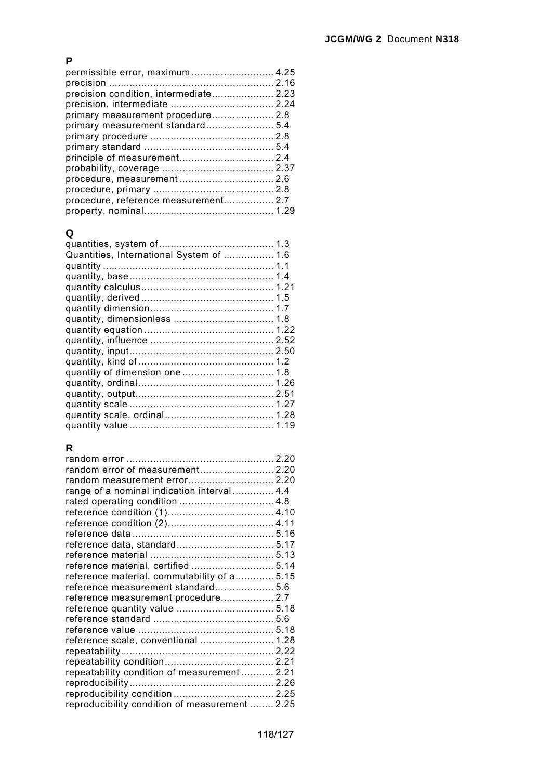#### **P**

| permissible error, maximum 4.25      |  |
|--------------------------------------|--|
|                                      |  |
|                                      |  |
|                                      |  |
| primary measurement procedure 2.8    |  |
| primary measurement standard 5.4     |  |
|                                      |  |
|                                      |  |
|                                      |  |
|                                      |  |
|                                      |  |
|                                      |  |
| procedure, reference measurement 2.7 |  |
|                                      |  |
|                                      |  |

#### **Q**

| Quantities, International System of  1.6 |  |
|------------------------------------------|--|
|                                          |  |
|                                          |  |
|                                          |  |
|                                          |  |
|                                          |  |
|                                          |  |
|                                          |  |
|                                          |  |
|                                          |  |
|                                          |  |
|                                          |  |
|                                          |  |
|                                          |  |
|                                          |  |
|                                          |  |
|                                          |  |
|                                          |  |

## **R**

| random error of measurement 2.20               |  |
|------------------------------------------------|--|
|                                                |  |
| range of a nominal indication interval 4.4     |  |
| rated operating condition  4.8                 |  |
|                                                |  |
|                                                |  |
|                                                |  |
|                                                |  |
|                                                |  |
| reference material, certified  5.14            |  |
| reference material, commutability of a 5.15    |  |
| reference measurement standard 5.6             |  |
| reference measurement procedure 2.7            |  |
|                                                |  |
|                                                |  |
|                                                |  |
| reference scale, conventional  1.28            |  |
|                                                |  |
|                                                |  |
| repeatability condition of measurement  2.21   |  |
|                                                |  |
|                                                |  |
| reproducibility condition of measurement  2.25 |  |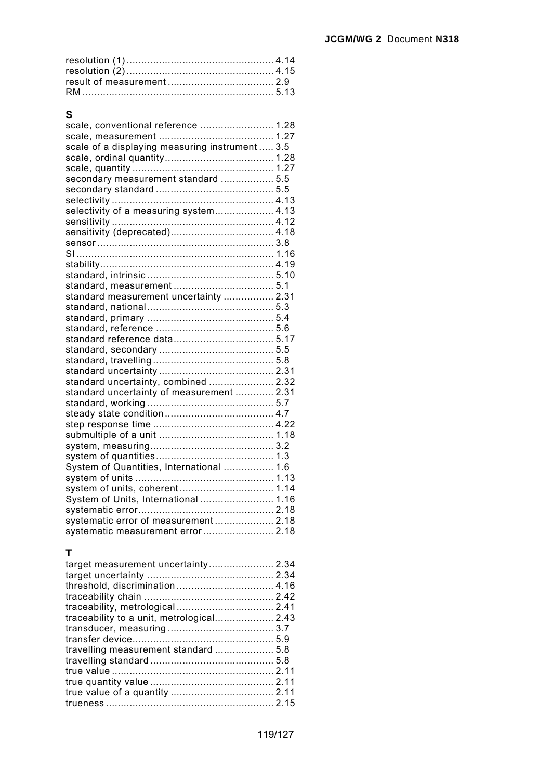### **S**

| scale, conventional reference  1.28             |  |
|-------------------------------------------------|--|
|                                                 |  |
| scale of a displaying measuring instrument  3.5 |  |
|                                                 |  |
|                                                 |  |
| secondary measurement standard  5.5             |  |
|                                                 |  |
|                                                 |  |
| selectivity of a measuring system 4.13          |  |
|                                                 |  |
|                                                 |  |
|                                                 |  |
|                                                 |  |
|                                                 |  |
|                                                 |  |
|                                                 |  |
| standard measurement uncertainty  2.31          |  |
|                                                 |  |
|                                                 |  |
|                                                 |  |
|                                                 |  |
|                                                 |  |
|                                                 |  |
|                                                 |  |
| standard uncertainty, combined  2.32            |  |
| standard uncertainty of measurement  2.31       |  |
|                                                 |  |
|                                                 |  |
|                                                 |  |
|                                                 |  |
|                                                 |  |
|                                                 |  |
| System of Quantities, International  1.6        |  |
|                                                 |  |
|                                                 |  |
| System of Units, International  1.16            |  |
|                                                 |  |
| systematic error of measurement 2.18            |  |
| systematic measurement error 2.18               |  |

#### **T**

| target measurement uncertainty 2.34 |  |
|-------------------------------------|--|
|                                     |  |
|                                     |  |
|                                     |  |
|                                     |  |
|                                     |  |
|                                     |  |
|                                     |  |
|                                     |  |
|                                     |  |
|                                     |  |
|                                     |  |
|                                     |  |
|                                     |  |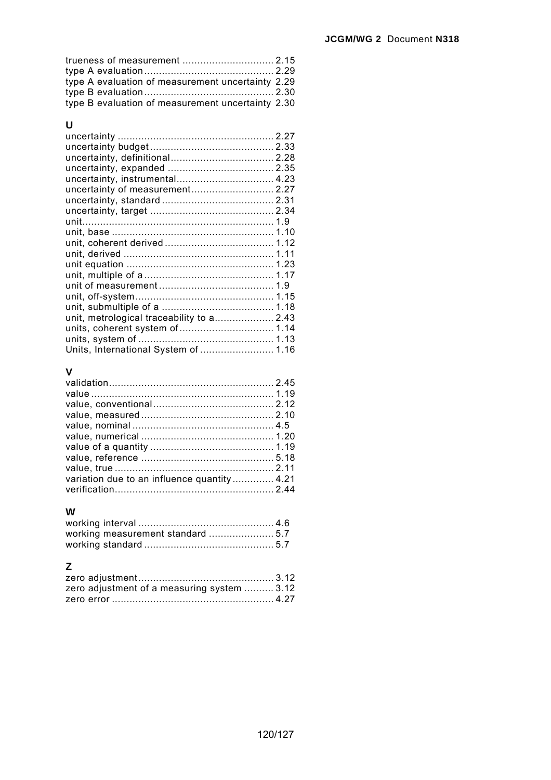| type A evaluation of measurement uncertainty 2.29 |  |
|---------------------------------------------------|--|
|                                                   |  |
| type B evaluation of measurement uncertainty 2.30 |  |

### **U**

| uncertainty of measurement 2.27           |  |
|-------------------------------------------|--|
|                                           |  |
|                                           |  |
|                                           |  |
|                                           |  |
|                                           |  |
|                                           |  |
|                                           |  |
|                                           |  |
|                                           |  |
|                                           |  |
|                                           |  |
| unit, metrological traceability to a 2.43 |  |
| units, coherent system of 1.14            |  |
|                                           |  |
| Units, International System of  1.16      |  |
|                                           |  |

#### **V**

| variation due to an influence quantity 4.21 |  |
|---------------------------------------------|--|
|                                             |  |
|                                             |  |

#### **W**

## **Z**

| zero adjustment of a measuring system  3.12 |  |
|---------------------------------------------|--|
|                                             |  |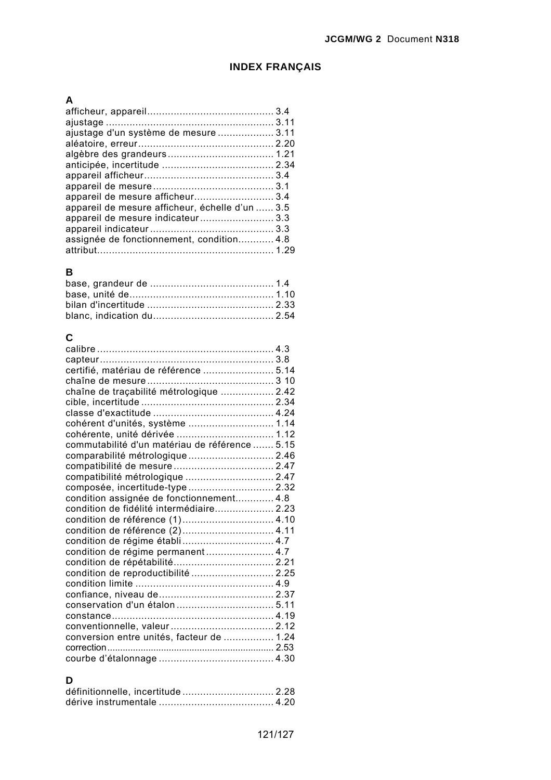### **INDEX FRANÇAIS**

## **A**

| ajustage d'un système de mesure  3.11           |  |
|-------------------------------------------------|--|
|                                                 |  |
|                                                 |  |
|                                                 |  |
|                                                 |  |
|                                                 |  |
| appareil de mesure afficheur 3.4                |  |
| appareil de mesure afficheur, échelle d'un  3.5 |  |
| appareil de mesure indicateur 3.3               |  |
|                                                 |  |
| assignée de fonctionnement, condition 4.8       |  |
|                                                 |  |

#### **B**

## **C**

| certifié, matériau de référence  5.14          |  |
|------------------------------------------------|--|
|                                                |  |
| chaîne de traçabilité métrologique  2.42       |  |
|                                                |  |
|                                                |  |
| cohérent d'unités, système  1.14               |  |
| cohérente, unité dérivée  1.12                 |  |
| commutabilité d'un matériau de référence  5.15 |  |
| comparabilité métrologique  2.46               |  |
|                                                |  |
| compatibilité métrologique  2.47               |  |
| composée, incertitude-type  2.32               |  |
| condition assignée de fonctionnement 4.8       |  |
| condition de fidélité intermédiaire 2.23       |  |
| condition de référence (1) 4.10                |  |
| condition de référence (2) 4.11                |  |
| condition de régime établi 4.7                 |  |
| condition de régime permanent 4.7              |  |
|                                                |  |
| condition de reproductibilité  2.25            |  |
|                                                |  |
|                                                |  |
|                                                |  |
|                                                |  |
|                                                |  |
| conversion entre unités, facteur de  1.24      |  |
|                                                |  |
|                                                |  |

## **D**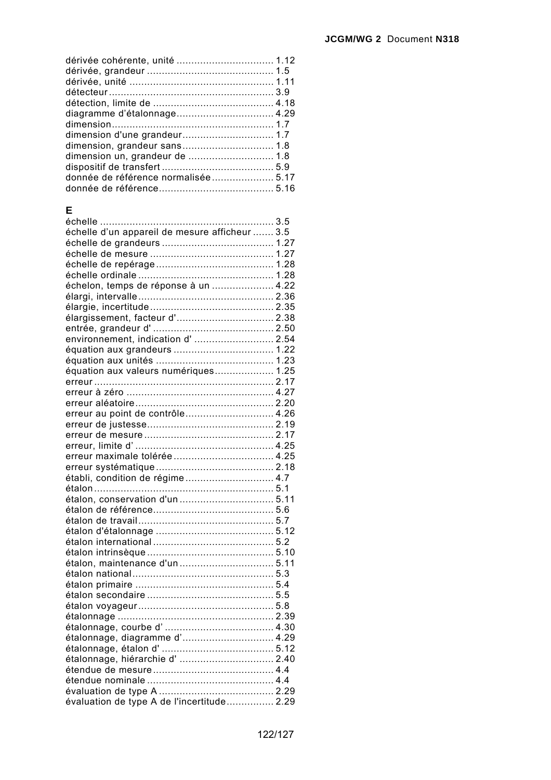| dimension un, grandeur de  1.8      |  |
|-------------------------------------|--|
|                                     |  |
| donnée de référence normalisée 5.17 |  |
|                                     |  |
|                                     |  |

#### **E**

| échelle d'un appareil de mesure afficheur  3.5 |  |
|------------------------------------------------|--|
|                                                |  |
|                                                |  |
|                                                |  |
|                                                |  |
|                                                |  |
| échelon, temps de réponse à un  4.22           |  |
|                                                |  |
|                                                |  |
| élargissement, facteur d' 2.38                 |  |
|                                                |  |
| environnement, indication d' 2.54              |  |
|                                                |  |
|                                                |  |
| équation aux valeurs numériques 1.25           |  |
|                                                |  |
|                                                |  |
|                                                |  |
| erreur au point de contrôle 4.26               |  |
|                                                |  |
|                                                |  |
|                                                |  |
|                                                |  |
|                                                |  |
| établi, condition de régime 4.7                |  |
|                                                |  |
| étalon, conservation d'un  5.11                |  |
|                                                |  |
|                                                |  |
|                                                |  |
|                                                |  |
|                                                |  |
|                                                |  |
|                                                |  |
|                                                |  |
|                                                |  |
|                                                |  |
|                                                |  |
|                                                |  |
| étalonnage, diagramme d' 4.29                  |  |
|                                                |  |
| étalonnage, hiérarchie d'  2.40                |  |
|                                                |  |
|                                                |  |
|                                                |  |
| évaluation de type A de l'incertitude 2.29     |  |
|                                                |  |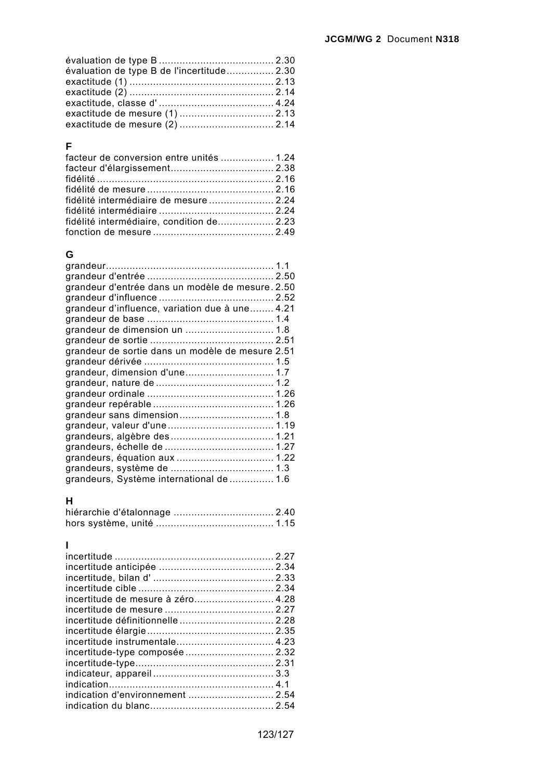| évaluation de type B de l'incertitude 2.30 |  |
|--------------------------------------------|--|
|                                            |  |
|                                            |  |
|                                            |  |
|                                            |  |
|                                            |  |

### **F**

| fidélité intermédiaire de mesure  2.24    |  |
|-------------------------------------------|--|
|                                           |  |
| fidélité intermédiaire, condition de 2.23 |  |
|                                           |  |

## **G**

| grandeur d'entrée dans un modèle de mesure. 2.50 |
|--------------------------------------------------|
| grandeur d'influence, variation due à une 4.21   |
|                                                  |
|                                                  |
|                                                  |
| grandeur de sortie dans un modèle de mesure 2.51 |
|                                                  |
| grandeur, dimension d'une 1.7                    |
|                                                  |
|                                                  |
|                                                  |
|                                                  |
|                                                  |
|                                                  |
|                                                  |
|                                                  |
|                                                  |
| grandeurs, Système international de  1.6         |

#### **H**

## **I**

| incertitude de mesure à zéro 4.28 |  |
|-----------------------------------|--|
|                                   |  |
|                                   |  |
|                                   |  |
|                                   |  |
| incertitude-type composée  2.32   |  |
|                                   |  |
|                                   |  |
|                                   |  |
| indication d'environnement  2.54  |  |
|                                   |  |
|                                   |  |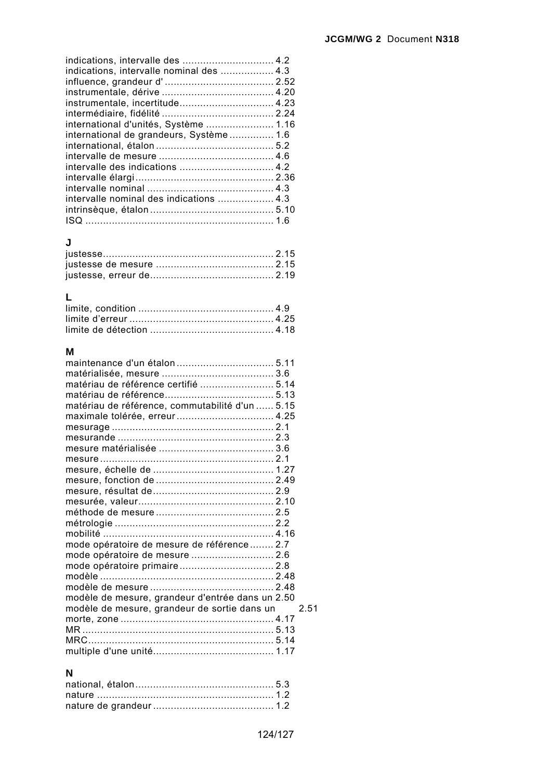| indications, intervalle nominal des  4.3 |  |
|------------------------------------------|--|
|                                          |  |
|                                          |  |
| instrumentale, incertitude 4.23          |  |
|                                          |  |
| international d'unités, Système  1.16    |  |
| international de grandeurs, Système 1.6  |  |
|                                          |  |
|                                          |  |
|                                          |  |
|                                          |  |
|                                          |  |
| intervalle nominal des indications  4.3  |  |
|                                          |  |
|                                          |  |
|                                          |  |

### **J**

## **L**

#### **M**

| matériau de référence certifié  5.14             |      |
|--------------------------------------------------|------|
|                                                  |      |
| matériau de référence, commutabilité d'un  5.15  |      |
|                                                  |      |
|                                                  |      |
|                                                  |      |
|                                                  |      |
|                                                  |      |
|                                                  |      |
|                                                  |      |
|                                                  |      |
|                                                  |      |
|                                                  |      |
|                                                  |      |
| mobilité ………………………………………………… 4.16                |      |
| mode opératoire de mesure de référence 2.7       |      |
| mode opératoire de mesure  2.6                   |      |
|                                                  |      |
|                                                  |      |
|                                                  |      |
| modèle de mesure, grandeur d'entrée dans un 2.50 |      |
| modèle de mesure, grandeur de sortie dans un     | 2.51 |
|                                                  |      |
|                                                  |      |
|                                                  |      |
|                                                  |      |

#### **N**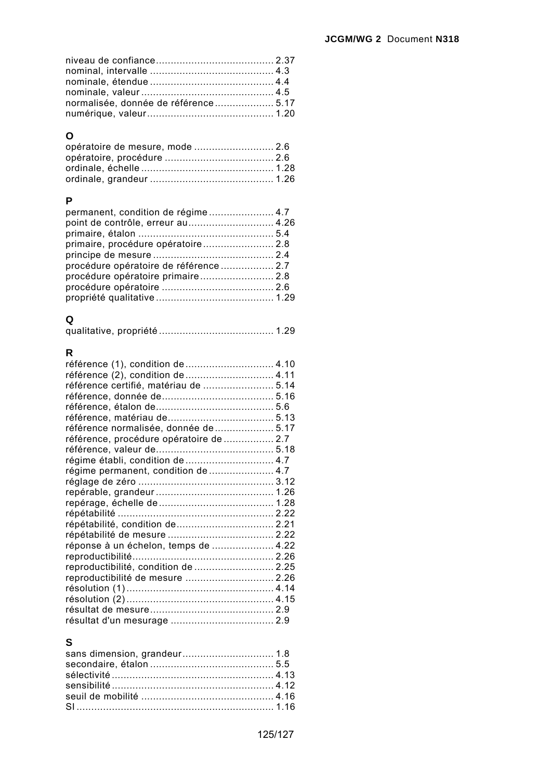| normalisée, donnée de référence 5.17 |  |
|--------------------------------------|--|
|                                      |  |

# **O**

| opératoire de mesure, mode  2.6 |  |
|---------------------------------|--|
|                                 |  |
|                                 |  |
|                                 |  |

## **P**

| permanent, condition de régime 4.7<br>point de contrôle, erreur au 4.26<br>primaire, procédure opératoire 2.8<br>procédure opératoire de référence  2.7<br>procédure opératoire primaire 2.8 |  |
|----------------------------------------------------------------------------------------------------------------------------------------------------------------------------------------------|--|
|                                                                                                                                                                                              |  |

# **Q**

|--|--|--|--|

## **R**

| référence (2), condition de  4.11       |  |
|-----------------------------------------|--|
| référence certifié, matériau de  5.14   |  |
|                                         |  |
|                                         |  |
|                                         |  |
| référence normalisée, donnée de  5.17   |  |
| référence, procédure opératoire de  2.7 |  |
|                                         |  |
| régime établi, condition de  4.7        |  |
|                                         |  |
|                                         |  |
|                                         |  |
|                                         |  |
|                                         |  |
| répétabilité, condition de  2.21        |  |
|                                         |  |
| réponse à un échelon, temps de  4.22    |  |
|                                         |  |
| reproductibilité, condition de  2.25    |  |
| reproductibilité de mesure  2.26        |  |
|                                         |  |
|                                         |  |
|                                         |  |
|                                         |  |

## **S**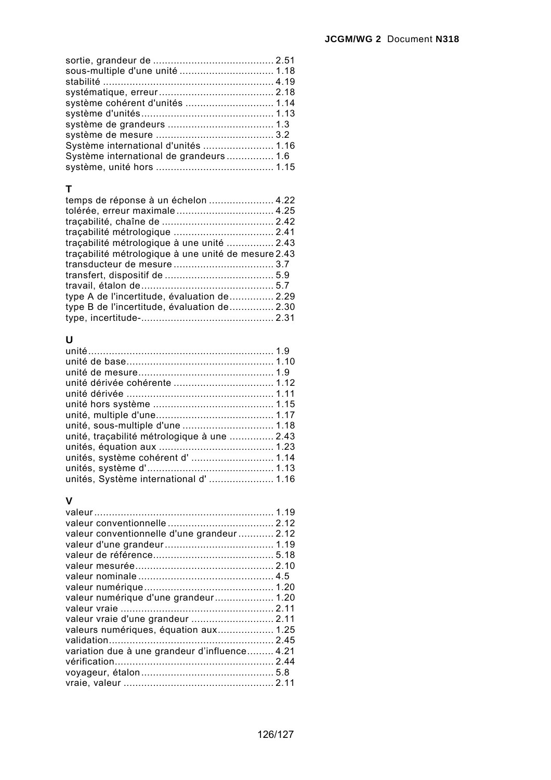| sous-multiple d'une unité  1.18         |  |
|-----------------------------------------|--|
|                                         |  |
|                                         |  |
| système cohérent d'unités  1.14         |  |
|                                         |  |
|                                         |  |
|                                         |  |
| Système international d'unités  1.16    |  |
| Système international de grandeurs  1.6 |  |
|                                         |  |

#### **T**

| temps de réponse à un échelon  4.22                 |  |
|-----------------------------------------------------|--|
| tolérée, erreur maximale 4.25                       |  |
|                                                     |  |
|                                                     |  |
| traçabilité métrologique à une unité  2.43          |  |
| traçabilité métrologique à une unité de mesure 2.43 |  |
|                                                     |  |
|                                                     |  |
|                                                     |  |
| type A de l'incertitude, évaluation de 2.29         |  |
| type B de l'incertitude, évaluation de 2.30         |  |
|                                                     |  |

#### **U**

| unité, sous-multiple d'une  1.18            |  |
|---------------------------------------------|--|
| unité, traçabilité métrologique à une  2.43 |  |
|                                             |  |
| unités, système cohérent d'  1.14           |  |
|                                             |  |
| unités, Système international d' 1.16       |  |

### **V**

| valeur conventionnelle d'une grandeur  2.12   |  |
|-----------------------------------------------|--|
|                                               |  |
|                                               |  |
|                                               |  |
|                                               |  |
|                                               |  |
|                                               |  |
|                                               |  |
|                                               |  |
| valeurs numériques, équation aux 1.25         |  |
|                                               |  |
| variation due à une grandeur d'influence 4.21 |  |
|                                               |  |
|                                               |  |
|                                               |  |